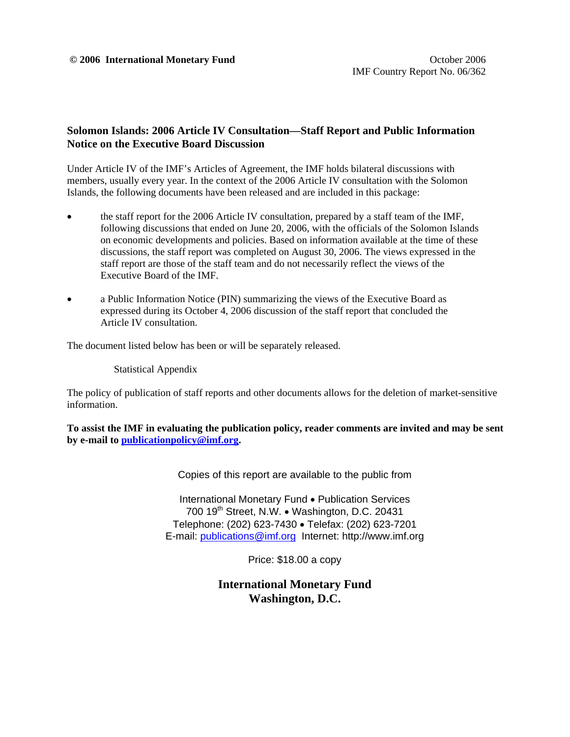#### **Solomon Islands: 2006 Article IV Consultation—Staff Report and Public Information Notice on the Executive Board Discussion**

Under Article IV of the IMF's Articles of Agreement, the IMF holds bilateral discussions with members, usually every year. In the context of the 2006 Article IV consultation with the Solomon Islands, the following documents have been released and are included in this package:

- the staff report for the 2006 Article IV consultation, prepared by a staff team of the IMF, following discussions that ended on June 20, 2006, with the officials of the Solomon Islands on economic developments and policies. Based on information available at the time of these discussions, the staff report was completed on August 30, 2006. The views expressed in the staff report are those of the staff team and do not necessarily reflect the views of the Executive Board of the IMF.
- a Public Information Notice (PIN) summarizing the views of the Executive Board as expressed during its October 4, 2006 discussion of the staff report that concluded the Article IV consultation.

The document listed below has been or will be separately released.

Statistical Appendix

The policy of publication of staff reports and other documents allows for the deletion of market-sensitive information.

**To assist the IMF in evaluating the publication policy, reader comments are invited and may be sent by e-mail to publicationpolicy@imf.org.**

Copies of this report are available to the public from

International Monetary Fund • Publication Services 700 19<sup>th</sup> Street, N.W. • Washington, D.C. 20431 Telephone: (202) 623-7430 • Telefax: (202) 623-7201 E-mail: publications@imf.org Internet: http://www.imf.org

Price: \$18.00 a copy

**International Monetary Fund Washington, D.C.**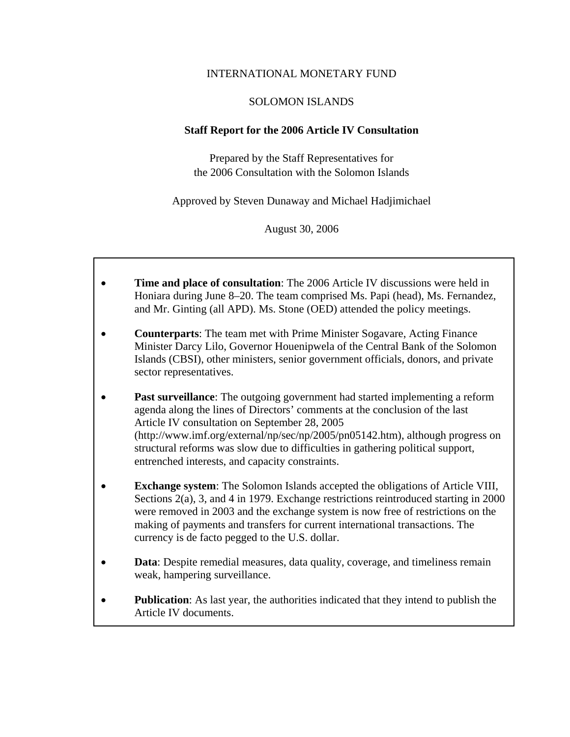#### INTERNATIONAL MONETARY FUND

#### SOLOMON ISLANDS

#### **Staff Report for the 2006 Article IV Consultation**

Prepared by the Staff Representatives for the 2006 Consultation with the Solomon Islands

Approved by Steven Dunaway and Michael Hadjimichael

August 30, 2006

- **Time and place of consultation**: The 2006 Article IV discussions were held in Honiara during June 8–20. The team comprised Ms. Papi (head), Ms. Fernandez, and Mr. Ginting (all APD). Ms. Stone (OED) attended the policy meetings.
- **Counterparts**: The team met with Prime Minister Sogavare, Acting Finance Minister Darcy Lilo, Governor Houenipwela of the Central Bank of the Solomon Islands (CBSI), other ministers, senior government officials, donors, and private sector representatives.
- **Past surveillance**: The outgoing government had started implementing a reform agenda along the lines of Directors' comments at the conclusion of the last Article IV consultation on September 28, 2005 (http://www.imf.org/external/np/sec/np/2005/pn05142.htm), although progress on structural reforms was slow due to difficulties in gathering political support, entrenched interests, and capacity constraints.
- **Exchange system**: The Solomon Islands accepted the obligations of Article VIII, Sections 2(a), 3, and 4 in 1979. Exchange restrictions reintroduced starting in 2000 were removed in 2003 and the exchange system is now free of restrictions on the making of payments and transfers for current international transactions. The currency is de facto pegged to the U.S. dollar.
- **Data**: Despite remedial measures, data quality, coverage, and timeliness remain weak, hampering surveillance.
- **Publication**: As last year, the authorities indicated that they intend to publish the Article IV documents.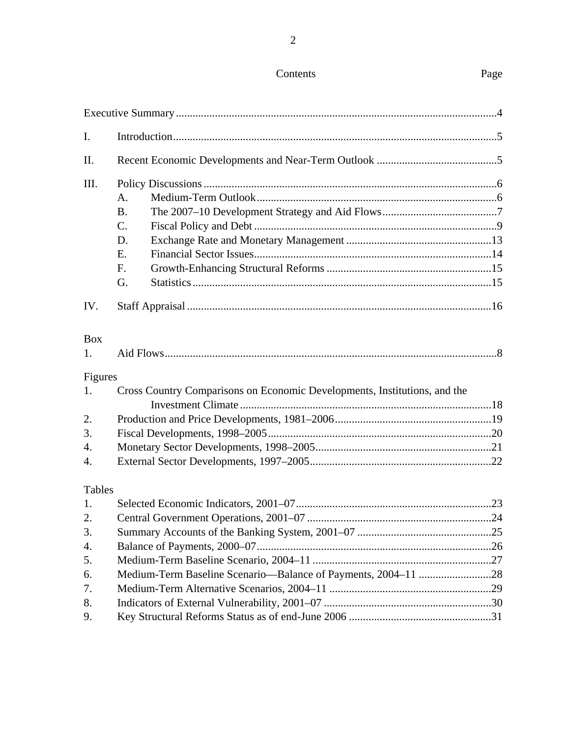## Contents Page

| I.            |                                                                           |  |
|---------------|---------------------------------------------------------------------------|--|
| II.           |                                                                           |  |
| III.          |                                                                           |  |
|               | A.                                                                        |  |
|               | <b>B.</b>                                                                 |  |
|               | C.                                                                        |  |
|               | D.                                                                        |  |
|               | E.                                                                        |  |
|               | F.                                                                        |  |
|               | G.                                                                        |  |
| IV.           |                                                                           |  |
| <b>Box</b>    |                                                                           |  |
| 1.            |                                                                           |  |
| Figures       |                                                                           |  |
| 1.            | Cross Country Comparisons on Economic Developments, Institutions, and the |  |
|               |                                                                           |  |
| 2.            |                                                                           |  |
| 3.            |                                                                           |  |
| 4.            |                                                                           |  |
| 4.            |                                                                           |  |
| <b>Tables</b> |                                                                           |  |
| 1.            |                                                                           |  |
| 2.            |                                                                           |  |
| 3.            |                                                                           |  |
| 4.            |                                                                           |  |
| 5.            |                                                                           |  |
| 6.            |                                                                           |  |
| 7.            |                                                                           |  |
| 8.            |                                                                           |  |
| 9.            |                                                                           |  |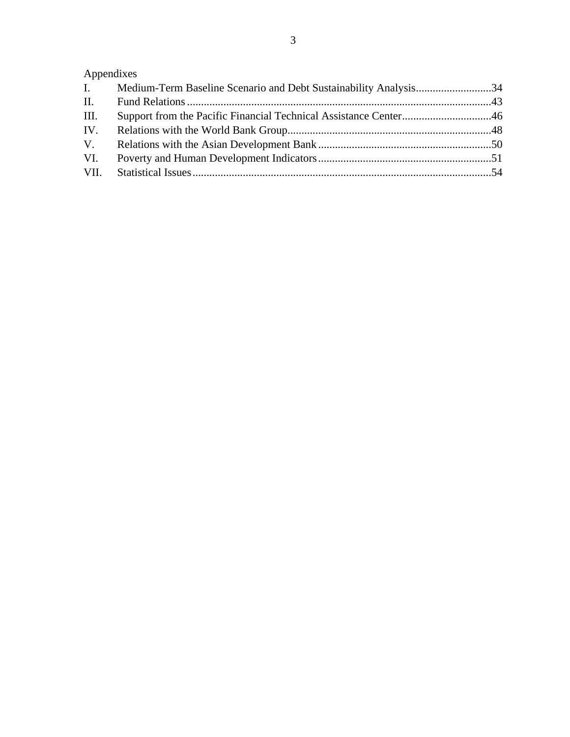# Appendixes

| $\mathbf{I}$ . | Medium-Term Baseline Scenario and Debt Sustainability Analysis34 |  |
|----------------|------------------------------------------------------------------|--|
| II.            |                                                                  |  |
| Ш.             |                                                                  |  |
|                |                                                                  |  |
| V.             |                                                                  |  |
| VI.            |                                                                  |  |
|                |                                                                  |  |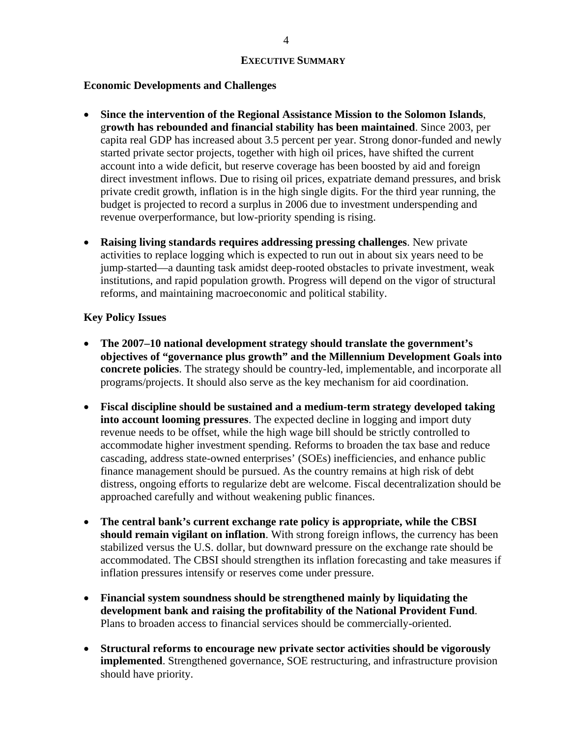#### **Economic Developments and Challenges**

- **Since the intervention of the Regional Assistance Mission to the Solomon Islands**, g**rowth has rebounded and financial stability has been maintained**. Since 2003, per capita real GDP has increased about 3.5 percent per year. Strong donor-funded and newly started private sector projects, together with high oil prices, have shifted the current account into a wide deficit, but reserve coverage has been boosted by aid and foreign direct investment inflows. Due to rising oil prices, expatriate demand pressures, and brisk private credit growth, inflation is in the high single digits. For the third year running, the budget is projected to record a surplus in 2006 due to investment underspending and revenue overperformance, but low-priority spending is rising.
- **Raising living standards requires addressing pressing challenges**. New private activities to replace logging which is expected to run out in about six years need to be jump-started—a daunting task amidst deep-rooted obstacles to private investment, weak institutions, and rapid population growth. Progress will depend on the vigor of structural reforms, and maintaining macroeconomic and political stability.

#### **Key Policy Issues**

- **The 2007–10 national development strategy should translate the government's objectives of "governance plus growth" and the Millennium Development Goals into concrete policies**. The strategy should be country-led, implementable, and incorporate all programs/projects. It should also serve as the key mechanism for aid coordination.
- **Fiscal discipline should be sustained and a medium-term strategy developed taking into account looming pressures**. The expected decline in logging and import duty revenue needs to be offset, while the high wage bill should be strictly controlled to accommodate higher investment spending. Reforms to broaden the tax base and reduce cascading, address state-owned enterprises' (SOEs) inefficiencies, and enhance public finance management should be pursued. As the country remains at high risk of debt distress, ongoing efforts to regularize debt are welcome. Fiscal decentralization should be approached carefully and without weakening public finances.
- **The central bank's current exchange rate policy is appropriate, while the CBSI should remain vigilant on inflation**. With strong foreign inflows, the currency has been stabilized versus the U.S. dollar, but downward pressure on the exchange rate should be accommodated. The CBSI should strengthen its inflation forecasting and take measures if inflation pressures intensify or reserves come under pressure.
- **Financial system soundness should be strengthened mainly by liquidating the development bank and raising the profitability of the National Provident Fund**. Plans to broaden access to financial services should be commercially-oriented.
- **Structural reforms to encourage new private sector activities should be vigorously implemented**. Strengthened governance, SOE restructuring, and infrastructure provision should have priority.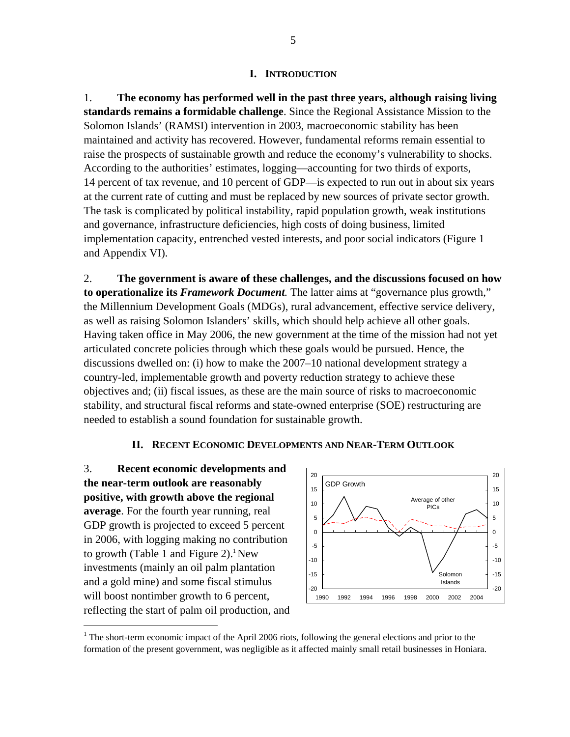#### **I. INTRODUCTION**

1. **The economy has performed well in the past three years, although raising living standards remains a formidable challenge**. Since the Regional Assistance Mission to the Solomon Islands' (RAMSI) intervention in 2003, macroeconomic stability has been maintained and activity has recovered. However, fundamental reforms remain essential to raise the prospects of sustainable growth and reduce the economy's vulnerability to shocks. According to the authorities' estimates, logging—accounting for two thirds of exports, 14 percent of tax revenue, and 10 percent of GDP—is expected to run out in about six years at the current rate of cutting and must be replaced by new sources of private sector growth. The task is complicated by political instability, rapid population growth, weak institutions and governance, infrastructure deficiencies, high costs of doing business, limited implementation capacity, entrenched vested interests, and poor social indicators (Figure 1 and Appendix VI).

2. **The government is aware of these challenges, and the discussions focused on how to operationalize its** *Framework Document.* The latter aims at "governance plus growth," the Millennium Development Goals (MDGs), rural advancement, effective service delivery, as well as raising Solomon Islanders' skills, which should help achieve all other goals. Having taken office in May 2006, the new government at the time of the mission had not yet articulated concrete policies through which these goals would be pursued. Hence, the discussions dwelled on: (i) how to make the 2007–10 national development strategy a country-led, implementable growth and poverty reduction strategy to achieve these objectives and; (ii) fiscal issues, as these are the main source of risks to macroeconomic stability, and structural fiscal reforms and state-owned enterprise (SOE) restructuring are needed to establish a sound foundation for sustainable growth.

#### **II. RECENT ECONOMIC DEVELOPMENTS AND NEAR-TERM OUTLOOK**

3. **Recent economic developments and the near-term outlook are reasonably positive, with growth above the regional average**. For the fourth year running, real GDP growth is projected to exceed 5 percent in 2006, with logging making no contribution to growth (Table 1 and Figure 2).<sup>1</sup> New investments (mainly an oil palm plantation and a gold mine) and some fiscal stimulus will boost nontimber growth to 6 percent, reflecting the start of palm oil production, and

 $\overline{a}$ 



<sup>&</sup>lt;sup>1</sup> The short-term economic impact of the April 2006 riots, following the general elections and prior to the formation of the present government, was negligible as it affected mainly small retail businesses in Honiara.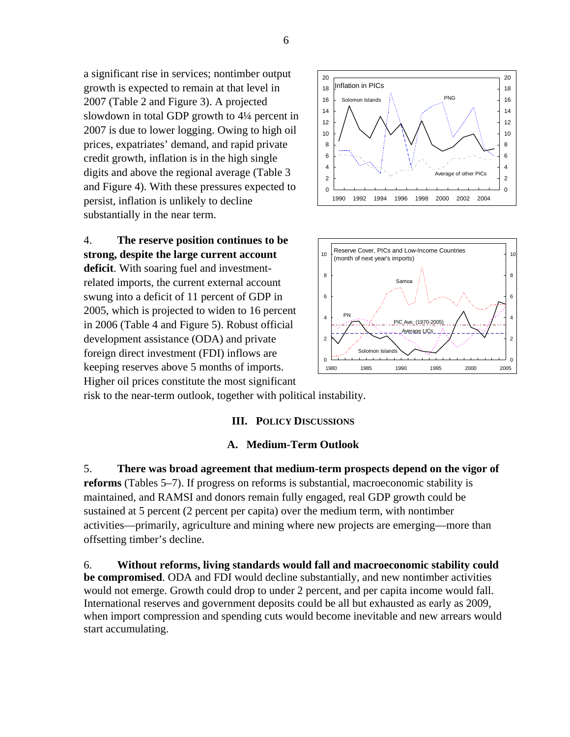a significant rise in services; nontimber output growth is expected to remain at that level in 2007 (Table 2 and Figure 3). A projected slowdown in total GDP growth to 4¼ percent in 2007 is due to lower logging. Owing to high oil prices, expatriates' demand, and rapid private credit growth, inflation is in the high single digits and above the regional average (Table 3 and Figure 4). With these pressures expected to persist, inflation is unlikely to decline substantially in the near term.

4. **The reserve position continues to be strong, despite the large current account deficit**. With soaring fuel and investmentrelated imports, the current external account swung into a deficit of 11 percent of GDP in 2005, which is projected to widen to 16 percent in 2006 (Table 4 and Figure 5). Robust official development assistance (ODA) and private foreign direct investment (FDI) inflows are keeping reserves above 5 months of imports. Higher oil prices constitute the most significant





risk to the near-term outlook, together with political instability.

#### **III. POLICY DISCUSSIONS**

#### **A. Medium-Term Outlook**

5. **There was broad agreement that medium-term prospects depend on the vigor of reforms** (Tables 5–7). If progress on reforms is substantial, macroeconomic stability is maintained, and RAMSI and donors remain fully engaged, real GDP growth could be sustained at 5 percent (2 percent per capita) over the medium term, with nontimber activities—primarily, agriculture and mining where new projects are emerging—more than offsetting timber's decline.

6. **Without reforms, living standards would fall and macroeconomic stability could be compromised**. ODA and FDI would decline substantially, and new nontimber activities would not emerge. Growth could drop to under 2 percent, and per capita income would fall. International reserves and government deposits could be all but exhausted as early as 2009, when import compression and spending cuts would become inevitable and new arrears would start accumulating.

6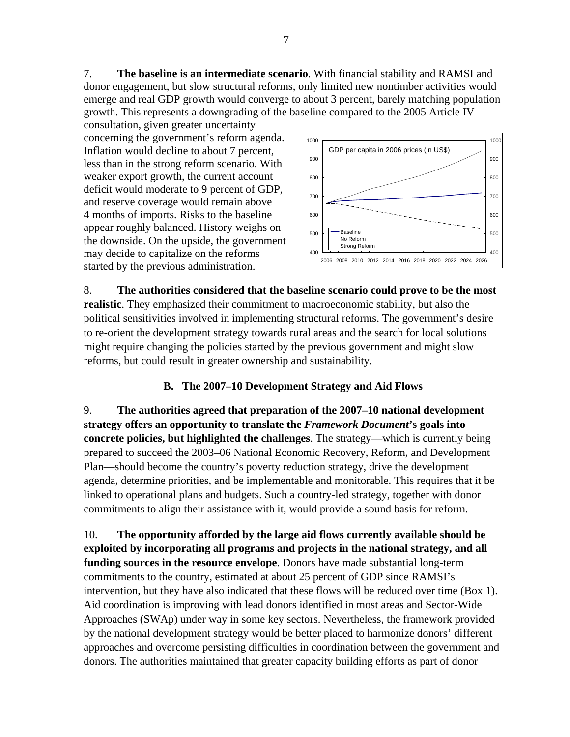7. **The baseline is an intermediate scenario**. With financial stability and RAMSI and donor engagement, but slow structural reforms, only limited new nontimber activities would emerge and real GDP growth would converge to about 3 percent, barely matching population growth. This represents a downgrading of the baseline compared to the 2005 Article IV

consultation, given greater uncertainty concerning the government's reform agenda. Inflation would decline to about 7 percent, less than in the strong reform scenario. With weaker export growth, the current account deficit would moderate to 9 percent of GDP, and reserve coverage would remain above 4 months of imports. Risks to the baseline appear roughly balanced. History weighs on the downside. On the upside, the government may decide to capitalize on the reforms started by the previous administration.



8. **The authorities considered that the baseline scenario could prove to be the most realistic**. They emphasized their commitment to macroeconomic stability, but also the political sensitivities involved in implementing structural reforms. The government's desire to re-orient the development strategy towards rural areas and the search for local solutions might require changing the policies started by the previous government and might slow reforms, but could result in greater ownership and sustainability.

### **B. The 2007–10 Development Strategy and Aid Flows**

9. **The authorities agreed that preparation of the 2007–10 national development strategy offers an opportunity to translate the** *Framework Document***'s goals into concrete policies, but highlighted the challenges**. The strategy—which is currently being prepared to succeed the 2003–06 National Economic Recovery, Reform, and Development Plan—should become the country's poverty reduction strategy, drive the development agenda, determine priorities, and be implementable and monitorable. This requires that it be linked to operational plans and budgets. Such a country-led strategy, together with donor commitments to align their assistance with it, would provide a sound basis for reform.

10. **The opportunity afforded by the large aid flows currently available should be exploited by incorporating all programs and projects in the national strategy, and all funding sources in the resource envelope**. Donors have made substantial long-term commitments to the country, estimated at about 25 percent of GDP since RAMSI's intervention, but they have also indicated that these flows will be reduced over time (Box 1). Aid coordination is improving with lead donors identified in most areas and Sector-Wide Approaches (SWAp) under way in some key sectors. Nevertheless, the framework provided by the national development strategy would be better placed to harmonize donors' different approaches and overcome persisting difficulties in coordination between the government and donors. The authorities maintained that greater capacity building efforts as part of donor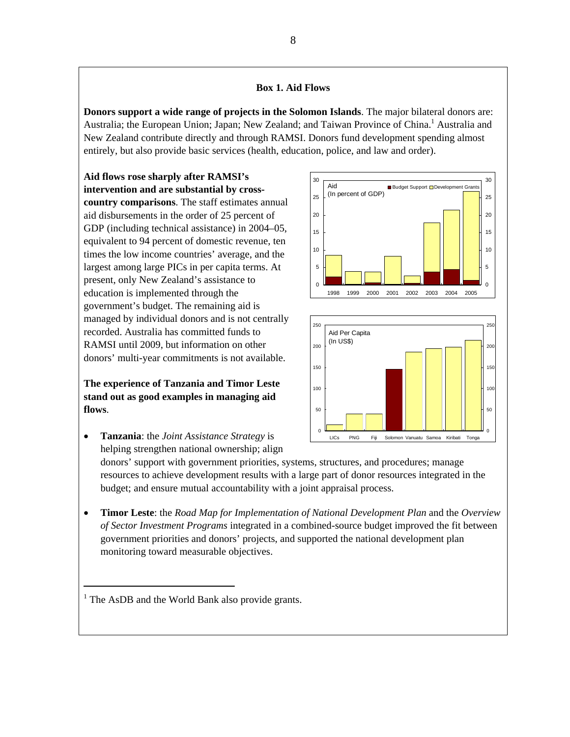#### **Box 1. Aid Flows**

**Donors support a wide range of projects in the Solomon Islands**. The major bilateral donors are: Australia; the European Union; Japan; New Zealand; and Taiwan Province of China.<sup>1</sup> Australia and New Zealand contribute directly and through RAMSI. Donors fund development spending almost entirely, but also provide basic services (health, education, police, and law and order).

**Aid flows rose sharply after RAMSI's intervention and are substantial by crosscountry comparisons**. The staff estimates annual aid disbursements in the order of 25 percent of GDP (including technical assistance) in 2004–05, equivalent to 94 percent of domestic revenue, ten times the low income countries' average, and the largest among large PICs in per capita terms. At present, only New Zealand's assistance to education is implemented through the government's budget. The remaining aid is managed by individual donors and is not centrally recorded. Australia has committed funds to RAMSI until 2009, but information on other donors' multi-year commitments is not available.

**The experience of Tanzania and Timor Leste stand out as good examples in managing aid flows**.

• **Tanzania**: the *Joint Assistance Strategy* is helping strengthen national ownership; align





donors' support with government priorities, systems, structures, and procedures; manage resources to achieve development results with a large part of donor resources integrated in the budget; and ensure mutual accountability with a joint appraisal process.

• **Timor Leste**: the *Road Map for Implementation of National Development Plan* and the *Overview of Sector Investment Programs* integrated in a combined-source budget improved the fit between government priorities and donors' projects, and supported the national development plan monitoring toward measurable objectives.

<sup>&</sup>lt;sup>1</sup> The AsDB and the World Bank also provide grants.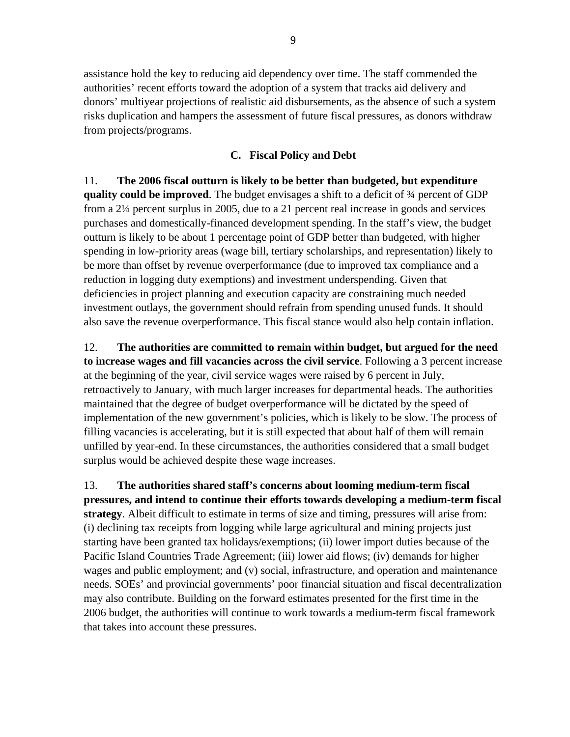assistance hold the key to reducing aid dependency over time. The staff commended the authorities' recent efforts toward the adoption of a system that tracks aid delivery and donors' multiyear projections of realistic aid disbursements, as the absence of such a system risks duplication and hampers the assessment of future fiscal pressures, as donors withdraw from projects/programs.

#### **C. Fiscal Policy and Debt**

11. **The 2006 fiscal outturn is likely to be better than budgeted, but expenditure quality could be improved**. The budget envisages a shift to a deficit of ¾ percent of GDP from a 2¼ percent surplus in 2005, due to a 21 percent real increase in goods and services purchases and domestically-financed development spending. In the staff's view, the budget outturn is likely to be about 1 percentage point of GDP better than budgeted, with higher spending in low-priority areas (wage bill, tertiary scholarships, and representation) likely to be more than offset by revenue overperformance (due to improved tax compliance and a reduction in logging duty exemptions) and investment underspending. Given that deficiencies in project planning and execution capacity are constraining much needed investment outlays, the government should refrain from spending unused funds. It should also save the revenue overperformance. This fiscal stance would also help contain inflation.

12. **The authorities are committed to remain within budget, but argued for the need to increase wages and fill vacancies across the civil service**. Following a 3 percent increase at the beginning of the year, civil service wages were raised by 6 percent in July, retroactively to January, with much larger increases for departmental heads. The authorities maintained that the degree of budget overperformance will be dictated by the speed of implementation of the new government's policies, which is likely to be slow. The process of filling vacancies is accelerating, but it is still expected that about half of them will remain unfilled by year-end. In these circumstances, the authorities considered that a small budget surplus would be achieved despite these wage increases.

13. **The authorities shared staff's concerns about looming medium-term fiscal pressures, and intend to continue their efforts towards developing a medium-term fiscal strategy**. Albeit difficult to estimate in terms of size and timing, pressures will arise from: (i) declining tax receipts from logging while large agricultural and mining projects just starting have been granted tax holidays/exemptions; (ii) lower import duties because of the Pacific Island Countries Trade Agreement; (iii) lower aid flows; (iv) demands for higher wages and public employment; and (v) social, infrastructure, and operation and maintenance needs. SOEs' and provincial governments' poor financial situation and fiscal decentralization may also contribute. Building on the forward estimates presented for the first time in the 2006 budget, the authorities will continue to work towards a medium-term fiscal framework that takes into account these pressures.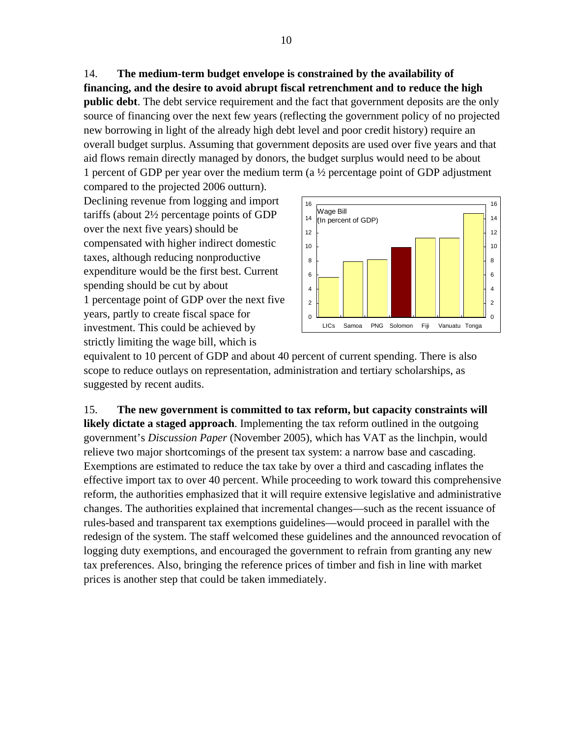14. **The medium-term budget envelope is constrained by the availability of financing, and the desire to avoid abrupt fiscal retrenchment and to reduce the high public debt**. The debt service requirement and the fact that government deposits are the only source of financing over the next few years (reflecting the government policy of no projected new borrowing in light of the already high debt level and poor credit history) require an overall budget surplus. Assuming that government deposits are used over five years and that aid flows remain directly managed by donors, the budget surplus would need to be about 1 percent of GDP per year over the medium term (a  $\frac{1}{2}$  percentage point of GDP adjustment

compared to the projected 2006 outturn). Declining revenue from logging and import tariffs (about 2½ percentage points of GDP over the next five years) should be compensated with higher indirect domestic taxes, although reducing nonproductive expenditure would be the first best. Current spending should be cut by about 1 percentage point of GDP over the next five years, partly to create fiscal space for investment. This could be achieved by strictly limiting the wage bill, which is



equivalent to 10 percent of GDP and about 40 percent of current spending. There is also scope to reduce outlays on representation, administration and tertiary scholarships, as suggested by recent audits.

15. **The new government is committed to tax reform, but capacity constraints will likely dictate a staged approach**. Implementing the tax reform outlined in the outgoing government's *Discussion Paper* (November 2005), which has VAT as the linchpin, would relieve two major shortcomings of the present tax system: a narrow base and cascading. Exemptions are estimated to reduce the tax take by over a third and cascading inflates the effective import tax to over 40 percent. While proceeding to work toward this comprehensive reform, the authorities emphasized that it will require extensive legislative and administrative changes. The authorities explained that incremental changes—such as the recent issuance of rules-based and transparent tax exemptions guidelines—would proceed in parallel with the redesign of the system. The staff welcomed these guidelines and the announced revocation of logging duty exemptions, and encouraged the government to refrain from granting any new tax preferences. Also, bringing the reference prices of timber and fish in line with market prices is another step that could be taken immediately.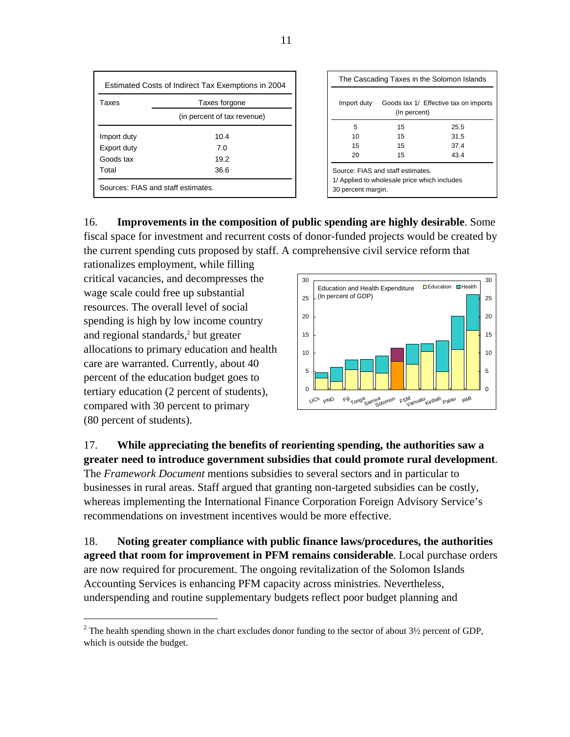| Estimated Costs of Indirect Tax Exemptions in 2004 |                             |  |  |  |  |  |
|----------------------------------------------------|-----------------------------|--|--|--|--|--|
| Taxes<br>Taxes forgone                             |                             |  |  |  |  |  |
|                                                    | (in percent of tax revenue) |  |  |  |  |  |
| Import duty                                        | 10.4                        |  |  |  |  |  |
| Export duty                                        | 7.0                         |  |  |  |  |  |
| Goods tax                                          | 19.2                        |  |  |  |  |  |
| Total                                              | 36.6                        |  |  |  |  |  |
| Sources: FIAS and staff estimates.                 |                             |  |  |  |  |  |

| The Cascading Taxes in the Solomon Islands                                                             |              |                                       |  |  |  |  |  |
|--------------------------------------------------------------------------------------------------------|--------------|---------------------------------------|--|--|--|--|--|
| Import duty                                                                                            | (In percent) | Goods tax 1/ Effective tax on imports |  |  |  |  |  |
| 5                                                                                                      | 15           | 25.5                                  |  |  |  |  |  |
| 10                                                                                                     | 15           | 31.5                                  |  |  |  |  |  |
| 15                                                                                                     | 15           | 374                                   |  |  |  |  |  |
| 20                                                                                                     | 15           | 43.4                                  |  |  |  |  |  |
| Source: FIAS and staff estimates<br>1/ Applied to wholesale price which includes<br>30 percent margin. |              |                                       |  |  |  |  |  |

16. **Improvements in the composition of public spending are highly desirable**. Some fiscal space for investment and recurrent costs of donor-funded projects would be created by the current spending cuts proposed by staff. A comprehensive civil service reform that

rationalizes employment, while filling critical vacancies, and decompresses the wage scale could free up substantial resources. The overall level of social spending is high by low income country and regional standards,<sup>2</sup> but greater allocations to primary education and health care are warranted. Currently, about 40 percent of the education budget goes to tertiary education (2 percent of students), compared with 30 percent to primary (80 percent of students).

1



### 17. **While appreciating the benefits of reorienting spending, the authorities saw a greater need to introduce government subsidies that could promote rural development**.

The *Framework Document* mentions subsidies to several sectors and in particular to businesses in rural areas. Staff argued that granting non-targeted subsidies can be costly, whereas implementing the International Finance Corporation Foreign Advisory Service's recommendations on investment incentives would be more effective.

18. **Noting greater compliance with public finance laws/procedures, the authorities agreed that room for improvement in PFM remains considerable**. Local purchase orders are now required for procurement. The ongoing revitalization of the Solomon Islands Accounting Services is enhancing PFM capacity across ministries. Nevertheless, underspending and routine supplementary budgets reflect poor budget planning and

<sup>&</sup>lt;sup>2</sup> The health spending shown in the chart excludes donor funding to the sector of about  $3\frac{1}{2}$  percent of GDP, which is outside the budget.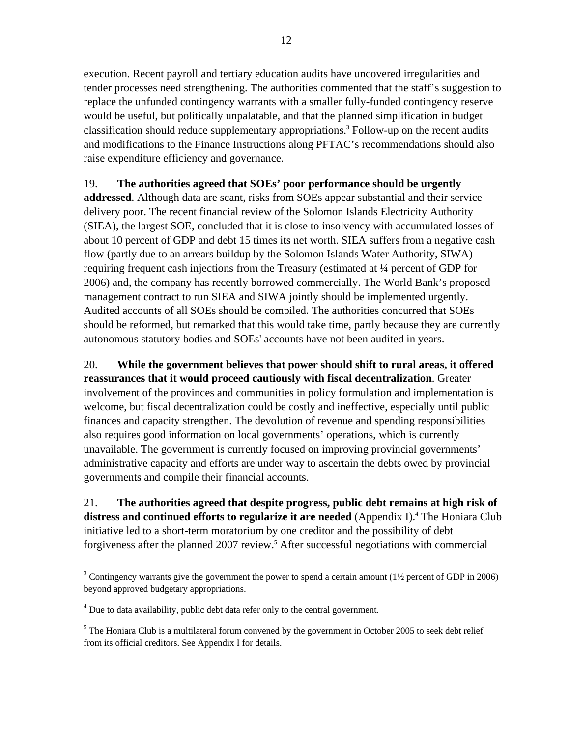execution. Recent payroll and tertiary education audits have uncovered irregularities and tender processes need strengthening. The authorities commented that the staff's suggestion to replace the unfunded contingency warrants with a smaller fully-funded contingency reserve would be useful, but politically unpalatable, and that the planned simplification in budget classification should reduce supplementary appropriations.3 Follow-up on the recent audits and modifications to the Finance Instructions along PFTAC's recommendations should also raise expenditure efficiency and governance.

### 19. **The authorities agreed that SOEs' poor performance should be urgently**

**addressed**. Although data are scant, risks from SOEs appear substantial and their service delivery poor. The recent financial review of the Solomon Islands Electricity Authority (SIEA), the largest SOE, concluded that it is close to insolvency with accumulated losses of about 10 percent of GDP and debt 15 times its net worth. SIEA suffers from a negative cash flow (partly due to an arrears buildup by the Solomon Islands Water Authority, SIWA) requiring frequent cash injections from the Treasury (estimated at ¼ percent of GDP for 2006) and, the company has recently borrowed commercially. The World Bank's proposed management contract to run SIEA and SIWA jointly should be implemented urgently. Audited accounts of all SOEs should be compiled. The authorities concurred that SOEs should be reformed, but remarked that this would take time, partly because they are currently autonomous statutory bodies and SOEs' accounts have not been audited in years.

20. **While the government believes that power should shift to rural areas, it offered reassurances that it would proceed cautiously with fiscal decentralization**. Greater involvement of the provinces and communities in policy formulation and implementation is welcome, but fiscal decentralization could be costly and ineffective, especially until public finances and capacity strengthen. The devolution of revenue and spending responsibilities also requires good information on local governments' operations, which is currently unavailable. The government is currently focused on improving provincial governments' administrative capacity and efforts are under way to ascertain the debts owed by provincial governments and compile their financial accounts.

21. **The authorities agreed that despite progress, public debt remains at high risk of**  distress and continued efforts to regularize it are needed (Appendix I).<sup>4</sup> The Honiara Club initiative led to a short-term moratorium by one creditor and the possibility of debt forgiveness after the planned 2007 review.<sup>5</sup> After successful negotiations with commercial

1

<sup>&</sup>lt;sup>3</sup> Contingency warrants give the government the power to spend a certain amount ( $1\frac{1}{2}$  percent of GDP in 2006) beyond approved budgetary appropriations.

 $<sup>4</sup>$  Due to data availability, public debt data refer only to the central government.</sup>

 $<sup>5</sup>$  The Honiara Club is a multilateral forum convened by the government in October 2005 to seek debt relief</sup> from its official creditors. See Appendix I for details.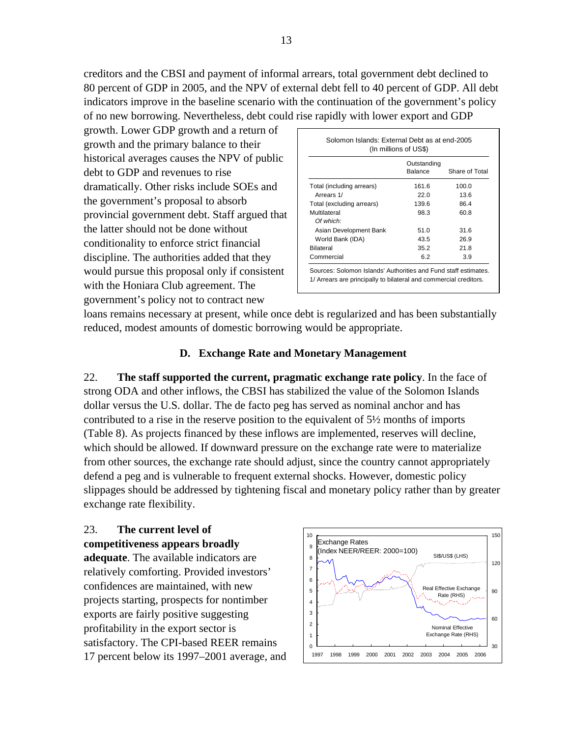creditors and the CBSI and payment of informal arrears, total government debt declined to 80 percent of GDP in 2005, and the NPV of external debt fell to 40 percent of GDP. All debt indicators improve in the baseline scenario with the continuation of the government's policy of no new borrowing. Nevertheless, debt could rise rapidly with lower export and GDP

growth. Lower GDP growth and a return of growth and the primary balance to their historical averages causes the NPV of public debt to GDP and revenues to rise dramatically. Other risks include SOEs and the government's proposal to absorb provincial government debt. Staff argued that the latter should not be done without conditionality to enforce strict financial discipline. The authorities added that they would pursue this proposal only if consistent with the Honiara Club agreement. The government's policy not to contract new

|                           | Outstanding<br>Balance | Share of Total |
|---------------------------|------------------------|----------------|
|                           |                        |                |
| Total (including arrears) | 161.6                  | 100.0          |
| Arrears 1/                | 22.0                   | 13.6           |
| Total (excluding arrears) | 139.6                  | 86.4           |
| Multilateral              | 98.3                   | 60.8           |
| Of which:                 |                        |                |
| Asian Development Bank    | 51.0                   | 31.6           |
| World Bank (IDA)          | 43.5                   | 26.9           |
| Bilateral                 | 35.2                   | 21.8           |
| Commercial                | 6.2                    | 3.9            |

loans remains necessary at present, while once debt is regularized and has been substantially reduced, modest amounts of domestic borrowing would be appropriate.

### **D. Exchange Rate and Monetary Management**

22. **The staff supported the current, pragmatic exchange rate policy**. In the face of strong ODA and other inflows, the CBSI has stabilized the value of the Solomon Islands dollar versus the U.S. dollar. The de facto peg has served as nominal anchor and has contributed to a rise in the reserve position to the equivalent of 5½ months of imports (Table 8). As projects financed by these inflows are implemented, reserves will decline, which should be allowed. If downward pressure on the exchange rate were to materialize from other sources, the exchange rate should adjust, since the country cannot appropriately defend a peg and is vulnerable to frequent external shocks. However, domestic policy slippages should be addressed by tightening fiscal and monetary policy rather than by greater exchange rate flexibility.

### 23. **The current level of competitiveness appears broadly adequate**. The available indicators are relatively comforting. Provided investors' confidences are maintained, with new projects starting, prospects for nontimber exports are fairly positive suggesting profitability in the export sector is satisfactory. The CPI-based REER remains 17 percent below its 1997–2001 average, and

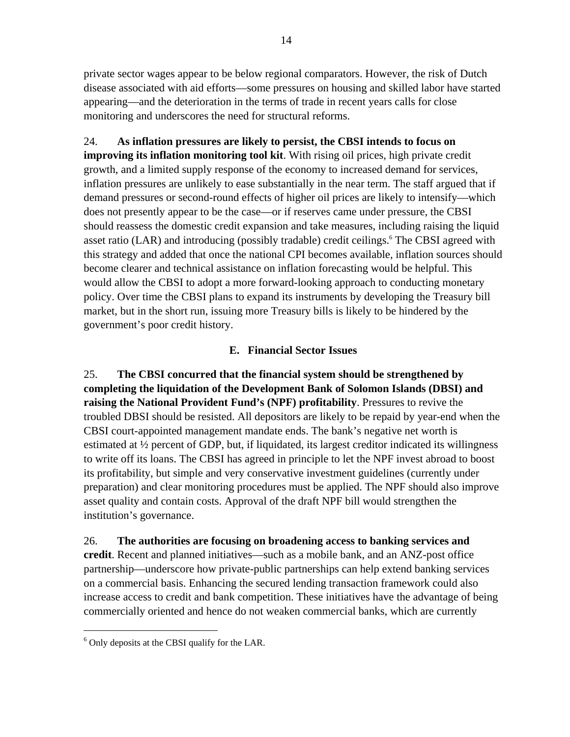private sector wages appear to be below regional comparators. However, the risk of Dutch disease associated with aid efforts—some pressures on housing and skilled labor have started appearing—and the deterioration in the terms of trade in recent years calls for close monitoring and underscores the need for structural reforms.

24. **As inflation pressures are likely to persist, the CBSI intends to focus on improving its inflation monitoring tool kit**. With rising oil prices, high private credit growth, and a limited supply response of the economy to increased demand for services, inflation pressures are unlikely to ease substantially in the near term. The staff argued that if demand pressures or second-round effects of higher oil prices are likely to intensify—which does not presently appear to be the case—or if reserves came under pressure, the CBSI should reassess the domestic credit expansion and take measures, including raising the liquid asset ratio (LAR) and introducing (possibly tradable) credit ceilings.<sup>6</sup> The CBSI agreed with this strategy and added that once the national CPI becomes available, inflation sources should become clearer and technical assistance on inflation forecasting would be helpful. This would allow the CBSI to adopt a more forward-looking approach to conducting monetary policy. Over time the CBSI plans to expand its instruments by developing the Treasury bill market, but in the short run, issuing more Treasury bills is likely to be hindered by the government's poor credit history.

### **E. Financial Sector Issues**

25. **The CBSI concurred that the financial system should be strengthened by completing the liquidation of the Development Bank of Solomon Islands (DBSI) and raising the National Provident Fund's (NPF) profitability**. Pressures to revive the troubled DBSI should be resisted. All depositors are likely to be repaid by year-end when the CBSI court-appointed management mandate ends. The bank's negative net worth is estimated at ½ percent of GDP, but, if liquidated, its largest creditor indicated its willingness to write off its loans. The CBSI has agreed in principle to let the NPF invest abroad to boost its profitability, but simple and very conservative investment guidelines (currently under preparation) and clear monitoring procedures must be applied. The NPF should also improve asset quality and contain costs. Approval of the draft NPF bill would strengthen the institution's governance.

26. **The authorities are focusing on broadening access to banking services and credit**. Recent and planned initiatives—such as a mobile bank, and an ANZ-post office partnership—underscore how private-public partnerships can help extend banking services on a commercial basis. Enhancing the secured lending transaction framework could also increase access to credit and bank competition. These initiatives have the advantage of being commercially oriented and hence do not weaken commercial banks, which are currently

<u>.</u>

<sup>&</sup>lt;sup>6</sup> Only deposits at the CBSI qualify for the LAR.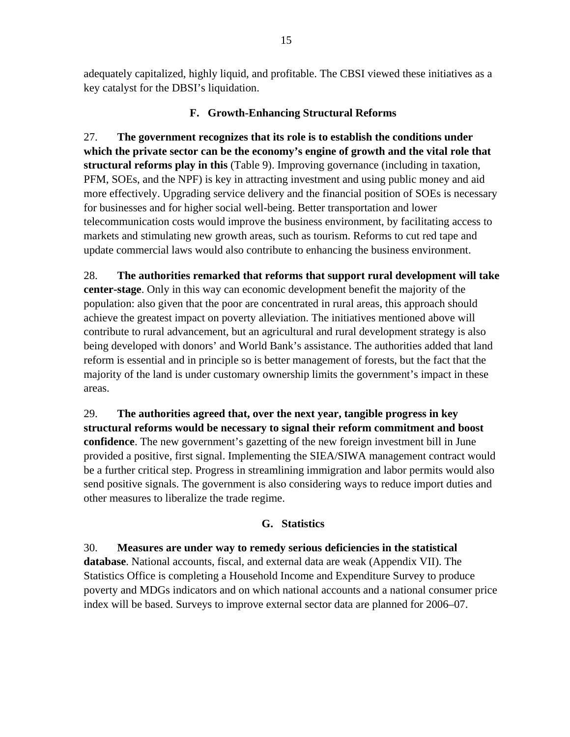adequately capitalized, highly liquid, and profitable. The CBSI viewed these initiatives as a key catalyst for the DBSI's liquidation.

### **F. Growth-Enhancing Structural Reforms**

27. **The government recognizes that its role is to establish the conditions under which the private sector can be the economy's engine of growth and the vital role that structural reforms play in this** (Table 9). Improving governance (including in taxation, PFM, SOEs, and the NPF) is key in attracting investment and using public money and aid more effectively. Upgrading service delivery and the financial position of SOEs is necessary for businesses and for higher social well-being. Better transportation and lower telecommunication costs would improve the business environment, by facilitating access to markets and stimulating new growth areas, such as tourism. Reforms to cut red tape and update commercial laws would also contribute to enhancing the business environment.

28. **The authorities remarked that reforms that support rural development will take center-stage**. Only in this way can economic development benefit the majority of the population: also given that the poor are concentrated in rural areas, this approach should achieve the greatest impact on poverty alleviation. The initiatives mentioned above will contribute to rural advancement, but an agricultural and rural development strategy is also being developed with donors' and World Bank's assistance. The authorities added that land reform is essential and in principle so is better management of forests, but the fact that the majority of the land is under customary ownership limits the government's impact in these areas.

29. **The authorities agreed that, over the next year, tangible progress in key structural reforms would be necessary to signal their reform commitment and boost confidence**. The new government's gazetting of the new foreign investment bill in June provided a positive, first signal. Implementing the SIEA/SIWA management contract would be a further critical step. Progress in streamlining immigration and labor permits would also send positive signals. The government is also considering ways to reduce import duties and other measures to liberalize the trade regime.

### **G. Statistics**

30. **Measures are under way to remedy serious deficiencies in the statistical database**. National accounts, fiscal, and external data are weak (Appendix VII). The Statistics Office is completing a Household Income and Expenditure Survey to produce poverty and MDGs indicators and on which national accounts and a national consumer price index will be based. Surveys to improve external sector data are planned for 2006–07.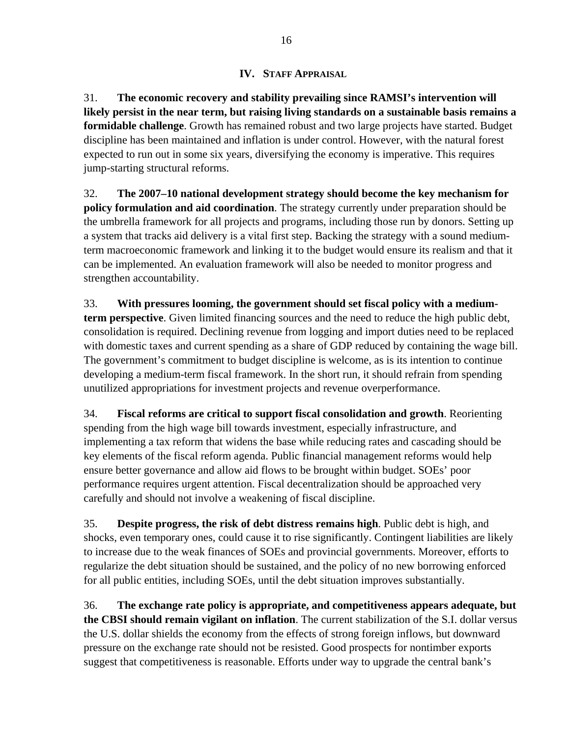### **IV. STAFF APPRAISAL**

31. **The economic recovery and stability prevailing since RAMSI's intervention will likely persist in the near term, but raising living standards on a sustainable basis remains a formidable challenge**. Growth has remained robust and two large projects have started. Budget discipline has been maintained and inflation is under control. However, with the natural forest expected to run out in some six years, diversifying the economy is imperative. This requires jump-starting structural reforms.

32. **The 2007–10 national development strategy should become the key mechanism for policy formulation and aid coordination**. The strategy currently under preparation should be the umbrella framework for all projects and programs, including those run by donors. Setting up a system that tracks aid delivery is a vital first step. Backing the strategy with a sound mediumterm macroeconomic framework and linking it to the budget would ensure its realism and that it can be implemented. An evaluation framework will also be needed to monitor progress and strengthen accountability.

33. **With pressures looming, the government should set fiscal policy with a mediumterm perspective**. Given limited financing sources and the need to reduce the high public debt, consolidation is required. Declining revenue from logging and import duties need to be replaced with domestic taxes and current spending as a share of GDP reduced by containing the wage bill. The government's commitment to budget discipline is welcome, as is its intention to continue developing a medium-term fiscal framework. In the short run, it should refrain from spending unutilized appropriations for investment projects and revenue overperformance.

34. **Fiscal reforms are critical to support fiscal consolidation and growth**. Reorienting spending from the high wage bill towards investment, especially infrastructure, and implementing a tax reform that widens the base while reducing rates and cascading should be key elements of the fiscal reform agenda. Public financial management reforms would help ensure better governance and allow aid flows to be brought within budget. SOEs' poor performance requires urgent attention. Fiscal decentralization should be approached very carefully and should not involve a weakening of fiscal discipline.

35. **Despite progress, the risk of debt distress remains high**. Public debt is high, and shocks, even temporary ones, could cause it to rise significantly. Contingent liabilities are likely to increase due to the weak finances of SOEs and provincial governments. Moreover, efforts to regularize the debt situation should be sustained, and the policy of no new borrowing enforced for all public entities, including SOEs, until the debt situation improves substantially.

36. **The exchange rate policy is appropriate, and competitiveness appears adequate, but the CBSI should remain vigilant on inflation**. The current stabilization of the S.I. dollar versus the U.S. dollar shields the economy from the effects of strong foreign inflows, but downward pressure on the exchange rate should not be resisted. Good prospects for nontimber exports suggest that competitiveness is reasonable. Efforts under way to upgrade the central bank's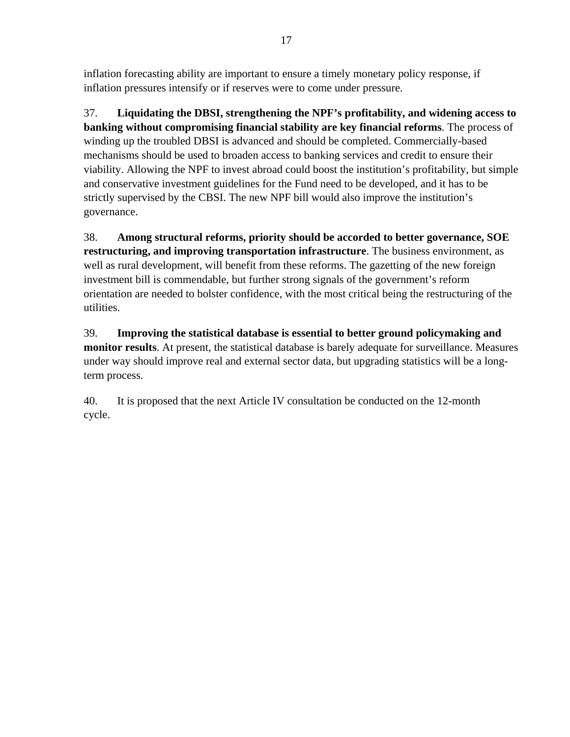inflation forecasting ability are important to ensure a timely monetary policy response, if inflation pressures intensify or if reserves were to come under pressure.

37. **Liquidating the DBSI, strengthening the NPF's profitability, and widening access to banking without compromising financial stability are key financial reforms**. The process of winding up the troubled DBSI is advanced and should be completed. Commercially-based mechanisms should be used to broaden access to banking services and credit to ensure their viability. Allowing the NPF to invest abroad could boost the institution's profitability, but simple and conservative investment guidelines for the Fund need to be developed, and it has to be strictly supervised by the CBSI. The new NPF bill would also improve the institution's governance.

38. **Among structural reforms, priority should be accorded to better governance, SOE restructuring, and improving transportation infrastructure**. The business environment, as well as rural development, will benefit from these reforms. The gazetting of the new foreign investment bill is commendable, but further strong signals of the government's reform orientation are needed to bolster confidence, with the most critical being the restructuring of the utilities.

39. **Improving the statistical database is essential to better ground policymaking and monitor results**. At present, the statistical database is barely adequate for surveillance. Measures under way should improve real and external sector data, but upgrading statistics will be a longterm process.

40. It is proposed that the next Article IV consultation be conducted on the 12-month cycle.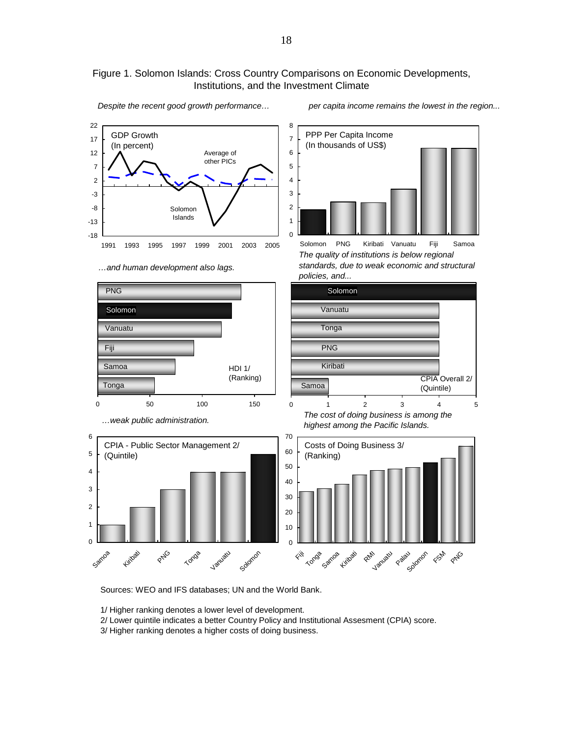#### Figure 1. Solomon Islands: Cross Country Comparisons on Economic Developments, Institutions, and the Investment Climate

8

1



*…and human development also lags.*

*Despite the recent good growth performance… per capita income remains the lowest in the region...* 

PPP Per Capita Income

*The quality of institutions is below regional standards, due to weak economic and structural policies, and...*



Sources: WEO and IFS databases; UN and the World Bank.

1/ Higher ranking denotes a lower level of development.

2/ Lower quintile indicates a better Country Policy and Institutional Assesment (CPIA) score.

3/ Higher ranking denotes a higher costs of doing business.

<sup>(</sup>In thousands of US\$)  $\Omega$ 2 3 4 5 6 7 Solomon PNG Kiribati Vanuatu Fiji Samoa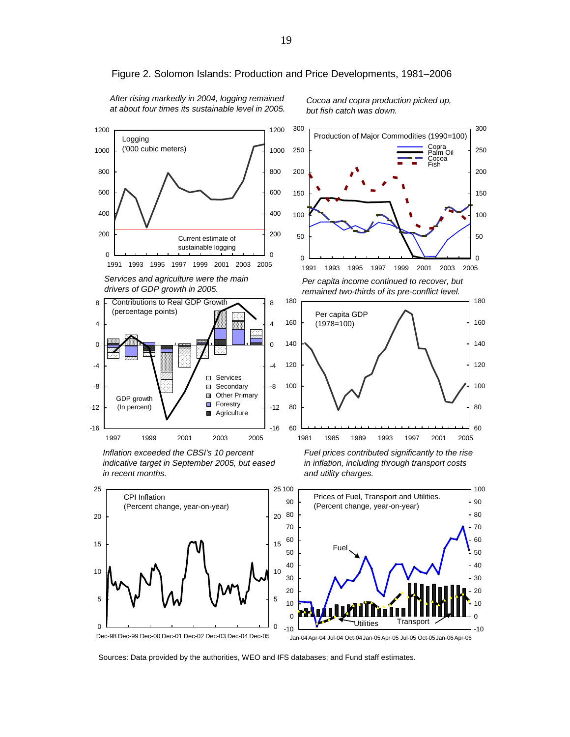

Figure 2. Solomon Islands: Production and Price Developments, 1981–2006

*After rising markedly in 2004, logging remained at about four times its sustainable level in 2005.*

*Cocoa and copra production picked up, but fish catch was down.*



0

50

100

150

200

250

 Copra Palm Oil Cocoa Fish

300

*Inflation exceeded the CBSI's 10 percent indicative target in September 2005, but eased in recent months.* 



*Fuel prices contributed significantly to the rise in inflation, including through transport costs and utility charges.*



Dec-98 Dec-99 Dec-00 Dec-01 Dec-02 Dec-03 Dec-04 Dec-05

Jan-04Apr-04 Jul-04 Oct-04Jan-05Apr-05 Jul-05 Oct-05Jan-06Apr-06

Sources: Data provided by the authorities, WEO and IFS databases; and Fund staff estimates.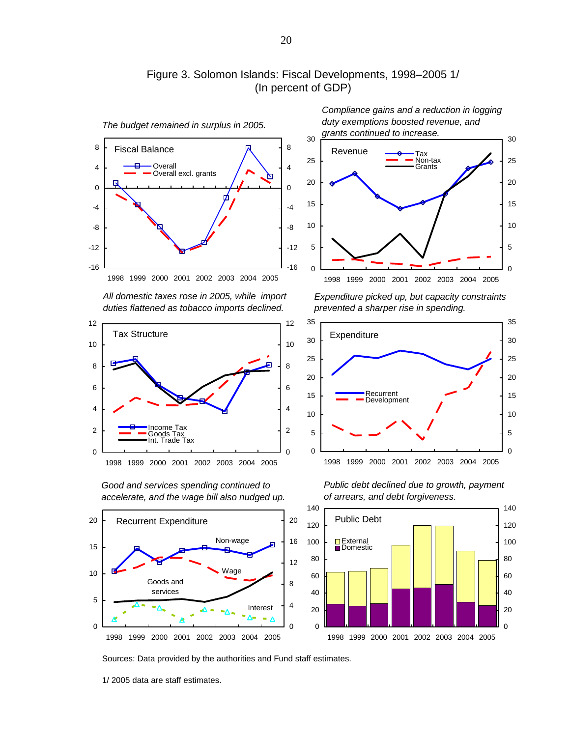

### Figure 3. Solomon Islands: Fiscal Developments, 1998–2005 1/ (In percent of GDP)

*All domestic taxes rose in 2005, while import duties flattened as tobacco imports declined.*



*Good and services spending continued to accelerate, and the wage bill also nudged up.*



*Compliance gains and a reduction in logging duty exemptions boosted revenue, and grants continued to increase.*



*Expenditure picked up, but capacity constraints prevented a sharper rise in spending.*



*Public debt declined due to growth, payment of arrears, and debt forgiveness.*

Sources: Data provided by the authorities and Fund staff estimates.

1/ 2005 data are staff estimates.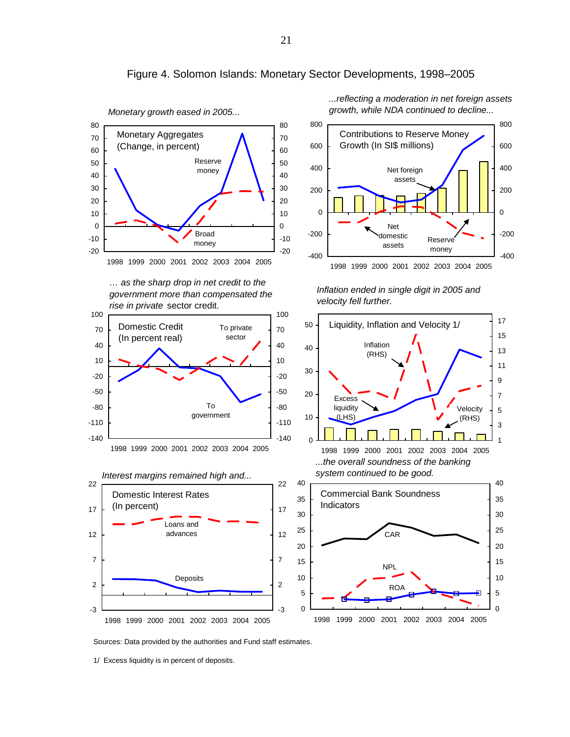

#### Figure 4. Solomon Islands: Monetary Sector Developments, 1998–2005

Sources: Data provided by the authorities and Fund staff estimates.

<sup>1/</sup> Excess liquidity is in percent of deposits.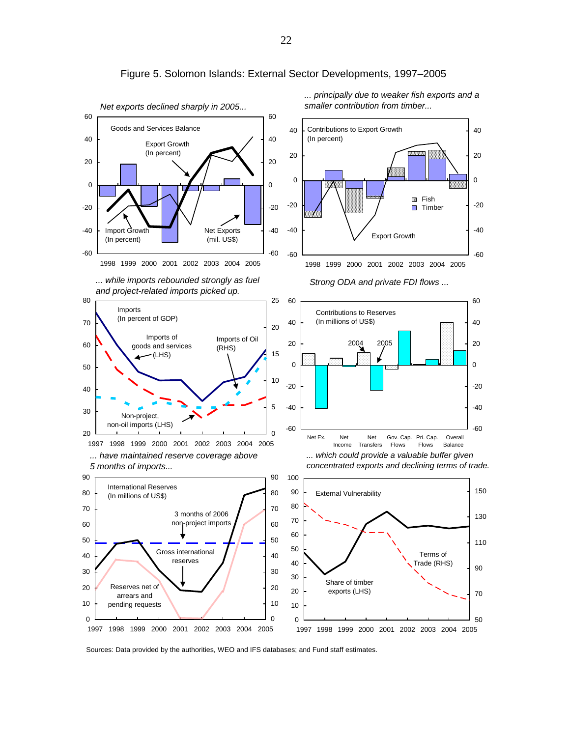

Figure 5. Solomon Islands: External Sector Developments, 1997–2005

Sources: Data provided by the authorities, WEO and IFS databases; and Fund staff estimates.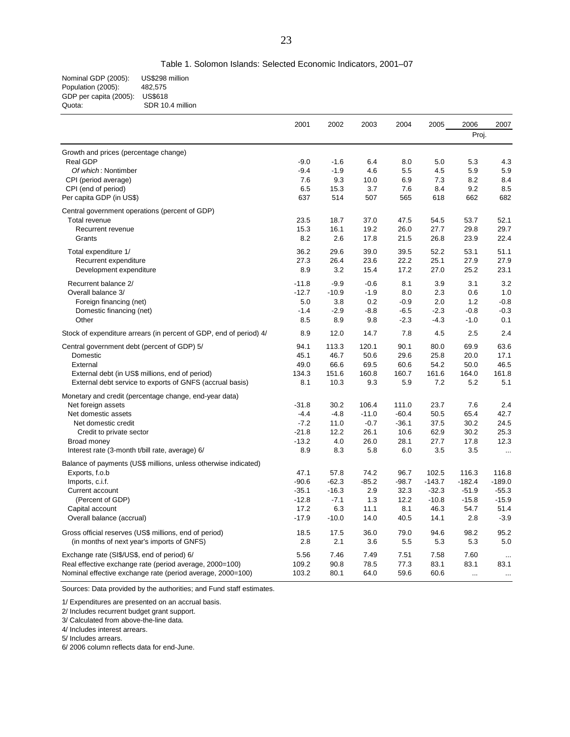| Nominal GDP (2005):    | US\$298 million  |
|------------------------|------------------|
| Population (2005):     | 482.575          |
| GDP per capita (2005): | <b>US\$618</b>   |
| Quota:                 | SDR 10.4 million |
|                        |                  |

|                                                                    | 2001    | 2002    | 2003    | 2004    | 2005     | 2006                     | 2007      |
|--------------------------------------------------------------------|---------|---------|---------|---------|----------|--------------------------|-----------|
|                                                                    |         |         |         |         | Proj.    |                          |           |
| Growth and prices (percentage change)                              |         |         |         |         |          |                          |           |
| Real GDP                                                           | $-9.0$  | $-1.6$  | 6.4     | 8.0     | 5.0      | 5.3                      | 4.3       |
| Of which: Nontimber                                                | $-9.4$  | $-1.9$  | 4.6     | 5.5     | 4.5      | 5.9                      | 5.9       |
| CPI (period average)                                               | 7.6     | 9.3     | 10.0    | 6.9     | 7.3      | 8.2                      | 8.4       |
| CPI (end of period)                                                | 6.5     | 15.3    | 3.7     | 7.6     | 8.4      | 9.2                      | 8.5       |
| Per capita GDP (in US\$)                                           | 637     | 514     | 507     | 565     | 618      | 662                      | 682       |
| Central government operations (percent of GDP)                     |         |         |         |         |          |                          |           |
| Total revenue                                                      | 23.5    | 18.7    | 37.0    | 47.5    | 54.5     | 53.7                     | 52.1      |
| Recurrent revenue                                                  | 15.3    | 16.1    | 19.2    | 26.0    | 27.7     | 29.8                     | 29.7      |
| Grants                                                             | 8.2     | 2.6     | 17.8    | 21.5    | 26.8     | 23.9                     | 22.4      |
| Total expenditure 1/                                               | 36.2    | 29.6    | 39.0    | 39.5    | 52.2     | 53.1                     | 51.1      |
| Recurrent expenditure                                              | 27.3    | 26.4    | 23.6    | 22.2    | 25.1     | 27.9                     | 27.9      |
| Development expenditure                                            | 8.9     | 3.2     | 15.4    | 17.2    | 27.0     | 25.2                     | 23.1      |
| Recurrent balance 2/                                               | $-11.8$ | $-9.9$  | $-0.6$  | 8.1     | 3.9      | 3.1                      | 3.2       |
| Overall balance 3/                                                 | $-12.7$ | $-10.9$ | $-1.9$  | 8.0     | 2.3      | 0.6                      | 1.0       |
| Foreign financing (net)                                            | 5.0     | 3.8     | 0.2     | $-0.9$  | 2.0      | 1.2                      | $-0.8$    |
| Domestic financing (net)                                           | $-1.4$  | $-2.9$  | $-8.8$  | $-6.5$  | $-2.3$   | $-0.8$                   | $-0.3$    |
| Other                                                              | 8.5     | 8.9     | 9.8     | $-2.3$  | $-4.3$   | $-1.0$                   | 0.1       |
| Stock of expenditure arrears (in percent of GDP, end of period) 4/ | 8.9     | 12.0    | 14.7    | 7.8     | 4.5      | 2.5                      | 2.4       |
| Central government debt (percent of GDP) 5/                        | 94.1    | 113.3   | 120.1   | 90.1    | 80.0     | 69.9                     | 63.6      |
| Domestic                                                           | 45.1    | 46.7    | 50.6    | 29.6    | 25.8     | 20.0                     | 17.1      |
| External                                                           | 49.0    | 66.6    | 69.5    | 60.6    | 54.2     | 50.0                     | 46.5      |
| External debt (in US\$ millions, end of period)                    | 134.3   | 151.6   | 160.8   | 160.7   | 161.6    | 164.0                    | 161.8     |
| External debt service to exports of GNFS (accrual basis)           | 8.1     | 10.3    | 9.3     | 5.9     | 7.2      | 5.2                      | 5.1       |
| Monetary and credit (percentage change, end-year data)             |         |         |         |         |          |                          |           |
| Net foreign assets                                                 | $-31.8$ | 30.2    | 106.4   | 111.0   | 23.7     | 7.6                      | 2.4       |
| Net domestic assets                                                | $-4.4$  | $-4.8$  | $-11.0$ | $-60.4$ | 50.5     | 65.4                     | 42.7      |
| Net domestic credit                                                | $-7.2$  | 11.0    | $-0.7$  | $-36.1$ | 37.5     | 30.2                     | 24.5      |
| Credit to private sector                                           | $-21.8$ | 12.2    | 26.1    | 10.6    | 62.9     | 30.2                     | 25.3      |
| Broad money                                                        | $-13.2$ | 4.0     | 26.0    | 28.1    | 27.7     | 17.8                     | 12.3      |
| Interest rate (3-month t/bill rate, average) 6/                    | 8.9     | 8.3     | 5.8     | 6.0     | 3.5      | 3.5                      | $\ldots$  |
| Balance of payments (US\$ millions, unless otherwise indicated)    |         |         |         |         |          |                          |           |
| Exports, f.o.b                                                     | 47.1    | 57.8    | 74.2    | 96.7    | 102.5    | 116.3                    | 116.8     |
| Imports, c.i.f.                                                    | $-90.6$ | $-62.3$ | $-85.2$ | $-98.7$ | $-143.7$ | $-182.4$                 | $-189.0$  |
| Current account                                                    | $-35.1$ | $-16.3$ | 2.9     | 32.3    | $-32.3$  | $-51.9$                  | $-55.3$   |
| (Percent of GDP)                                                   | $-12.8$ | $-7.1$  | 1.3     | 12.2    | $-10.8$  | $-15.8$                  | $-15.9$   |
| Capital account                                                    | 17.2    | 6.3     | 11.1    | 8.1     | 46.3     | 54.7                     | 51.4      |
| Overall balance (accrual)                                          | $-17.9$ | $-10.0$ | 14.0    | 40.5    | 14.1     | 2.8                      | $-3.9$    |
| Gross official reserves (US\$ millions, end of period)             | 18.5    | 17.5    | 36.0    | 79.0    | 94.6     | 98.2                     | 95.2      |
| (in months of next year's imports of GNFS)                         | 2.8     | 2.1     | 3.6     | 5.5     | 5.3      | 5.3                      | 5.0       |
| Exchange rate (SI\$/US\$, end of period) 6/                        | 5.56    | 7.46    | 7.49    | 7.51    | 7.58     | 7.60                     | $\ddotsc$ |
| Real effective exchange rate (period average, 2000=100)            | 109.2   | 90.8    | 78.5    | 77.3    | 83.1     | 83.1                     | 83.1      |
| Nominal effective exchange rate (period average, 2000=100)         | 103.2   | 80.1    | 64.0    | 59.6    | 60.6     | $\overline{\phantom{a}}$ | $\cdots$  |

Sources: Data provided by the authorities; and Fund staff estimates.

1/ Expenditures are presented on an accrual basis.

2/ Includes recurrent budget grant support.

3/ Calculated from above-the-line data.

4/ Includes interest arrears.

5/ Includes arrears.

6/ 2006 column reflects data for end-June.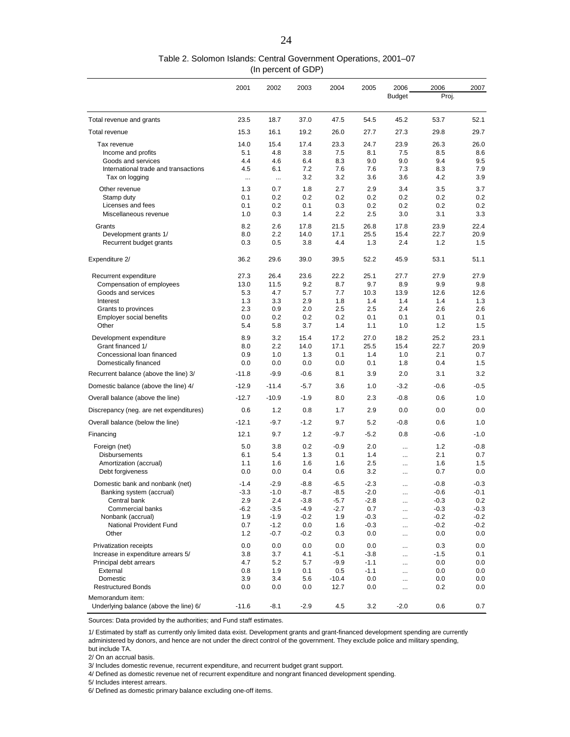|                                                        | 2001       | 2002       | 2003       | 2004       | 2005       | 2006          | 2006       | 2007       |
|--------------------------------------------------------|------------|------------|------------|------------|------------|---------------|------------|------------|
|                                                        |            |            |            |            |            | <b>Budget</b> | Proj.      |            |
|                                                        |            |            |            |            |            |               |            |            |
| Total revenue and grants                               | 23.5       | 18.7       | 37.0       | 47.5       | 54.5       | 45.2          | 53.7       | 52.1       |
| Total revenue                                          | 15.3       | 16.1       | 19.2       | 26.0       | 27.7       | 27.3          | 29.8       | 29.7       |
| Tax revenue                                            | 14.0       | 15.4       | 17.4       | 23.3       | 24.7       | 23.9          | 26.3       | 26.0       |
| Income and profits                                     | 5.1        | 4.8        | 3.8        | 7.5        | 8.1        | 7.5           | 8.5        | 8.6        |
| Goods and services                                     | 4.4        | 4.6        | 6.4        | 8.3        | 9.0        | 9.0           | 9.4        | 9.5        |
| International trade and transactions                   | 4.5        | 6.1        | 7.2        | 7.6        | 7.6        | 7.3           | 8.3        | 7.9        |
| Tax on logging                                         | $\ddotsc$  | $\sim$     | 3.2        | 3.2        | 3.6        | 3.6           | 4.2        | 3.9        |
| Other revenue                                          | 1.3        | 0.7        | 1.8        | 2.7        | 2.9        | 3.4           | 3.5        | 3.7        |
| Stamp duty                                             | 0.1        | 0.2        | 0.2        | 0.2        | 0.2        | 0.2           | 0.2        | 0.2        |
| Licenses and fees                                      | 0.1        | 0.2        | 0.1        | 0.3        | 0.2        | 0.2           | 0.2        | 0.2        |
| Miscellaneous revenue                                  | 1.0        | 0.3        | 1.4        | 2.2        | 2.5        | 3.0           | 3.1        | 3.3        |
|                                                        |            |            |            |            |            |               |            |            |
| Grants                                                 | 8.2        | 2.6        | 17.8       | 21.5       | 26.8       | 17.8          | 23.9       | 22.4       |
| Development grants 1/                                  | 8.0        | 2.2        | 14.0       | 17.1       | 25.5       | 15.4          | 22.7       | 20.9       |
| Recurrent budget grants                                | 0.3        | 0.5        | 3.8        | 4.4        | 1.3        | 2.4           | 1.2        | 1.5        |
| Expenditure 2/                                         | 36.2       | 29.6       | 39.0       | 39.5       | 52.2       | 45.9          | 53.1       | 51.1       |
|                                                        |            |            |            |            |            |               |            |            |
| Recurrent expenditure                                  | 27.3       | 26.4       | 23.6       | 22.2       | 25.1       | 27.7          | 27.9       | 27.9       |
| Compensation of employees                              | 13.0       | 11.5       | 9.2        | 8.7        | 9.7        | 8.9           | 9.9        | 9.8        |
| Goods and services                                     | 5.3        | 4.7        | 5.7        | 7.7        | 10.3       | 13.9<br>1.4   | 12.6       | 12.6       |
| Interest                                               | 1.3<br>2.3 | 3.3<br>0.9 | 2.9<br>2.0 | 1.8<br>2.5 | 1.4<br>2.5 | 2.4           | 1.4<br>2.6 | 1.3<br>2.6 |
| Grants to provinces<br><b>Employer social benefits</b> | 0.0        | 0.2        | 0.2        | 0.2        | 0.1        | 0.1           | 0.1        | 0.1        |
| Other                                                  | 5.4        | 5.8        | 3.7        | 1.4        | 1.1        | 1.0           | 1.2        | 1.5        |
|                                                        |            |            |            |            |            |               |            |            |
| Development expenditure                                | 8.9        | 3.2        | 15.4       | 17.2       | 27.0       | 18.2          | 25.2       | 23.1       |
| Grant financed 1/                                      | 8.0        | 2.2        | 14.0       | 17.1       | 25.5       | 15.4          | 22.7       | 20.9       |
| Concessional loan financed                             | 0.9        | 1.0        | 1.3        | 0.1        | 1.4        | 1.0           | 2.1        | 0.7        |
| Domestically financed                                  | 0.0        | 0.0        | 0.0        | 0.0        | 0.1        | 1.8           | 0.4        | 1.5        |
| Recurrent balance (above the line) 3/                  | $-11.8$    | $-9.9$     | $-0.6$     | 8.1        | 3.9        | 2.0           | 3.1        | 3.2        |
| Domestic balance (above the line) 4/                   | $-12.9$    | $-11.4$    | $-5.7$     | 3.6        | 1.0        | $-3.2$        | -0.6       | $-0.5$     |
| Overall balance (above the line)                       | $-12.7$    | $-10.9$    | $-1.9$     | 8.0        | 2.3        | $-0.8$        | 0.6        | 1.0        |
| Discrepancy (neg. are net expenditures)                | 0.6        | 1.2        | 0.8        | 1.7        | 2.9        | 0.0           | 0.0        | 0.0        |
| Overall balance (below the line)                       | $-12.1$    | $-9.7$     | $-1.2$     | 9.7        | 5.2        | $-0.8$        | 0.6        | 1.0        |
| Financing                                              | 12.1       | 9.7        | 1.2        | $-9.7$     | $-5.2$     | 0.8           | $-0.6$     | $-1.0$     |
| Foreign (net)                                          | 5.0        | 3.8        | 0.2        | $-0.9$     | 2.0        |               | 1.2        | -0.8       |
| <b>Disbursements</b>                                   | 6.1        | 5.4        | 1.3        | 0.1        | 1.4        | $\ddotsc$     | 2.1        | 0.7        |
| Amortization (accrual)                                 | 1.1        | 1.6        | 1.6        | 1.6        | 2.5        | $\cdots$      | 1.6        | 1.5        |
| Debt forgiveness                                       | 0.0        | 0.0        | 0.4        | 0.6        | 3.2        | $\ddotsc$     | 0.7        | 0.0        |
| Domestic bank and nonbank (net)                        | $-1.4$     | $-2.9$     | $-8.8$     | -6.5       | $-2.3$     | $\ddotsc$     | $-0.8$     | $-0.3$     |
| Banking system (accrual)                               | $-3.3$     | $-1.0$     | -8.7       | $-8.5$     | $-2.0$     |               | $-0.6$     | $-0.1$     |
| Central bank                                           | 2.9        | 2.4        | $-3.8$     | $-5.7$     | $-2.8$     |               | $-0.3$     | 0.2        |
| Commercial banks                                       | -6.2       | $-3.5$     | $-4.9$     | $-2.7$     | 0.7        |               | $-0.3$     | $-0.3$     |
| Nonbank (accrual)                                      | 1.9        | $-1.9$     | $-0.2$     | 1.9        | $-0.3$     |               | $-0.2$     | $-0.2$     |
| National Provident Fund                                | 0.7        | $-1.2$     | 0.0        | 1.6        | $-0.3$     | $\cdots$      | $-0.2$     | $-0.2$     |
| Other                                                  | 1.2        | $-0.7$     | $-0.2$     | 0.3        | $0.0\,$    |               | 0.0        | 0.0        |
| Privatization receipts                                 | 0.0        | 0.0        | 0.0        | 0.0        | 0.0        | $\cdots$      | 0.3        | 0.0        |
| Increase in expenditure arrears 5/                     | 3.8        | 3.7        | 4.1        | $-5.1$     | $-3.8$     |               | $-1.5$     | 0.1        |
| Principal debt arrears                                 | 4.7        | 5.2        | 5.7        | $-9.9$     | $-1.1$     | $\cdots$      | 0.0        | 0.0        |
| External                                               | 0.8        | 1.9        | 0.1        | 0.5        | $-1.1$     | $\cdots$      | 0.0        | 0.0        |
| Domestic                                               | 3.9        | 3.4        | 5.6        | $-10.4$    | 0.0        |               | 0.0        | 0.0        |
| <b>Restructured Bonds</b>                              | 0.0        | 0.0        | 0.0        | 12.7       | 0.0        |               | 0.2        | 0.0        |
| Memorandum item:                                       |            |            |            |            |            |               |            |            |
| Underlying balance (above the line) 6/                 | $-11.6$    | $-8.1$     | $-2.9$     | 4.5        | 3.2        | $-2.0$        | 0.6        | 0.7        |

Sources: Data provided by the authorities; and Fund staff estimates.

1/ Estimated by staff as currently only limited data exist. Development grants and grant-financed development spending are currently administered by donors, and hence are not under the direct control of the government. They exclude police and military spending, but include TA.

2/ On an accrual basis.

3/ Includes domestic revenue, recurrent expenditure, and recurrent budget grant support.

4/ Defined as domestic revenue net of recurrent expenditure and nongrant financed development spending.

5/ Includes interest arrears.

6/ Defined as domestic primary balance excluding one-off items.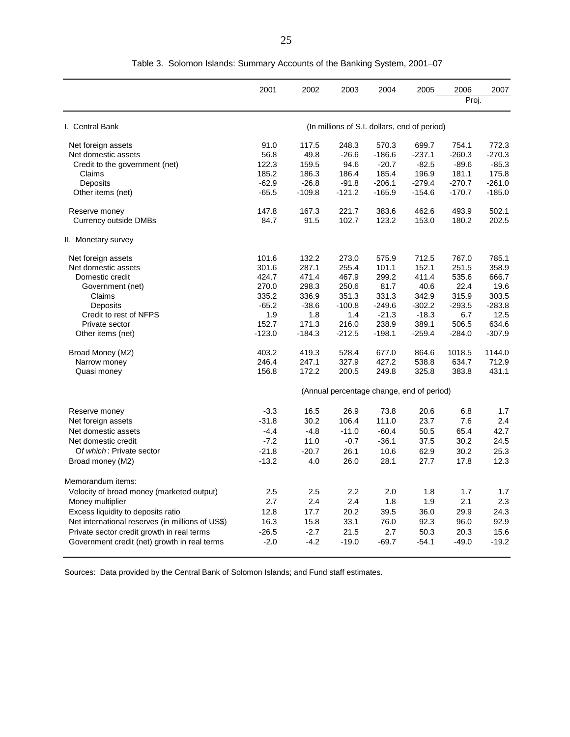|                                                  | 2001     | 2002     | 2003                                         | 2004     | 2005     | 2006     | 2007     |
|--------------------------------------------------|----------|----------|----------------------------------------------|----------|----------|----------|----------|
|                                                  |          |          |                                              |          |          | Proj.    |          |
| I. Central Bank                                  |          |          | (In millions of S.I. dollars, end of period) |          |          |          |          |
| Net foreign assets                               | 91.0     | 117.5    | 248.3                                        | 570.3    | 699.7    | 754.1    | 772.3    |
| Net domestic assets                              | 56.8     | 49.8     | $-26.6$                                      | $-186.6$ | $-237.1$ | $-260.3$ | $-270.3$ |
| Credit to the government (net)                   | 122.3    | 159.5    | 94.6                                         | $-20.7$  | $-82.5$  | $-89.6$  | $-85.3$  |
| Claims                                           | 185.2    | 186.3    | 186.4                                        | 185.4    | 196.9    | 181.1    | 175.8    |
| Deposits                                         | $-62.9$  | $-26.8$  | $-91.8$                                      | $-206.1$ | $-279.4$ | $-270.7$ | $-261.0$ |
| Other items (net)                                | $-65.5$  | $-109.8$ | $-121.2$                                     | $-165.9$ | $-154.6$ | $-170.7$ | $-185.0$ |
| Reserve money                                    | 147.8    | 167.3    | 221.7                                        | 383.6    | 462.6    | 493.9    | 502.1    |
| <b>Currency outside DMBs</b>                     | 84.7     | 91.5     | 102.7                                        | 123.2    | 153.0    | 180.2    | 202.5    |
| II. Monetary survey                              |          |          |                                              |          |          |          |          |
| Net foreign assets                               | 101.6    | 132.2    | 273.0                                        | 575.9    | 712.5    | 767.0    | 785.1    |
| Net domestic assets                              | 301.6    | 287.1    | 255.4                                        | 101.1    | 152.1    | 251.5    | 358.9    |
| Domestic credit                                  | 424.7    | 471.4    | 467.9                                        | 299.2    | 411.4    | 535.6    | 666.7    |
| Government (net)                                 | 270.0    | 298.3    | 250.6                                        | 81.7     | 40.6     | 22.4     | 19.6     |
| Claims                                           | 335.2    | 336.9    | 351.3                                        | 331.3    | 342.9    | 315.9    | 303.5    |
| Deposits                                         | $-65.2$  | $-38.6$  | $-100.8$                                     | $-249.6$ | $-302.2$ | $-293.5$ | $-283.8$ |
| Credit to rest of NFPS                           | 1.9      | 1.8      | 1.4                                          | $-21.3$  | $-18.3$  | 6.7      | 12.5     |
| Private sector                                   | 152.7    | 171.3    | 216.0                                        | 238.9    | 389.1    | 506.5    | 634.6    |
| Other items (net)                                | $-123.0$ | $-184.3$ | $-212.5$                                     | $-198.1$ | $-259.4$ | $-284.0$ | $-307.9$ |
| Broad Money (M2)                                 | 403.2    | 419.3    | 528.4                                        | 677.0    | 864.6    | 1018.5   | 1144.0   |
| Narrow money                                     | 246.4    | 247.1    | 327.9                                        | 427.2    | 538.8    | 634.7    | 712.9    |
| Quasi money                                      | 156.8    | 172.2    | 200.5                                        | 249.8    | 325.8    | 383.8    | 431.1    |
|                                                  |          |          | (Annual percentage change, end of period)    |          |          |          |          |
| Reserve money                                    | $-3.3$   | 16.5     | 26.9                                         | 73.8     | 20.6     | 6.8      | 1.7      |
| Net foreign assets                               | $-31.8$  | 30.2     | 106.4                                        | 111.0    | 23.7     | 7.6      | 2.4      |
| Net domestic assets                              | $-4.4$   | $-4.8$   | $-11.0$                                      | $-60.4$  | 50.5     | 65.4     | 42.7     |
| Net domestic credit                              | $-7.2$   | 11.0     | $-0.7$                                       | $-36.1$  | 37.5     | 30.2     | 24.5     |
| Of which: Private sector                         | $-21.8$  | $-20.7$  | 26.1                                         | 10.6     | 62.9     | 30.2     | 25.3     |
| Broad money (M2)                                 | $-13.2$  | 4.0      | 26.0                                         | 28.1     | 27.7     | 17.8     | 12.3     |
| Memorandum items:                                |          |          |                                              |          |          |          |          |
| Velocity of broad money (marketed output)        | 2.5      | 2.5      | 2.2                                          | 2.0      | 1.8      | 1.7      | 1.7      |
| Money multiplier                                 | 2.7      | 2.4      | 2.4                                          | 1.8      | 1.9      | 2.1      | 2.3      |
| Excess liquidity to deposits ratio               | 12.8     | 17.7     | 20.2                                         | 39.5     | 36.0     | 29.9     | 24.3     |
| Net international reserves (in millions of US\$) | 16.3     | 15.8     | 33.1                                         | 76.0     | 92.3     | 96.0     | 92.9     |
| Private sector credit growth in real terms       | $-26.5$  | $-2.7$   | 21.5                                         | 2.7      | 50.3     | 20.3     | 15.6     |
| Government credit (net) growth in real terms     | $-2.0$   | $-4.2$   | $-19.0$                                      | $-69.7$  | $-54.1$  | $-49.0$  | $-19.2$  |
|                                                  |          |          |                                              |          |          |          |          |

Table 3. Solomon Islands: Summary Accounts of the Banking System, 2001–07

Sources: Data provided by the Central Bank of Solomon Islands; and Fund staff estimates.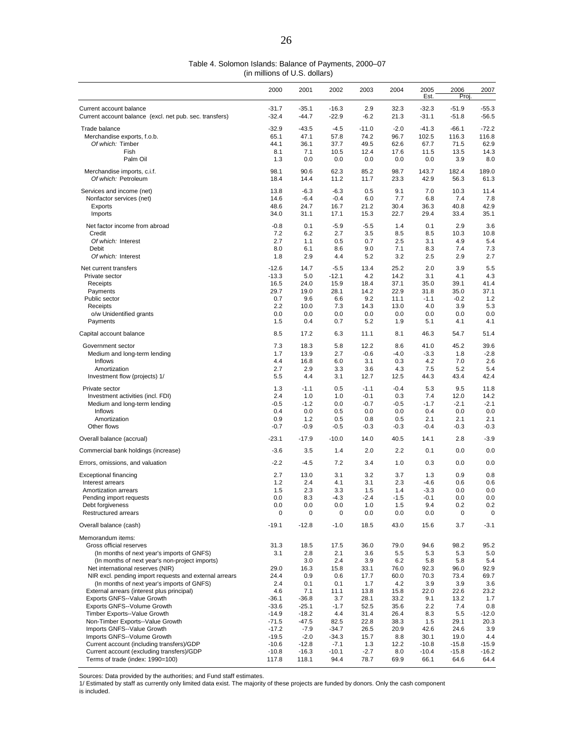(in millions of U.S. dollars)

|                                                                          | 2000               | 2001              | 2002              | 2003        | 2004        | 2005<br>Est.    | 2006<br>Proj    | 2007           |
|--------------------------------------------------------------------------|--------------------|-------------------|-------------------|-------------|-------------|-----------------|-----------------|----------------|
| Current account balance                                                  | $-31.7$            | $-35.1$           | $-16.3$           | 2.9         | 32.3        | $-32.3$         | $-51.9$         | $-55.3$        |
| Current account balance (excl. net pub. sec. transfers)                  | $-32.4$            | $-44.7$           | $-22.9$           | $-6.2$      | 21.3        | $-31.1$         | $-51.8$         | $-56.5$        |
|                                                                          |                    |                   |                   |             |             |                 |                 |                |
| Trade balance                                                            | $-32.9$            | $-43.5$           | $-4.5$            | $-11.0$     | $-2.0$      | $-41.3$         | $-66.1$         | $-72.2$        |
| Merchandise exports, f.o.b.                                              | 65.1               | 47.1              | 57.8              | 74.2        | 96.7        | 102.5           | 116.3           | 116.8          |
| Of which: Timber                                                         | 44.1               | 36.1              | 37.7              | 49.5        | 62.6        | 67.7            | 71.5            | 62.9           |
| Fish                                                                     | 8.1                | 7.1               | 10.5              | 12.4        | 17.6        | 11.5            | 13.5            | 14.3           |
| Palm Oil                                                                 | 1.3                | 0.0               | 0.0               | 0.0         | 0.0         | 0.0             | 3.9             | 8.0            |
|                                                                          | 98.1               | 90.6              | 62.3              | 85.2        | 98.7        | 143.7           | 182.4           | 189.0          |
| Merchandise imports, c.i.f.<br>Of which: Petroleum                       |                    | 14.4              |                   | 11.7        |             |                 | 56.3            | 61.3           |
|                                                                          | 18.4               |                   | 11.2              |             | 23.3        | 42.9            |                 |                |
| Services and income (net)                                                | 13.8               | $-6.3$            | $-6.3$            | 0.5         | 9.1         | 7.0             | 10.3            | 11.4           |
| Nonfactor services (net)                                                 | 14.6               | $-6.4$            | $-0.4$            | 6.0         | 7.7         | 6.8             | 7.4             | 7.8            |
| Exports                                                                  | 48.6               | 24.7              | 16.7              | 21.2        | 30.4        | 36.3            | 40.8            | 42.9           |
| Imports                                                                  | 34.0               | 31.1              | 17.1              | 15.3        | 22.7        | 29.4            | 33.4            | 35.1           |
|                                                                          |                    |                   |                   |             |             |                 |                 |                |
| Net factor income from abroad                                            | -0.8               | 0.1               | $-5.9$            | $-5.5$      | 1.4         | 0.1             | 2.9             | 3.6            |
| Credit                                                                   | 7.2                | 6.2               | 2.7               | 3.5         | 8.5         | 8.5             | 10.3            | 10.8           |
| Of which: Interest                                                       | 2.7                | 1.1               | 0.5               | 0.7         | 2.5         | 3.1             | 4.9             | 5.4            |
| Debit                                                                    | 8.0                | 6.1               | 8.6               | 9.0         | 7.1         | 8.3             | 7.4             | 7.3            |
| Of which: Interest                                                       | 1.8                | 2.9               | 4.4               | 5.2         | 3.2         | 2.5             | 2.9             | 2.7            |
| Net current transfers                                                    | $-12.6$            | 14.7              | $-5.5$            | 13.4        | 25.2        | 2.0             | 3.9             | 5.5            |
| Private sector                                                           | $-13.3$            | 5.0               | $-12.1$           | 4.2         | 14.2        | 3.1             | 4.1             | 4.3            |
| Receipts                                                                 | 16.5               | 24.0              | 15.9              | 18.4        | 37.1        | 35.0            | 39.1            | 41.4           |
| Payments                                                                 | 29.7               | 19.0              | 28.1              | 14.2        | 22.9        | 31.8            | 35.0            | 37.1           |
| Public sector                                                            | 0.7                | 9.6               | 6.6               | 9.2         | 11.1        | $-1.1$          | $-0.2$          | 1.2            |
| Receipts                                                                 | 2.2                | 10.0              | 7.3               | 14.3        | 13.0        | 4.0             | 3.9             | 5.3            |
| o/w Unidentified grants                                                  | 0.0                | 0.0               | 0.0               | 0.0         | 0.0         | 0.0             | 0.0             | 0.0            |
| Payments                                                                 | 1.5                | 0.4               | 0.7               | 5.2         | 1.9         | 5.1             | 4.1             | 4.1            |
|                                                                          |                    |                   |                   |             |             |                 |                 |                |
| Capital account balance                                                  | 8.5                | 17.2              | 6.3               | 11.1        | 8.1         | 46.3            | 54.7            | 51.4           |
| Government sector                                                        | 7.3                | 18.3              | 5.8               | 12.2        | 8.6         | 41.0            | 45.2            | 39.6           |
| Medium and long-term lending                                             | 1.7                | 13.9              | 2.7               | $-0.6$      | $-4.0$      | $-3.3$          | 1.8             | $-2.8$         |
| Inflows                                                                  | 4.4                | 16.8              | 6.0               | 3.1         | 0.3         | 4.2             | 7.0             | 2.6            |
| Amortization                                                             | 2.7                | 2.9               | 3.3               | 3.6         | 4.3         | 7.5             | 5.2             | 5.4            |
| Investment flow (projects) 1/                                            | 5.5                | 4.4               | 3.1               | 12.7        | 12.5        | 44.3            | 43.4            | 42.4           |
|                                                                          |                    |                   |                   |             |             |                 |                 |                |
| Private sector                                                           | 1.3                | $-1.1$            | 0.5               | $-1.1$      | $-0.4$      | 5.3             | 9.5             | 11.8           |
| Investment activities (incl. FDI)                                        | 2.4                | 1.0               | 1.0               | $-0.1$      | 0.3         | 7.4             | 12.0            | 14.2           |
| Medium and long-term lending                                             | $-0.5$             | $-1.2$            | 0.0               | -0.7        | $-0.5$      | $-1.7$          | $-2.1$          | $-2.1$         |
| Inflows                                                                  | 0.4                | 0.0               | 0.5               | 0.0         | 0.0         | 0.4             | 0.0             | 0.0            |
| Amortization                                                             | 0.9                | 1.2               | 0.5               | 0.8         | 0.5         | 2.1             | 2.1             | 2.1            |
| Other flows                                                              | $-0.7$             | $-0.9$            | $-0.5$            | $-0.3$      | $-0.3$      | $-0.4$          | $-0.3$          | $-0.3$         |
| Overall balance (accrual)                                                | $-23.1$            | $-17.9$           | $-10.0$           | 14.0        | 40.5        | 14.1            | 2.8             | $-3.9$         |
| Commercial bank holdings (increase)                                      | $-3.6$             | 3.5               | 1.4               | 2.0         | 2.2         | 0.1             | 0.0             | 0.0            |
| Errors, omissions, and valuation                                         | $-2.2$             | $-4.5$            | 7.2               | 3.4         | 1.0         | 0.3             | 0.0             | 0.0            |
| <b>Exceptional financing</b>                                             | 2.7                | 13.0              | 3.1               | 3.2         | 3.7         | 1.3             | 0.9             | 0.8            |
| Interest arrears                                                         | 1.2                | 2.4               | 4.1               | 3.1         | 2.3         | $-4.6$          | 0.6             | 0.6            |
| Amortization arrears                                                     | 1.5                | 2.3               | 3.3               | 1.5         | 1.4         | $-3.3$          | 0.0             | 0.0            |
| Pending import requests                                                  | 0.0                | 8.3               | $-4.3$            | $-2.4$      | $-1.5$      | $-0.1$          | 0.0             | 0.0            |
| Debt forgiveness                                                         | $0.0\,$            | $0.0\,$           | 0.0               | 1.0         | 1.5         | 9.4             | 0.2             | 0.2            |
| Restructured arrears                                                     | 0                  | 0                 | 0                 | 0.0         | 0.0         | 0.0             | 0               | 0              |
| Overall balance (cash)                                                   | $-19.1$            | $-12.8$           | $-1.0$            | 18.5        | 43.0        | 15.6            | 3.7             | $-3.1$         |
| Memorandum items:                                                        |                    |                   |                   |             |             |                 |                 |                |
| Gross official reserves                                                  | 31.3               | 18.5              | 17.5              | 36.0        | 79.0        | 94.6            | 98.2            | 95.2           |
| (In months of next year's imports of GNFS)                               | 3.1                | 2.8               | 2.1               | 3.6         | 5.5         | 5.3             | 5.3             | 5.0            |
| (In months of next year's non-project imports)                           |                    | 3.0               | 2.4               | 3.9         | 6.2         | 5.8             | 5.8             | 5.4            |
| Net international reserves (NIR)                                         | 29.0               | 16.3              | 15.8              | 33.1        | 76.0        | 92.3            | 96.0            | 92.9           |
| NIR excl. pending import requests and external arrears                   | 24.4               | 0.9               | 0.6               | 17.7        | 60.0        | 70.3            | 73.4            | 69.7           |
| (In months of next year's imports of GNFS)                               | 2.4                | 0.1               | 0.1               | 1.7         | 4.2         | 3.9             | 3.9             | 3.6            |
| External arrears (interest plus principal)                               | 4.6                | 7.1               | 11.1              | 13.8        | 15.8        | 22.0            | 22.6            | 23.2           |
| Exports GNFS--Value Growth                                               | $-36.1$            | $-36.8$           | 3.7               | 28.1        | 33.2        | 9.1             | 13.2            | 1.7            |
| Exports GNFS--Volume Growth                                              | $-33.6$            | $-25.1$           | $-1.7$            | 52.5        | 35.6        | 2.2             | 7.4             | 0.8            |
| Timber Exports--Value Growth                                             | $-14.9$            | $-18.2$           | 4.4               | 31.4        | 26.4        | 8.3             | 5.5             |                |
|                                                                          |                    |                   |                   |             |             |                 |                 | $-12.0$        |
| Non-Timber Exports--Value Growth                                         | $-71.5$            | $-47.5$           | 82.5              | 22.8        | 38.3        | 1.5             | 29.1            | 20.3           |
| Imports GNFS--Value Growth                                               | $-17.2$            | $-7.9$            | $-34.7$           | 26.5        | 20.9        | 42.6            | 24.6            | 3.9            |
| Imports GNFS--Volume Growth<br>Current account (including transfers)/GDP | $-19.5$<br>$-10.6$ | $-2.0$<br>$-12.8$ | $-34.3$<br>$-7.1$ | 15.7<br>1.3 | 8.8<br>12.2 | 30.1<br>$-10.8$ | 19.0<br>$-15.8$ | 4.4<br>$-15.9$ |
| Current account (excluding transfers)/GDP                                | $-10.8$            | $-16.3$           | $-10.1$           | $-2.7$      | 8.0         | $-10.4$         | $-15.8$         | $-16.2$        |
| Terms of trade (index: 1990=100)                                         | 117.8              | 118.1             | 94.4              | 78.7        | 69.9        | 66.1            | 64.6            | 64.4           |
|                                                                          |                    |                   |                   |             |             |                 |                 |                |

Sources: Data provided by the authorities; and Fund staff estimates.

1/ Estimated by staff as currently only limited data exist. The majority of these projects are funded by donors. Only the cash component is included.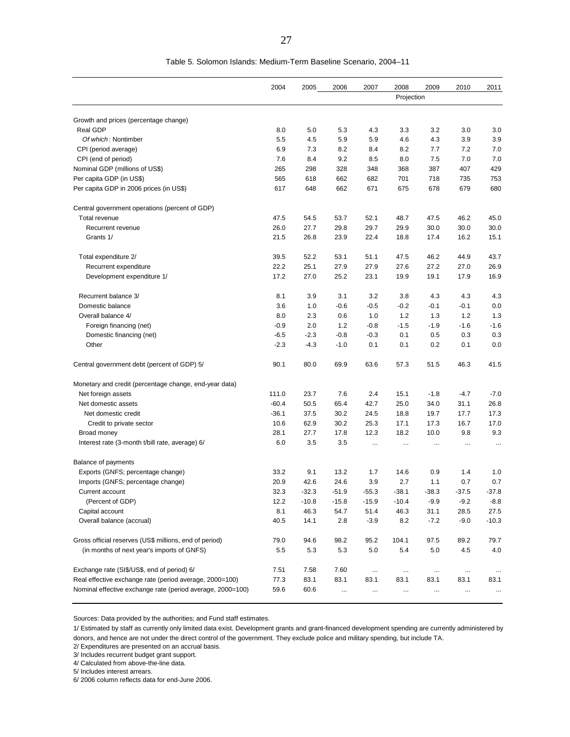|                                                            | 2004    | 2005    | 2006    | 2007      | 2008       | 2009     | 2010      | 2011      |
|------------------------------------------------------------|---------|---------|---------|-----------|------------|----------|-----------|-----------|
|                                                            |         |         |         |           | Projection |          |           |           |
|                                                            |         |         |         |           |            |          |           |           |
| Growth and prices (percentage change)                      |         |         |         |           |            |          |           |           |
| Real GDP                                                   | 8.0     | 5.0     | 5.3     | 4.3       | 3.3        | 3.2      | 3.0       | 3.0       |
| Of which: Nontimber                                        | 5.5     | 4.5     | 5.9     | 5.9       | 4.6        | 4.3      | 3.9       | 3.9       |
| CPI (period average)                                       | 6.9     | 7.3     | 8.2     | 8.4       | 8.2        | 7.7      | 7.2       | 7.0       |
| CPI (end of period)                                        | 7.6     | 8.4     | 9.2     | 8.5       | 8.0        | 7.5      | 7.0       | 7.0       |
| Nominal GDP (millions of US\$)                             | 265     | 298     | 328     | 348       | 368        | 387      | 407       | 429       |
| Per capita GDP (in US\$)                                   | 565     | 618     | 662     | 682       | 701        | 718      | 735       | 753       |
| Per capita GDP in 2006 prices (in US\$)                    | 617     | 648     | 662     | 671       | 675        | 678      | 679       | 680       |
| Central government operations (percent of GDP)             |         |         |         |           |            |          |           |           |
| Total revenue                                              | 47.5    | 54.5    | 53.7    | 52.1      | 48.7       | 47.5     | 46.2      | 45.0      |
| Recurrent revenue                                          | 26.0    | 27.7    | 29.8    | 29.7      | 29.9       | 30.0     | 30.0      | 30.0      |
| Grants 1/                                                  | 21.5    | 26.8    | 23.9    | 22.4      | 18.8       | 17.4     | 16.2      | 15.1      |
| Total expenditure 2/                                       | 39.5    | 52.2    | 53.1    | 51.1      | 47.5       | 46.2     | 44.9      | 43.7      |
| Recurrent expenditure                                      | 22.2    | 25.1    | 27.9    | 27.9      | 27.6       | 27.2     | 27.0      | 26.9      |
| Development expenditure 1/                                 | 17.2    | 27.0    | 25.2    | 23.1      | 19.9       | 19.1     | 17.9      | 16.9      |
| Recurrent balance 3/                                       | 8.1     | 3.9     | 3.1     | 3.2       | 3.8        | 4.3      | 4.3       | 4.3       |
| Domestic balance                                           | 3.6     | 1.0     | $-0.6$  | $-0.5$    | $-0.2$     | $-0.1$   | $-0.1$    | 0.0       |
| Overall balance 4/                                         | 8.0     | 2.3     | 0.6     | 1.0       | 1.2        | 1.3      | 1.2       | 1.3       |
| Foreign financing (net)                                    | $-0.9$  | 2.0     | 1.2     | $-0.8$    | $-1.5$     | $-1.9$   | $-1.6$    | $-1.6$    |
| Domestic financing (net)                                   | $-6.5$  | $-2.3$  | $-0.8$  | $-0.3$    | 0.1        | 0.5      | 0.3       | 0.3       |
| Other                                                      | $-2.3$  | $-4.3$  | $-1.0$  | 0.1       | 0.1        | 0.2      | 0.1       | 0.0       |
| Central government debt (percent of GDP) 5/                | 90.1    | 80.0    | 69.9    | 63.6      | 57.3       | 51.5     | 46.3      | 41.5      |
| Monetary and credit (percentage change, end-year data)     |         |         |         |           |            |          |           |           |
| Net foreign assets                                         | 111.0   | 23.7    | 7.6     | 2.4       | 15.1       | $-1.8$   | $-4.7$    | $-7.0$    |
| Net domestic assets                                        | $-60.4$ | 50.5    | 65.4    | 42.7      | 25.0       | 34.0     | 31.1      | 26.8      |
| Net domestic credit                                        | $-36.1$ | 37.5    | 30.2    | 24.5      | 18.8       | 19.7     | 17.7      | 17.3      |
| Credit to private sector                                   | 10.6    | 62.9    | 30.2    | 25.3      | 17.1       | 17.3     | 16.7      | 17.0      |
| Broad money                                                | 28.1    | 27.7    | 17.8    | 12.3      | 18.2       | 10.0     | 9.8       | 9.3       |
| Interest rate (3-month t/bill rate, average) 6/            | 6.0     | 3.5     | 3.5     | $\ddotsc$ | $\ddotsc$  | $\cdots$ | $\ddotsc$ | $\ddotsc$ |
| <b>Balance of payments</b>                                 |         |         |         |           |            |          |           |           |
| Exports (GNFS; percentage change)                          | 33.2    | 9.1     | 13.2    | 1.7       | 14.6       | 0.9      | 1.4       | 1.0       |
| Imports (GNFS; percentage change)                          | 20.9    | 42.6    | 24.6    | 3.9       | 2.7        | 1.1      | 0.7       | 0.7       |
| Current account                                            | 32.3    | $-32.3$ | $-51.9$ | $-55.3$   | $-38.1$    | $-38.3$  | $-37.5$   | $-37.8$   |
| (Percent of GDP)                                           | 12.2    | $-10.8$ | $-15.8$ | $-15.9$   | $-10.4$    | $-9.9$   | $-9.2$    | $-8.8$    |
| Capital account                                            | 8.1     | 46.3    | 54.7    | 51.4      | 46.3       | 31.1     | 28.5      | 27.5      |
| Overall balance (accrual)                                  | 40.5    | 14.1    | 2.8     | $-3.9$    | 8.2        | $-7.2$   | $-9.0$    | $-10.3$   |
| Gross official reserves (US\$ millions, end of period)     | 79.0    | 94.6    | 98.2    | 95.2      | 104.1      | 97.5     | 89.2      | 79.7      |
| (in months of next year's imports of GNFS)                 | 5.5     | 5.3     | 5.3     | 5.0       | 5.4        | 5.0      | 4.5       | 4.0       |
| Exchange rate (SI\$/US\$, end of period) 6/                | 7.51    | 7.58    | 7.60    | $\cdots$  | $\cdots$   | $\cdots$ | $\cdots$  | $\cdots$  |
| Real effective exchange rate (period average, 2000=100)    | 77.3    | 83.1    | 83.1    | 83.1      | 83.1       | 83.1     | 83.1      | 83.1      |
| Nominal effective exchange rate (period average, 2000=100) | 59.6    | 60.6    |         |           |            |          | $\ddotsc$ |           |

Sources: Data provided by the authorities; and Fund staff estimates.

1/ Estimated by staff as currently only limited data exist. Development grants and grant-financed development spending are currently administered by donors, and hence are not under the direct control of the government. They exclude police and military spending, but include TA.

2/ Expenditures are presented on an accrual basis.

3/ Includes recurrent budget grant support.

4/ Calculated from above-the-line data.

5/ Includes interest arrears.

6/ 2006 column reflects data for end-June 2006.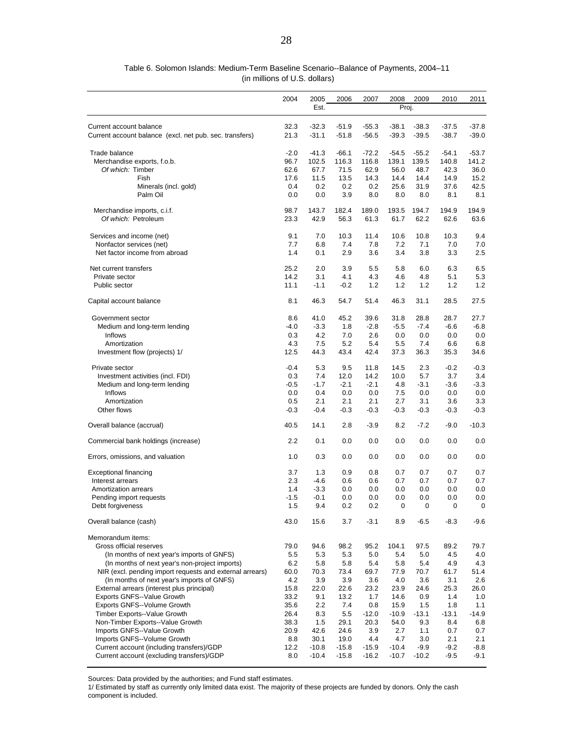|                                                         | 2004   | 2005    | 2006    | 2007    | 2008    | 2009    | 2010    | 2011    |
|---------------------------------------------------------|--------|---------|---------|---------|---------|---------|---------|---------|
|                                                         |        | Est.    |         |         | Proj.   |         |         |         |
| Current account balance                                 | 32.3   | $-32.3$ | $-51.9$ | $-55.3$ | $-38.1$ | $-38.3$ | $-37.5$ | $-37.8$ |
| Current account balance (excl. net pub. sec. transfers) | 21.3   | $-31.1$ | $-51.8$ | $-56.5$ | $-39.3$ | $-39.5$ | $-38.7$ | $-39.0$ |
| Trade balance                                           | $-2.0$ | $-41.3$ | $-66.1$ | $-72.2$ | $-54.5$ | $-55.2$ | $-54.1$ | $-53.7$ |
| Merchandise exports, f.o.b.                             | 96.7   | 102.5   | 116.3   | 116.8   | 139.1   | 139.5   | 140.8   | 141.2   |
| Of which: Timber                                        | 62.6   | 67.7    | 71.5    | 62.9    | 56.0    | 48.7    | 42.3    | 36.0    |
| Fish                                                    | 17.6   | 11.5    | 13.5    | 14.3    | 14.4    | 14.4    | 14.9    | 15.2    |
| Minerals (incl. gold)                                   | 0.4    | 0.2     | 0.2     | 0.2     | 25.6    | 31.9    | 37.6    | 42.5    |
| Palm Oil                                                | 0.0    | 0.0     | 3.9     | 8.0     | 8.0     | 8.0     | 8.1     | 8.1     |
| Merchandise imports, c.i.f.                             | 98.7   | 143.7   | 182.4   | 189.0   | 193.5   | 194.7   | 194.9   | 194.9   |
| Of which: Petroleum                                     | 23.3   | 42.9    | 56.3    | 61.3    | 61.7    | 62.2    | 62.6    | 63.6    |
| Services and income (net)                               | 9.1    | 7.0     | 10.3    | 11.4    | 10.6    | 10.8    | 10.3    | 9.4     |
| Nonfactor services (net)                                | 7.7    | 6.8     | 7.4     | 7.8     | 7.2     | 7.1     | 7.0     | 7.0     |
| Net factor income from abroad                           | 1.4    | 0.1     | 2.9     | 3.6     | 3.4     | 3.8     | 3.3     | 2.5     |
| Net current transfers                                   | 25.2   | 2.0     | 3.9     | 5.5     | 5.8     | 6.0     | 6.3     | 6.5     |
| Private sector                                          | 14.2   | 3.1     | 4.1     | 4.3     | 4.6     | 4.8     | 5.1     | 5.3     |
| Public sector                                           | 11.1   | $-1.1$  | $-0.2$  | 1.2     | 1.2     | 1.2     | 1.2     | 1.2     |
| Capital account balance                                 | 8.1    | 46.3    | 54.7    | 51.4    | 46.3    | 31.1    | 28.5    | 27.5    |
| Government sector                                       | 8.6    | 41.0    | 45.2    | 39.6    | 31.8    | 28.8    | 28.7    | 27.7    |
| Medium and long-term lending                            | $-4.0$ | $-3.3$  | 1.8     | $-2.8$  | $-5.5$  | $-7.4$  | $-6.6$  | $-6.8$  |
| Inflows                                                 | 0.3    | 4.2     | 7.0     | 2.6     | 0.0     | 0.0     | 0.0     | 0.0     |
| Amortization                                            | 4.3    | 7.5     | 5.2     | 5.4     | 5.5     | 7.4     | 6.6     | 6.8     |
| Investment flow (projects) 1/                           | 12.5   | 44.3    | 43.4    | 42.4    | 37.3    | 36.3    | 35.3    | 34.6    |
| Private sector                                          | $-0.4$ | 5.3     | 9.5     | 11.8    | 14.5    | 2.3     | $-0.2$  | $-0.3$  |
| Investment activities (incl. FDI)                       | 0.3    | 7.4     | 12.0    | 14.2    | 10.0    | 5.7     | 3.7     | 3.4     |
| Medium and long-term lending                            | $-0.5$ | $-1.7$  | $-2.1$  | $-2.1$  | 4.8     | $-3.1$  | $-3.6$  | $-3.3$  |

 Inflows 0.0 0.4 0.0 0.0 7.5 0.0 0.0 0.0 Amortization 0.5 2.1 2.1 2.1 2.7 3.1 3.6 3.3 Other flows -0.3 -0.4 -0.3 -0.3 -0.3 -0.3 -0.3 -0.3 Overall balance (accrual) 40.5 14.1 2.8 -3.9 8.2 -7.2 -9.0 -10.3 Commercial bank holdings (increase) 2.2 0.1 0.0 0.0 0.0 0.0 0.0 0.0 Errors, omissions, and valuation 1.0 0.3 0.0 0.0 0.0 0.0 0.0 0.0 0.0 0.0 Exceptional financing 3.7 1.3 0.9 0.8 0.7 0.7 0.7 0.7 Interest arrears 2.3 -4.6 0.6 0.6 0.7 0.7 0.7 0.7 Amortization arrears 1.4 -3.3 0.0 0.0 0.0 0.0 0.0 0.0 0.0 Pending import requests  $-1.5 -0.1$  0.0 0.0 0.0 0.0 0.0 0.0 0.0 Debt forgiveness 1.5 9.4 0.2 0.2 0 0 0 0 Overall balance (cash) 43.0 15.6 3.7 -3.1 8.9 -6.5 -8.3 -9.6

 Gross official reserves 79.0 94.6 98.2 95.2 104.1 97.5 89.2 79.7 (In months of next year's imports of GNFS)  $\begin{array}{cccc} 5.5 & 5.3 & 5.3 & 5.0 & 5.4 & 5.0 & 4.5 & 4.0 \\ 6.2 & 5.8 & 5.8 & 5.4 & 5.8 & 5.4 & 4.9 & 4.3 \end{array}$ 

 NIR (excl. pending import requests and external arrears) 60.0 70.3 73.4 69.7 77.9 70.7 61.7 51.4 (In months of next year's imports of GNFS) 4.2 3.9 3.9 3.6 4.0 3.6 3.1 2.6 External arrears (interest plus principal) 15.8 22.0 22.6 23.2 23.9 24.6 25.3 26.0 Exports GNFS--Value Growth 33.2 9.1 13.2 1.7 14.6 0.9 1.4 1.0 Exports GNFS--Volume Growth 35.6 2.2 7.4 0.8 15.9 1.5 1.8 1.1 Timber Exports--Value Growth 26.4 8.3 5.5 -12.0 -10.9 -13.1 -13.1 -14.9 Non-Timber Exports--Value Growth 38.3 1.5 29.1 20.3 54.0 9.3 8.4 6.8 Imports GNFS--Value Growth 20.9 42.6 24.6 3.9 2.7 1.1 0.7 0.7 Imports GNFS--Volume Growth 8.8 30.1 19.0 4.4 4.7 3.0 2.1 2.1 Current account (including transfers)/GDP 12.2 -10.8 -15.8 -15.9 -10.4 -9.9 -9.2 -8.8

 (in millions of U.S. dollars) Table 6. Solomon Islands: Medium-Term Baseline Scenario--Balance of Payments, 2004–11

Sources: Data provided by the authorities; and Fund staff estimates.

(In months of next year's non-project imports)

Memorandum items:

1/ Estimated by staff as currently only limited data exist. The majority of these projects are funded by donors. Only the cash component is included.

Current account (excluding transfers)/GDP 8.0 -10.4 -15.8 -16.2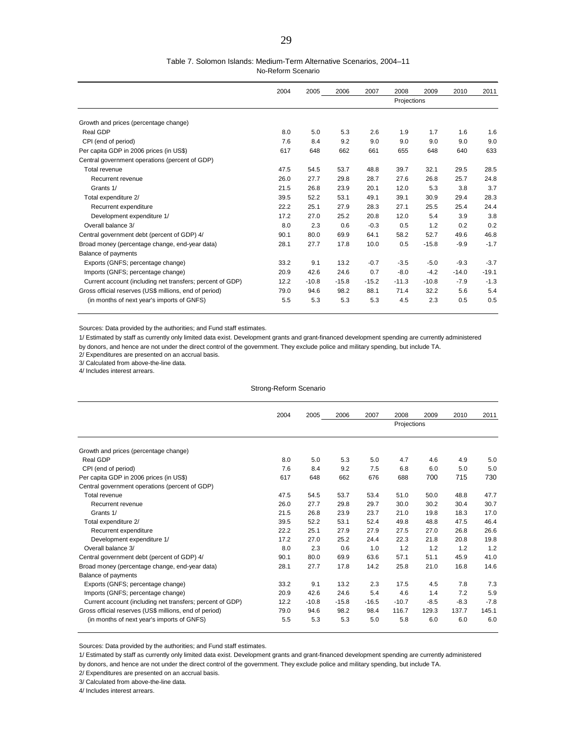#### Table 7. Solomon Islands: Medium-Term Alternative Scenarios, 2004–11

No-Reform Scenario

|                                                           | 2004 | 2005    | 2006    | 2007    | 2008        | 2009    | 2010    | 2011    |
|-----------------------------------------------------------|------|---------|---------|---------|-------------|---------|---------|---------|
|                                                           |      |         |         |         | Projections |         |         |         |
| Growth and prices (percentage change)                     |      |         |         |         |             |         |         |         |
|                                                           |      |         |         |         |             |         |         |         |
| Real GDP                                                  | 8.0  | 5.0     | 5.3     | 2.6     | 1.9         | 1.7     | 1.6     | 1.6     |
| CPI (end of period)                                       | 7.6  | 8.4     | 9.2     | 9.0     | 9.0         | 9.0     | 9.0     | 9.0     |
| Per capita GDP in 2006 prices (in US\$)                   | 617  | 648     | 662     | 661     | 655         | 648     | 640     | 633     |
| Central government operations (percent of GDP)            |      |         |         |         |             |         |         |         |
| Total revenue                                             | 47.5 | 54.5    | 53.7    | 48.8    | 39.7        | 32.1    | 29.5    | 28.5    |
| Recurrent revenue                                         | 26.0 | 27.7    | 29.8    | 28.7    | 27.6        | 26.8    | 25.7    | 24.8    |
| Grants 1/                                                 | 21.5 | 26.8    | 23.9    | 20.1    | 12.0        | 5.3     | 3.8     | 3.7     |
| Total expenditure 2/                                      | 39.5 | 52.2    | 53.1    | 49.1    | 39.1        | 30.9    | 29.4    | 28.3    |
| Recurrent expenditure                                     | 22.2 | 25.1    | 27.9    | 28.3    | 27.1        | 25.5    | 25.4    | 24.4    |
| Development expenditure 1/                                | 17.2 | 27.0    | 25.2    | 20.8    | 12.0        | 5.4     | 3.9     | 3.8     |
| Overall balance 3/                                        | 8.0  | 2.3     | 0.6     | $-0.3$  | 0.5         | 1.2     | 0.2     | 0.2     |
| Central government debt (percent of GDP) 4/               | 90.1 | 80.0    | 69.9    | 64.1    | 58.2        | 52.7    | 49.6    | 46.8    |
| Broad money (percentage change, end-year data)            | 28.1 | 27.7    | 17.8    | 10.0    | 0.5         | $-15.8$ | $-9.9$  | $-1.7$  |
| Balance of payments                                       |      |         |         |         |             |         |         |         |
| Exports (GNFS; percentage change)                         | 33.2 | 9.1     | 13.2    | $-0.7$  | $-3.5$      | $-5.0$  | $-9.3$  | $-3.7$  |
| Imports (GNFS; percentage change)                         | 20.9 | 42.6    | 24.6    | 0.7     | $-8.0$      | $-4.2$  | $-14.0$ | $-19.1$ |
| Current account (including net transfers; percent of GDP) | 12.2 | $-10.8$ | $-15.8$ | $-15.2$ | $-11.3$     | $-10.8$ | $-7.9$  | $-1.3$  |
| Gross official reserves (US\$ millions, end of period)    | 79.0 | 94.6    | 98.2    | 88.1    | 71.4        | 32.2    | 5.6     | 5.4     |
| (in months of next year's imports of GNFS)                | 5.5  | 5.3     | 5.3     | 5.3     | 4.5         | 2.3     | 0.5     | 0.5     |

Sources: Data provided by the authorities; and Fund staff estimates.

1/ Estimated by staff as currently only limited data exist. Development grants and grant-financed development spending are currently administered

by donors, and hence are not under the direct control of the government. They exclude police and military spending, but include TA.

2/ Expenditures are presented on an accrual basis.

3/ Calculated from above-the-line data.

4/ Includes interest arrears.

#### Strong-Reform Scenario

|                                                           | 2004 | 2005    | 2006    | 2007    | 2008        | 2009   | 2010   | 2011   |
|-----------------------------------------------------------|------|---------|---------|---------|-------------|--------|--------|--------|
|                                                           |      |         |         |         | Projections |        |        |        |
|                                                           |      |         |         |         |             |        |        |        |
| Growth and prices (percentage change)                     |      |         |         |         |             |        |        |        |
| Real GDP                                                  | 8.0  | 5.0     | 5.3     | 5.0     | 4.7         | 4.6    | 4.9    | 5.0    |
| CPI (end of period)                                       | 7.6  | 8.4     | 9.2     | 7.5     | 6.8         | 6.0    | 5.0    | 5.0    |
| Per capita GDP in 2006 prices (in US\$)                   | 617  | 648     | 662     | 676     | 688         | 700    | 715    | 730    |
| Central government operations (percent of GDP)            |      |         |         |         |             |        |        |        |
| Total revenue                                             | 47.5 | 54.5    | 53.7    | 53.4    | 51.0        | 50.0   | 48.8   | 47.7   |
| Recurrent revenue                                         | 26.0 | 27.7    | 29.8    | 29.7    | 30.0        | 30.2   | 30.4   | 30.7   |
| Grants 1/                                                 | 21.5 | 26.8    | 23.9    | 23.7    | 21.0        | 19.8   | 18.3   | 17.0   |
| Total expenditure 2/                                      | 39.5 | 52.2    | 53.1    | 52.4    | 49.8        | 48.8   | 47.5   | 46.4   |
| Recurrent expenditure                                     | 22.2 | 25.1    | 27.9    | 27.9    | 27.5        | 27.0   | 26.8   | 26.6   |
| Development expenditure 1/                                | 17.2 | 27.0    | 25.2    | 24.4    | 22.3        | 21.8   | 20.8   | 19.8   |
| Overall balance 3/                                        | 8.0  | 2.3     | 0.6     | 1.0     | 1.2         | 1.2    | 1.2    | 1.2    |
| Central government debt (percent of GDP) 4/               | 90.1 | 80.0    | 69.9    | 63.6    | 57.1        | 51.1   | 45.9   | 41.0   |
| Broad money (percentage change, end-year data)            | 28.1 | 27.7    | 17.8    | 14.2    | 25.8        | 21.0   | 16.8   | 14.6   |
| Balance of payments                                       |      |         |         |         |             |        |        |        |
| Exports (GNFS; percentage change)                         | 33.2 | 9.1     | 13.2    | 2.3     | 17.5        | 4.5    | 7.8    | 7.3    |
| Imports (GNFS; percentage change)                         | 20.9 | 42.6    | 24.6    | 5.4     | 4.6         | 1.4    | 7.2    | 5.9    |
| Current account (including net transfers; percent of GDP) | 12.2 | $-10.8$ | $-15.8$ | $-16.5$ | $-10.7$     | $-8.5$ | $-8.3$ | $-7.8$ |
| Gross official reserves (US\$ millions, end of period)    | 79.0 | 94.6    | 98.2    | 98.4    | 116.7       | 129.3  | 137.7  | 145.1  |
| (in months of next year's imports of GNFS)                | 5.5  | 5.3     | 5.3     | 5.0     | 5.8         | 6.0    | 6.0    | 6.0    |

Sources: Data provided by the authorities; and Fund staff estimates.

1/ Estimated by staff as currently only limited data exist. Development grants and grant-financed development spending are currently administered

by donors, and hence are not under the direct control of the government. They exclude police and military spending, but include TA.

2/ Expenditures are presented on an accrual basis.

3/ Calculated from above-the-line data.

4/ Includes interest arrears.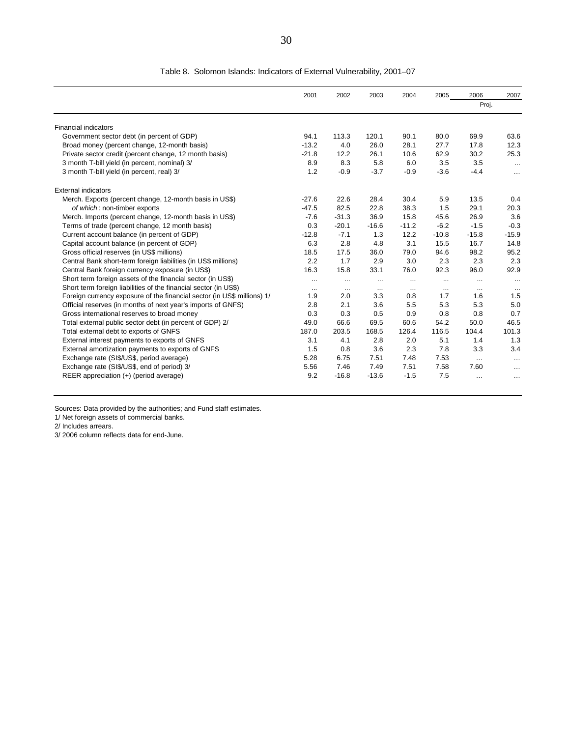|                                                                         | 2001     | 2002     | 2003     | 2004     | 2005     | 2006            | 2007     |
|-------------------------------------------------------------------------|----------|----------|----------|----------|----------|-----------------|----------|
|                                                                         |          |          |          |          |          | Proj.           |          |
| <b>Financial indicators</b>                                             |          |          |          |          |          |                 |          |
| Government sector debt (in percent of GDP)                              | 94.1     | 113.3    | 120.1    | 90.1     | 80.0     | 69.9            | 63.6     |
| Broad money (percent change, 12-month basis)                            | $-13.2$  | 4.0      | 26.0     | 28.1     | 27.7     | 17.8            | 12.3     |
| Private sector credit (percent change, 12 month basis)                  | $-21.8$  | 12.2     | 26.1     | 10.6     | 62.9     | 30.2            | 25.3     |
| 3 month T-bill yield (in percent, nominal) 3/                           | 8.9      | 8.3      | 5.8      | 6.0      | 3.5      | 3.5             | $\cdots$ |
| 3 month T-bill yield (in percent, real) 3/                              | 1.2      | $-0.9$   | $-3.7$   | $-0.9$   | $-3.6$   | $-4.4$          | $\cdots$ |
| <b>External indicators</b>                                              |          |          |          |          |          |                 |          |
| Merch. Exports (percent change, 12-month basis in US\$)                 | $-27.6$  | 22.6     | 28.4     | 30.4     | 5.9      | 13.5            | 0.4      |
| of which: non-timber exports                                            | $-47.5$  | 82.5     | 22.8     | 38.3     | 1.5      | 29.1            | 20.3     |
| Merch. Imports (percent change, 12-month basis in US\$)                 | $-7.6$   | $-31.3$  | 36.9     | 15.8     | 45.6     | 26.9            | 3.6      |
| Terms of trade (percent change, 12 month basis)                         | 0.3      | $-20.1$  | $-16.6$  | $-11.2$  | $-6.2$   | $-1.5$          | $-0.3$   |
| Current account balance (in percent of GDP)                             | $-12.8$  | $-7.1$   | 1.3      | 12.2     | $-10.8$  | $-15.8$         | $-15.9$  |
| Capital account balance (in percent of GDP)                             | 6.3      | 2.8      | 4.8      | 3.1      | 15.5     | 16.7            | 14.8     |
| Gross official reserves (in US\$ millions)                              | 18.5     | 17.5     | 36.0     | 79.0     | 94.6     | 98.2            | 95.2     |
| Central Bank short-term foreign liabilities (in US\$ millions)          | 2.2      | 1.7      | 2.9      | 3.0      | 2.3      | 2.3             | 2.3      |
| Central Bank foreign currency exposure (in US\$)                        | 16.3     | 15.8     | 33.1     | 76.0     | 92.3     | 96.0            | 92.9     |
| Short term foreign assets of the financial sector (in US\$)             | $\cdots$ |          |          | $\cdots$ |          | $\cdots$        | $\cdots$ |
| Short term foreign liabilities of the financial sector (in US\$)        | $\ldots$ | $\cdots$ | $\cdots$ | $\cdots$ | $\cdots$ | $\cdots$        | $\cdots$ |
| Foreign currency exposure of the financial sector (in US\$ millions) 1/ | 1.9      | 2.0      | 3.3      | 0.8      | 1.7      | 1.6             | 1.5      |
| Official reserves (in months of next year's imports of GNFS)            | 2.8      | 2.1      | 3.6      | 5.5      | 5.3      | 5.3             | 5.0      |
| Gross international reserves to broad money                             | 0.3      | 0.3      | 0.5      | 0.9      | 0.8      | 0.8             | 0.7      |
| Total external public sector debt (in percent of GDP) 2/                | 49.0     | 66.6     | 69.5     | 60.6     | 54.2     | 50.0            | 46.5     |
| Total external debt to exports of GNFS                                  | 187.0    | 203.5    | 168.5    | 126.4    | 116.5    | 104.4           | 101.3    |
| External interest payments to exports of GNFS                           | 3.1      | 4.1      | 2.8      | 2.0      | 5.1      | 1.4             | 1.3      |
| External amortization payments to exports of GNFS                       | 1.5      | 0.8      | 3.6      | 2.3      | 7.8      | 3.3             | 3.4      |
| Exchange rate (SI\$/US\$, period average)                               | 5.28     | 6.75     | 7.51     | 7.48     | 7.53     | $\cdots$        | $\cdots$ |
| Exchange rate (SI\$/US\$, end of period) 3/                             | 5.56     | 7.46     | 7.49     | 7.51     | 7.58     | 7.60            | $\cdots$ |
| REER appreciation (+) (period average)                                  | 9.2      | $-16.8$  | $-13.6$  | $-1.5$   | 7.5      | $\cdot$ $\cdot$ | $\cdots$ |

#### Table 8. Solomon Islands: Indicators of External Vulnerability, 2001–07

Sources: Data provided by the authorities; and Fund staff estimates.

1/ Net foreign assets of commercial banks.

2/ Includes arrears.

3/ 2006 column reflects data for end-June.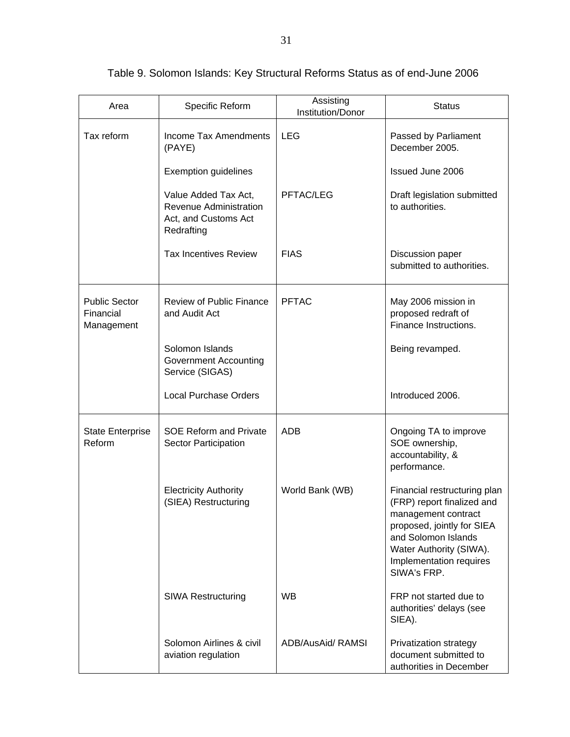| Area                                            | Specific Reform                                                                      | Assisting<br>Institution/Donor | <b>Status</b>                                                                                                                                                                                               |
|-------------------------------------------------|--------------------------------------------------------------------------------------|--------------------------------|-------------------------------------------------------------------------------------------------------------------------------------------------------------------------------------------------------------|
| Tax reform                                      | <b>Income Tax Amendments</b><br>(PAYE)                                               | <b>LEG</b>                     | Passed by Parliament<br>December 2005.                                                                                                                                                                      |
|                                                 | <b>Exemption guidelines</b>                                                          |                                | <b>Issued June 2006</b>                                                                                                                                                                                     |
|                                                 | Value Added Tax Act,<br>Revenue Administration<br>Act, and Customs Act<br>Redrafting | PFTAC/LEG                      | Draft legislation submitted<br>to authorities.                                                                                                                                                              |
|                                                 | <b>Tax Incentives Review</b>                                                         | <b>FIAS</b>                    | Discussion paper<br>submitted to authorities.                                                                                                                                                               |
| <b>Public Sector</b><br>Financial<br>Management | <b>Review of Public Finance</b><br>and Audit Act                                     | <b>PFTAC</b>                   | May 2006 mission in<br>proposed redraft of<br>Finance Instructions.                                                                                                                                         |
|                                                 | Solomon Islands<br><b>Government Accounting</b><br>Service (SIGAS)                   |                                | Being revamped.                                                                                                                                                                                             |
|                                                 | <b>Local Purchase Orders</b>                                                         |                                | Introduced 2006.                                                                                                                                                                                            |
| <b>State Enterprise</b><br>Reform               | <b>SOE Reform and Private</b><br>Sector Participation                                | <b>ADB</b>                     | Ongoing TA to improve<br>SOE ownership,<br>accountability, &<br>performance.                                                                                                                                |
|                                                 | <b>Electricity Authority</b><br>(SIEA) Restructuring                                 | World Bank (WB)                | Financial restructuring plan<br>(FRP) report finalized and<br>management contract<br>proposed, jointly for SIEA<br>and Solomon Islands<br>Water Authority (SIWA).<br>Implementation requires<br>SIWA's FRP. |
|                                                 | <b>SIWA Restructuring</b>                                                            | <b>WB</b>                      | FRP not started due to<br>authorities' delays (see<br>SIEA).                                                                                                                                                |
|                                                 | Solomon Airlines & civil<br>aviation regulation                                      | ADB/AusAid/ RAMSI              | Privatization strategy<br>document submitted to<br>authorities in December                                                                                                                                  |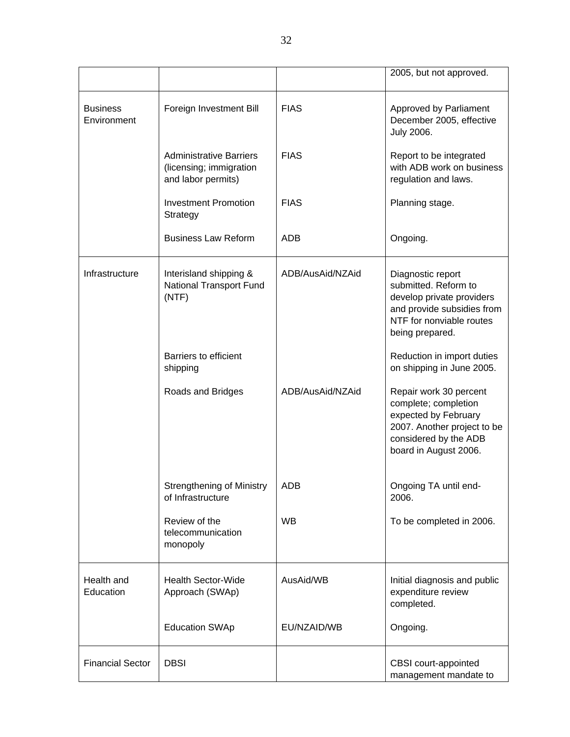|                                |                                                                                 |                  | 2005, but not approved.                                                                                                                                 |
|--------------------------------|---------------------------------------------------------------------------------|------------------|---------------------------------------------------------------------------------------------------------------------------------------------------------|
| <b>Business</b><br>Environment | Foreign Investment Bill                                                         | <b>FIAS</b>      | Approved by Parliament<br>December 2005, effective<br><b>July 2006.</b>                                                                                 |
|                                | <b>Administrative Barriers</b><br>(licensing; immigration<br>and labor permits) | <b>FIAS</b>      | Report to be integrated<br>with ADB work on business<br>regulation and laws.                                                                            |
|                                | <b>Investment Promotion</b><br>Strategy                                         | <b>FIAS</b>      | Planning stage.                                                                                                                                         |
|                                | <b>Business Law Reform</b>                                                      | <b>ADB</b>       | Ongoing.                                                                                                                                                |
| Infrastructure                 | Interisland shipping &<br><b>National Transport Fund</b><br>(NTF)               | ADB/AusAid/NZAid | Diagnostic report<br>submitted. Reform to<br>develop private providers<br>and provide subsidies from<br>NTF for nonviable routes<br>being prepared.     |
|                                | Barriers to efficient<br>shipping                                               |                  | Reduction in import duties<br>on shipping in June 2005.                                                                                                 |
|                                | Roads and Bridges                                                               | ADB/AusAid/NZAid | Repair work 30 percent<br>complete; completion<br>expected by February<br>2007. Another project to be<br>considered by the ADB<br>board in August 2006. |
|                                | <b>Strengthening of Ministry</b><br>of Infrastructure                           | ADB              | Ongoing TA until end-<br>2006.                                                                                                                          |
|                                | Review of the<br>telecommunication<br>monopoly                                  | <b>WB</b>        | To be completed in 2006.                                                                                                                                |
| Health and<br>Education        | <b>Health Sector-Wide</b><br>Approach (SWAp)                                    | AusAid/WB        | Initial diagnosis and public<br>expenditure review<br>completed.                                                                                        |
|                                | <b>Education SWAp</b>                                                           | EU/NZAID/WB      | Ongoing.                                                                                                                                                |
| <b>Financial Sector</b>        | <b>DBSI</b>                                                                     |                  | CBSI court-appointed<br>management mandate to                                                                                                           |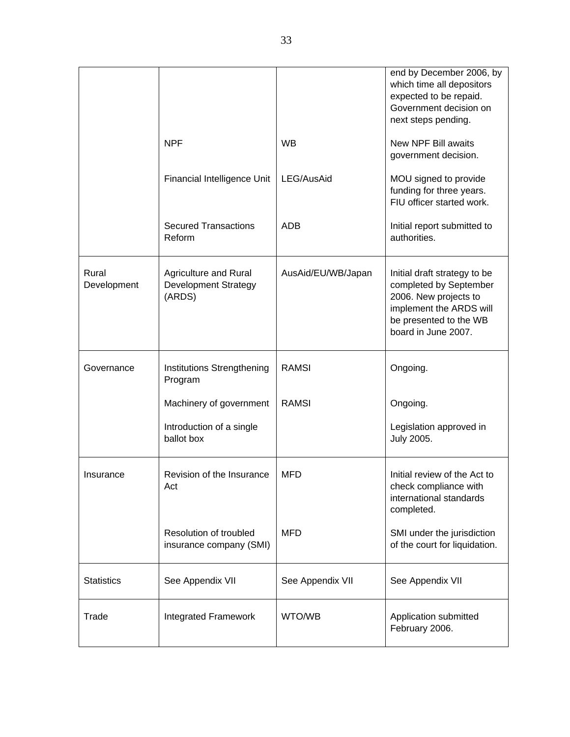|                      |                                                                |                    | end by December 2006, by<br>which time all depositors<br>expected to be repaid.<br>Government decision on<br>next steps pending.                            |
|----------------------|----------------------------------------------------------------|--------------------|-------------------------------------------------------------------------------------------------------------------------------------------------------------|
|                      | <b>NPF</b>                                                     | <b>WB</b>          | New NPF Bill awaits<br>government decision.                                                                                                                 |
|                      | Financial Intelligence Unit                                    | LEG/AusAid         | MOU signed to provide<br>funding for three years.<br>FIU officer started work.                                                                              |
|                      | <b>Secured Transactions</b><br>Reform                          | <b>ADB</b>         | Initial report submitted to<br>authorities.                                                                                                                 |
| Rural<br>Development | Agriculture and Rural<br><b>Development Strategy</b><br>(ARDS) | AusAid/EU/WB/Japan | Initial draft strategy to be<br>completed by September<br>2006. New projects to<br>implement the ARDS will<br>be presented to the WB<br>board in June 2007. |
| Governance           | Institutions Strengthening<br>Program                          | <b>RAMSI</b>       | Ongoing.                                                                                                                                                    |
|                      | Machinery of government                                        | <b>RAMSI</b>       | Ongoing.                                                                                                                                                    |
|                      | Introduction of a single<br>ballot box                         |                    | Legislation approved in<br><b>July 2005.</b>                                                                                                                |
| Insurance            | Revision of the Insurance<br>Act                               | <b>MFD</b>         | Initial review of the Act to<br>check compliance with<br>international standards<br>completed.                                                              |
|                      | Resolution of troubled<br>insurance company (SMI)              | <b>MFD</b>         | SMI under the jurisdiction<br>of the court for liquidation.                                                                                                 |
| <b>Statistics</b>    | See Appendix VII                                               | See Appendix VII   | See Appendix VII                                                                                                                                            |
| Trade                | Integrated Framework                                           | WTO/WB             | Application submitted<br>February 2006.                                                                                                                     |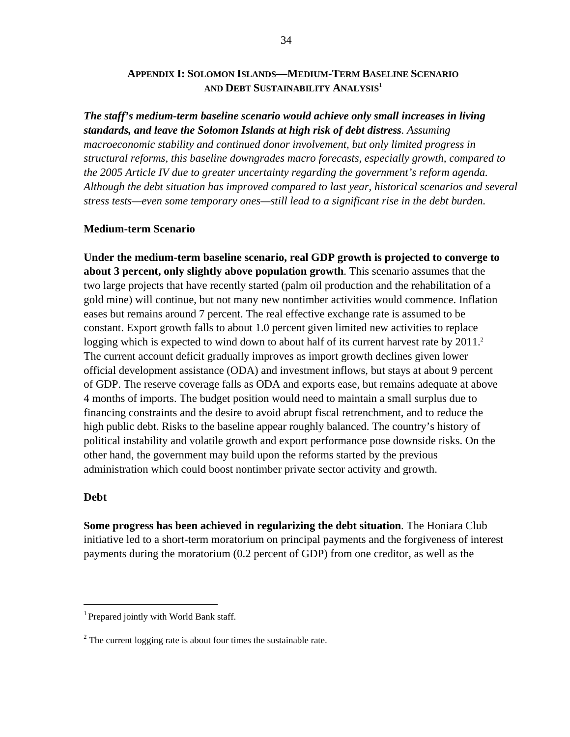#### **APPENDIX I: SOLOMON ISLANDS—MEDIUM-TERM BASELINE SCENARIO AND DEBT SUSTAINABILITY ANALYSIS**<sup>1</sup>

*The staff's medium-term baseline scenario would achieve only small increases in living standards, and leave the Solomon Islands at high risk of debt distress. Assuming macroeconomic stability and continued donor involvement, but only limited progress in structural reforms, this baseline downgrades macro forecasts, especially growth, compared to the 2005 Article IV due to greater uncertainty regarding the government's reform agenda. Although the debt situation has improved compared to last year, historical scenarios and several stress tests—even some temporary ones—still lead to a significant rise in the debt burden.* 

#### **Medium-term Scenario**

**Under the medium-term baseline scenario, real GDP growth is projected to converge to about 3 percent, only slightly above population growth**. This scenario assumes that the two large projects that have recently started (palm oil production and the rehabilitation of a gold mine) will continue, but not many new nontimber activities would commence. Inflation eases but remains around 7 percent. The real effective exchange rate is assumed to be constant. Export growth falls to about 1.0 percent given limited new activities to replace logging which is expected to wind down to about half of its current harvest rate by 2011.<sup>2</sup> The current account deficit gradually improves as import growth declines given lower official development assistance (ODA) and investment inflows, but stays at about 9 percent of GDP. The reserve coverage falls as ODA and exports ease, but remains adequate at above 4 months of imports. The budget position would need to maintain a small surplus due to financing constraints and the desire to avoid abrupt fiscal retrenchment, and to reduce the high public debt. Risks to the baseline appear roughly balanced. The country's history of political instability and volatile growth and export performance pose downside risks. On the other hand, the government may build upon the reforms started by the previous administration which could boost nontimber private sector activity and growth.

#### **Debt**

1

**Some progress has been achieved in regularizing the debt situation**. The Honiara Club initiative led to a short-term moratorium on principal payments and the forgiveness of interest payments during the moratorium (0.2 percent of GDP) from one creditor, as well as the

<sup>&</sup>lt;sup>1</sup> Prepared jointly with World Bank staff.

 $2^2$  The current logging rate is about four times the sustainable rate.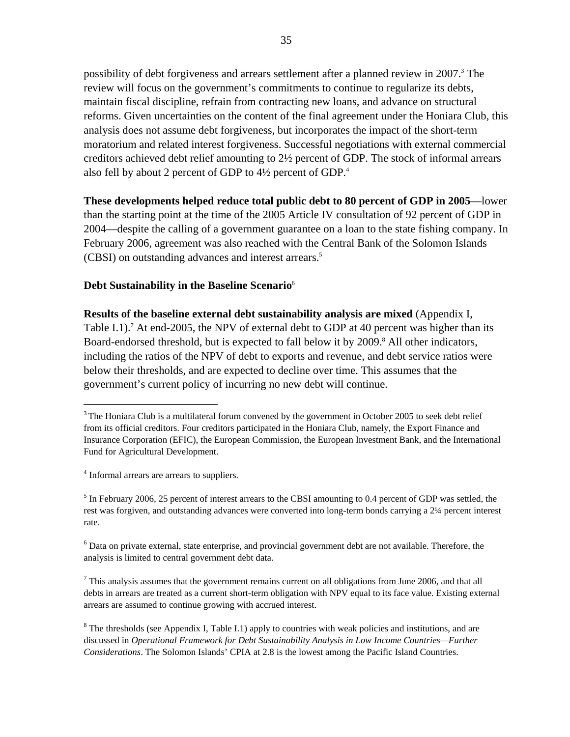possibility of debt forgiveness and arrears settlement after a planned review in 2007.<sup>3</sup> The review will focus on the government's commitments to continue to regularize its debts, maintain fiscal discipline, refrain from contracting new loans, and advance on structural reforms. Given uncertainties on the content of the final agreement under the Honiara Club, this analysis does not assume debt forgiveness, but incorporates the impact of the short-term moratorium and related interest forgiveness. Successful negotiations with external commercial creditors achieved debt relief amounting to 2½ percent of GDP. The stock of informal arrears also fell by about 2 percent of GDP to 4½ percent of GDP.4

**These developments helped reduce total public debt to 80 percent of GDP in 2005**—lower than the starting point at the time of the 2005 Article IV consultation of 92 percent of GDP in 2004—despite the calling of a government guarantee on a loan to the state fishing company. In February 2006, agreement was also reached with the Central Bank of the Solomon Islands (CBSI) on outstanding advances and interest arrears.5

#### **Debt Sustainability in the Baseline Scenario**<sup>6</sup>

**Results of the baseline external debt sustainability analysis are mixed** (Appendix I, Table I.1).<sup>7</sup> At end-2005, the NPV of external debt to GDP at 40 percent was higher than its Board-endorsed threshold, but is expected to fall below it by 2009.<sup>8</sup> All other indicators, including the ratios of the NPV of debt to exports and revenue, and debt service ratios were below their thresholds, and are expected to decline over time. This assumes that the government's current policy of incurring no new debt will continue.

<u>.</u>

 $3$ The Honiara Club is a multilateral forum convened by the government in October 2005 to seek debt relief from its official creditors. Four creditors participated in the Honiara Club, namely, the Export Finance and Insurance Corporation (EFIC), the European Commission, the European Investment Bank, and the International Fund for Agricultural Development.

<sup>&</sup>lt;sup>4</sup> Informal arrears are arrears to suppliers.

 $<sup>5</sup>$  In February 2006, 25 percent of interest arrears to the CBSI amounting to 0.4 percent of GDP was settled, the</sup> rest was forgiven, and outstanding advances were converted into long-term bonds carrying a 2¼ percent interest rate.

<sup>&</sup>lt;sup>6</sup> Data on private external, state enterprise, and provincial government debt are not available. Therefore, the analysis is limited to central government debt data.

 $<sup>7</sup>$  This analysis assumes that the government remains current on all obligations from June 2006, and that all</sup> debts in arrears are treated as a current short-term obligation with NPV equal to its face value. Existing external arrears are assumed to continue growing with accrued interest.

 $8$  The thresholds (see Appendix I, Table I.1) apply to countries with weak policies and institutions, and are discussed in *Operational Framework for Debt Sustainability Analysis in Low Income Countries—Further Considerations*. The Solomon Islands' CPIA at 2.8 is the lowest among the Pacific Island Countries.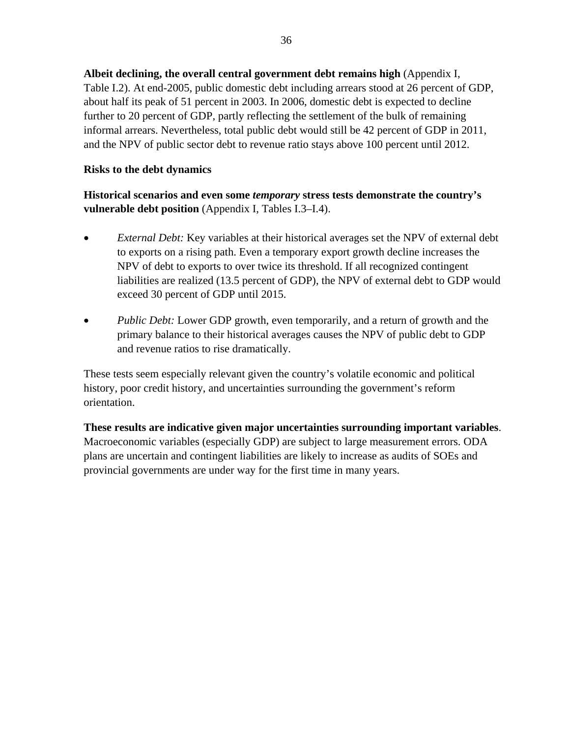**Albeit declining, the overall central government debt remains high** (Appendix I, Table I.2). At end-2005, public domestic debt including arrears stood at 26 percent of GDP, about half its peak of 51 percent in 2003. In 2006, domestic debt is expected to decline further to 20 percent of GDP, partly reflecting the settlement of the bulk of remaining informal arrears. Nevertheless, total public debt would still be 42 percent of GDP in 2011, and the NPV of public sector debt to revenue ratio stays above 100 percent until 2012.

#### **Risks to the debt dynamics**

**Historical scenarios and even some** *temporary* **stress tests demonstrate the country's vulnerable debt position** (Appendix I, Tables I.3–I.4).

- *External Debt:* Key variables at their historical averages set the NPV of external debt to exports on a rising path. Even a temporary export growth decline increases the NPV of debt to exports to over twice its threshold. If all recognized contingent liabilities are realized (13.5 percent of GDP), the NPV of external debt to GDP would exceed 30 percent of GDP until 2015.
- *Public Debt:* Lower GDP growth, even temporarily, and a return of growth and the primary balance to their historical averages causes the NPV of public debt to GDP and revenue ratios to rise dramatically.

These tests seem especially relevant given the country's volatile economic and political history, poor credit history, and uncertainties surrounding the government's reform orientation.

**These results are indicative given major uncertainties surrounding important variables**. Macroeconomic variables (especially GDP) are subject to large measurement errors. ODA plans are uncertain and contingent liabilities are likely to increase as audits of SOEs and provincial governments are under way for the first time in many years.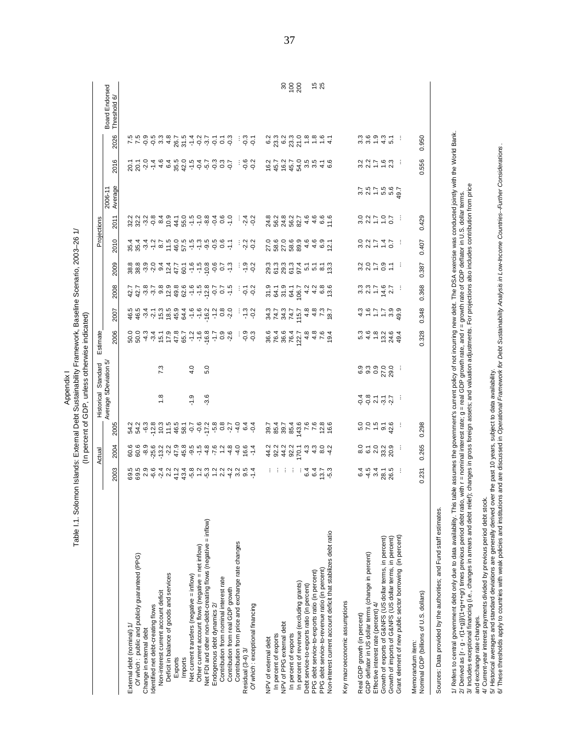| rk, Baseline Scenario, 2003-26 1/<br>e I.1. Solomon Islands: External Debt Sustainability Framework | -<br>-<br>- |
|-----------------------------------------------------------------------------------------------------|-------------|
|                                                                                                     |             |
|                                                                                                     |             |

|                                                                                                                                                                                                                                                                                                                                             |                                                                                                                                     | Actual                                     |                                           | Historical            | Standard        | Estimate                |                             |                                    |                                          |                               | Projections                                             |                    |                     |                          |                                      |
|---------------------------------------------------------------------------------------------------------------------------------------------------------------------------------------------------------------------------------------------------------------------------------------------------------------------------------------------|-------------------------------------------------------------------------------------------------------------------------------------|--------------------------------------------|-------------------------------------------|-----------------------|-----------------|-------------------------|-----------------------------|------------------------------------|------------------------------------------|-------------------------------|---------------------------------------------------------|--------------------|---------------------|--------------------------|--------------------------------------|
|                                                                                                                                                                                                                                                                                                                                             | 2003                                                                                                                                | 2004                                       | 2005                                      | Average 5Deviation 5/ |                 | 2006                    | 2007                        | 2008                               | 2009                                     | 2010                          | 2011                                                    | Average<br>2006-11 | 2016                | 2026                     | <b>Board Endorsed</b><br>Threshold 6 |
| External debt (nominal) 1/                                                                                                                                                                                                                                                                                                                  | 69.5<br>69.5                                                                                                                        | 60.6<br>60.6                               |                                           |                       |                 | 500 4<br>500 4          | 46.5<br>46.5                | 2 1 2 3 7 8 9 9<br>2 1 3 7 9 9 9 1 | 8 8 9 9 9 9 1 7 2 8<br>8 8 9 9 9 9 1 7 2 | 4 4 4 4<br>8 8 9 7<br>4 9 9 7 |                                                         |                    | 20.1<br>20.1<br>.20 | 7.5<br>7.5               |                                      |
| Of which: public and publicly guaranteed (PPG)                                                                                                                                                                                                                                                                                              |                                                                                                                                     | $-8.9$                                     |                                           |                       |                 |                         |                             |                                    |                                          |                               |                                                         |                    |                     |                          |                                      |
| Identified net debt-creating flows<br>Change in external debt                                                                                                                                                                                                                                                                               | 2.9                                                                                                                                 | $-25.6$                                    |                                           |                       |                 |                         | 3, 4, 5, 6                  |                                    |                                          |                               |                                                         |                    |                     | 9<br>0.5<br>0.5          |                                      |
| Non-interest current account deficit                                                                                                                                                                                                                                                                                                        |                                                                                                                                     | $-13.2$                                    |                                           | 1.8                   | 7.3             | $-3.4$<br>15.1          |                             |                                    |                                          | 6.7                           |                                                         |                    | $-1.4$<br>4.6       |                          |                                      |
| Deficit in balance of goods and services                                                                                                                                                                                                                                                                                                    | 6 4 2<br>6 2 2                                                                                                                      | $-2.2$                                     | 11.5                                      |                       |                 | 17.9                    | 18.5                        |                                    |                                          | 11.5                          | 10.9                                                    |                    | 6.4                 | $3, 3$<br>$3, 8$         |                                      |
| Exports                                                                                                                                                                                                                                                                                                                                     |                                                                                                                                     | 47.9<br>45.8                               | $46.5$<br>$-5.34$                         |                       |                 | 47.8                    | 45.9<br>64.4                | 49.6<br>62.5                       |                                          | $46.779$<br>$67.779$          | 44.1<br>55.0                                            |                    | 35.5<br>42.0        |                          |                                      |
| Imports                                                                                                                                                                                                                                                                                                                                     |                                                                                                                                     |                                            |                                           |                       |                 | 65.7                    |                             |                                    |                                          |                               |                                                         |                    |                     |                          |                                      |
| Net current transfers (negative = inflow)                                                                                                                                                                                                                                                                                                   |                                                                                                                                     | 5<br>6<br>15<br>9<br>7<br>4<br>9<br>9<br>1 |                                           | $-1.9$                | 4.0             | $-1.2$                  | $-1.6$                      |                                    |                                          |                               | $\frac{1}{1}$ $\frac{1}{1}$ $\frac{1}{9}$ $\frac{1}{9}$ |                    | $-1.5$              |                          |                                      |
| Other current account flows (negative = net inflow)                                                                                                                                                                                                                                                                                         |                                                                                                                                     |                                            |                                           |                       |                 | $-1.6$                  | $-1.6$                      | $-1,5$                             |                                          |                               |                                                         |                    |                     |                          |                                      |
| Net FDI and other non-debt-creating flows (negative = inflow)                                                                                                                                                                                                                                                                               |                                                                                                                                     |                                            | $-0.2$<br>$-7.2$<br>$-5.8$                | $-3.6$                | 5.0             | $-16.8$                 | $-16.2$                     |                                    | $-5.5$<br>$-5.5$<br>$-5.5$               |                               |                                                         |                    |                     | 8.54957                  |                                      |
| Endogenous debt dynamics 2/                                                                                                                                                                                                                                                                                                                 |                                                                                                                                     | $-7.6$                                     |                                           |                       |                 | ٢ļ٢                     | $\frac{2}{1}$               | $-0.7$                             |                                          | $-0.5$                        | $-0.4$                                                  |                    |                     |                          |                                      |
| Contribution from nominal interest rate                                                                                                                                                                                                                                                                                                     |                                                                                                                                     | 1.2                                        | 0.8                                       |                       |                 | 0.9                     | 0.8<br>0.9                  | $\overline{0.7}$                   | 0.7                                      | 0.6                           | 0.6                                                     |                    |                     | $\overline{c}$           |                                      |
| Contribution from price and exchange rate changes<br>Contribution from real GDP growth                                                                                                                                                                                                                                                      |                                                                                                                                     | $-4.8$<br>$-4.0$                           |                                           |                       |                 | $-2.6$                  |                             | $-1.5$                             | $-1.3$                                   | $\sum$                        | $-1.0$                                                  |                    | $-0.7$              | $-0.3$                   |                                      |
| Residual (3-4) 3/                                                                                                                                                                                                                                                                                                                           |                                                                                                                                     | 16.6                                       |                                           |                       |                 |                         |                             | $\overline{Q}$                     | $-1.9$                                   |                               |                                                         |                    |                     |                          |                                      |
| Of which: exceptional financing                                                                                                                                                                                                                                                                                                             | $7430999999999997$                                                                                                                  | $-1.4$                                     | $\frac{4}{9}$ $\frac{6}{9}$ $\frac{4}{9}$ |                       |                 | ၀ ၁<br>၁ ၁              | $-1.3$                      | $-0.2$                             | $-0.2$                                   | 23<br>24<br>25                | $24$<br>$9$<br>$9$                                      |                    | 0.2                 | c, c                     |                                      |
|                                                                                                                                                                                                                                                                                                                                             |                                                                                                                                     |                                            |                                           |                       |                 |                         |                             |                                    |                                          |                               |                                                         |                    |                     |                          |                                      |
| NPV of external debt                                                                                                                                                                                                                                                                                                                        |                                                                                                                                     | 44.2<br>92.2                               | 39.7<br>85.4                              |                       |                 | 36.6                    | 3473<br>242                 | 9<br>545<br>95                     |                                          | 27.0<br>58.0<br>27.0          |                                                         |                    | $16.2$<br>45.7      | $6.2$<br>23.3            |                                      |
| In percent of exports                                                                                                                                                                                                                                                                                                                       | 电电                                                                                                                                  |                                            |                                           |                       |                 | 76.4                    |                             |                                    |                                          |                               |                                                         |                    |                     |                          |                                      |
| NPV of PPG external debt                                                                                                                                                                                                                                                                                                                    | ÷                                                                                                                                   | 44.2                                       | 39.7                                      |                       |                 | 36.6                    |                             |                                    |                                          |                               |                                                         |                    | 16.2                | 6.2                      | នកនី                                 |
| In percent of exports                                                                                                                                                                                                                                                                                                                       | ÷                                                                                                                                   | 92.2                                       | 85.4                                      |                       |                 | 76.4                    | 74.7                        | 64.1                               |                                          | 58.9<br>89.9                  |                                                         |                    | 45.7                |                          |                                      |
| In percent of revenue (excluding grants)<br>Debt service-to-exports ratio (in percent)                                                                                                                                                                                                                                                      | 6.4<br>÷                                                                                                                            | 170.1<br>4.3                               | 143.6<br>7.6                              |                       |                 | 4.8<br>122.7            | 4.8<br>115.7                | 106.7                              |                                          | 4.6                           | 4.6                                                     |                    | 54.0                | 23<br>23 - 26<br>25 - 26 |                                      |
| PPG debt service-to-exports ratio (in percent)                                                                                                                                                                                                                                                                                              | 6.4                                                                                                                                 | 4.3                                        | 7.6                                       |                       |                 |                         |                             |                                    | 5.1                                      | 4.6                           |                                                         |                    | $3.\overline{5}$    |                          |                                      |
| PPG debt service-to-revenue ratio (in percent)                                                                                                                                                                                                                                                                                              |                                                                                                                                     | 8.0                                        | 12.8                                      |                       |                 | $4.\overline{8}$<br>7.6 | $4.\overline{3}$            |                                    |                                          |                               | $4.6$<br>6.6                                            |                    | $\frac{1}{4}$       | 1.6                      | 15<br>15                             |
| Non-interest current account deficit that stabilizes debt ratio                                                                                                                                                                                                                                                                             | 13.7                                                                                                                                | $-4.2$                                     | 16.6                                      |                       |                 | 19.4                    | 18.7                        | $4460$<br>$460$<br>$460$           | $\frac{8.1}{13}$                         | $6.9$<br>12.1                 | 11.6                                                    |                    | 6.6                 | 4,1                      |                                      |
| Key macroeconomic assumptions                                                                                                                                                                                                                                                                                                               |                                                                                                                                     |                                            |                                           |                       |                 |                         |                             |                                    |                                          |                               |                                                         |                    |                     |                          |                                      |
|                                                                                                                                                                                                                                                                                                                                             |                                                                                                                                     |                                            |                                           |                       |                 |                         |                             |                                    |                                          |                               |                                                         |                    |                     |                          |                                      |
| Real GDP growth (in percent)                                                                                                                                                                                                                                                                                                                | e 4 9 8 9 9<br>4 9 9 9 9 9                                                                                                          | 8.0                                        | 5.0                                       | ねぁゖゖヹ                 | ၀ တ<br>၀ တ      | 5.3<br>4.6              | $\frac{4}{4} - \frac{1}{6}$ | $337 - 67$<br>$357$                | 207070                                   | 327770                        | 32707                                                   | 2575657<br>2575657 | 227762              | 3.3<br>3.6               |                                      |
| GDP deflator in US dollar terms (change in percent)                                                                                                                                                                                                                                                                                         |                                                                                                                                     | $\tilde{6}$                                | 7.0                                       |                       |                 |                         |                             |                                    |                                          |                               |                                                         |                    |                     |                          |                                      |
| Effective interest rate (percent) 4/                                                                                                                                                                                                                                                                                                        |                                                                                                                                     | 2.0                                        | $\frac{1.5}{9.1}$                         |                       | $0.9$<br>$27.0$ | 1.8                     | $\ddot{ }$ :                |                                    |                                          |                               |                                                         |                    |                     | $\frac{9}{4}$ .3         |                                      |
| Growth of exports of G&NFS (US dollar terms, in percent)<br>Growth of imports of G&NFS (US dollar terms, in percent)                                                                                                                                                                                                                        |                                                                                                                                     | 33.2<br>20.9                               | 42.6                                      |                       | 29.0            | 13.2<br>24.6            | 3.9                         |                                    | $\overline{\mathbb{C}}$                  |                               |                                                         |                    |                     | $\overline{5}$ .         |                                      |
| Grant element of new public sector borrowing (in percent)                                                                                                                                                                                                                                                                                   | ÷                                                                                                                                   |                                            |                                           | ÷                     |                 | 49.4                    | 49.9                        |                                    | ÷                                        | ÷                             | ÷                                                       |                    | ÷                   | ÷                        |                                      |
|                                                                                                                                                                                                                                                                                                                                             |                                                                                                                                     |                                            |                                           |                       |                 |                         |                             |                                    |                                          |                               |                                                         |                    |                     |                          |                                      |
| Nominal GDP (billions of U.S. dollars)<br>Memorandum item:                                                                                                                                                                                                                                                                                  | 0.231                                                                                                                               | 0.265                                      | 0.298                                     |                       |                 | 0.328                   | 0.348                       | 0.368                              | 0.387                                    | 0.407                         | 0.429                                                   |                    | 0.556               | 0.950                    |                                      |
| Sources: Data provided by the authorities; and Fund staff estimates.                                                                                                                                                                                                                                                                        |                                                                                                                                     |                                            |                                           |                       |                 |                         |                             |                                    |                                          |                               |                                                         |                    |                     |                          |                                      |
| 2/ Derived as [r - g - r(1+g))(1+9+r+gr) times previous period debt ratio, with r = nominal interest rate; g = real GDP growth rate, and r = growth rate of GDP deflator in U.S. dollar terms.<br>1/ Refers to central government debt only due to data availability. This                                                                  | table assumes the government's current policy of not incurring new debt. The DSA exercise was conducted jointly with the World Bank |                                            |                                           |                       |                 |                         |                             |                                    |                                          |                               |                                                         |                    |                     |                          |                                      |
| 3/ Indudes exceptional financing (i.e., changes in arrears and debt relief); changes in gross foreign assets; and valuation adjustments. For projections also includes contribution from price<br>and exchange rate changes.                                                                                                                |                                                                                                                                     |                                            |                                           |                       |                 |                         |                             |                                    |                                          |                               |                                                         |                    |                     |                          |                                      |
| 4/ Current-year interest payments divided by previous period debt stock.                                                                                                                                                                                                                                                                    |                                                                                                                                     |                                            |                                           |                       |                 |                         |                             |                                    |                                          |                               |                                                         |                    |                     |                          |                                      |
| 6/ These thresholds apply to countries with weak policies and institutions and are discussed in <i>Operational Framework for Debt Sustainability Analysis in Low-Incorne Countries--Further Considerations</i><br>5/ Historical averages and standard deviations are generally derived over the past 10 years, subject to data availability |                                                                                                                                     |                                            |                                           |                       |                 |                         |                             |                                    |                                          |                               |                                                         |                    |                     |                          |                                      |
|                                                                                                                                                                                                                                                                                                                                             |                                                                                                                                     |                                            |                                           |                       |                 |                         |                             |                                    |                                          |                               |                                                         |                    |                     |                          |                                      |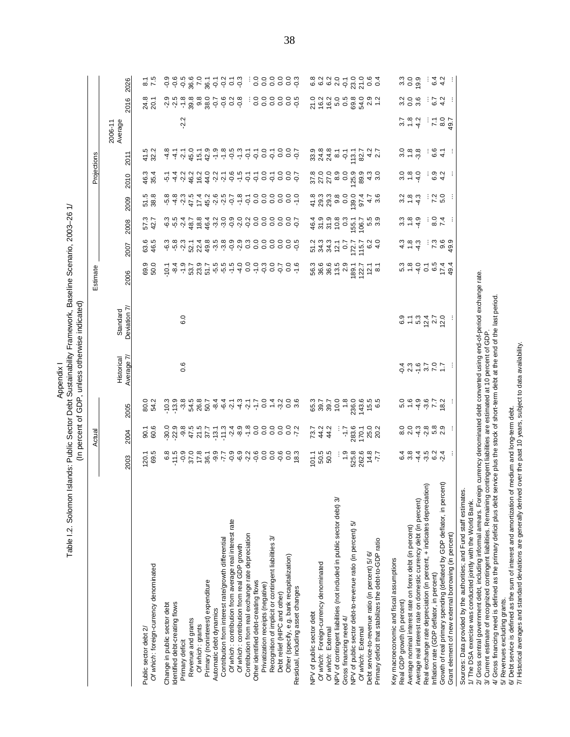Table I.2. Solomon Islands: Public Sector Debt Sustainability Framework, Baseline Scenario, 2003-26 1/ Table I.2. Solomon Islands: Public Sector Debt Sustainability Framework, Baseline Scenario, 2003–26 1/ (In percent of GDP, unless otherwise indicated) (In percent of GDP, unless otherwise indicated) Appendix I

 $\begin{tabular}{cccccccc} \textbf{0.99} & \textbf{0.90} & \textbf{0.90} & \textbf{0.90} & \textbf{0.90} & \textbf{0.90} & \textbf{0.90} & \textbf{0.90} & \textbf{0.90} & \textbf{0.90} & \textbf{0.90} & \textbf{0.90} & \textbf{0.90} & \textbf{0.90} & \textbf{0.90} & \textbf{0.90} & \textbf{0.90} & \textbf{0.90} & \textbf{0.90} & \textbf{0.90} & \textbf{0.90} & \$ 2003 2004 2005 Historical Average 7/ Standard Deviation 7/ 2006 2007 2008 2009 2010 2011 2006-11 Average 2016 2026 2016 2026 2006-11 Average 2011 Projections Actual Projections Estimate 2010 2009 2008 2007 Estimate 2006 Deviation 7/ Standard Average 7/ **Historical** 2005 Actual 2004 2003

Debt service is defined as the sum of interest and amortization of medium and long-term debt. 6/ Debt service is defined as the sum of interest and amortization of medium and long-term debt.

7/ Historical averages and standard deviations are generally derived over the past 10 years, subject to data availability. Historical averages and standard deviations are generally derived over the past 10 years, subject to data availability.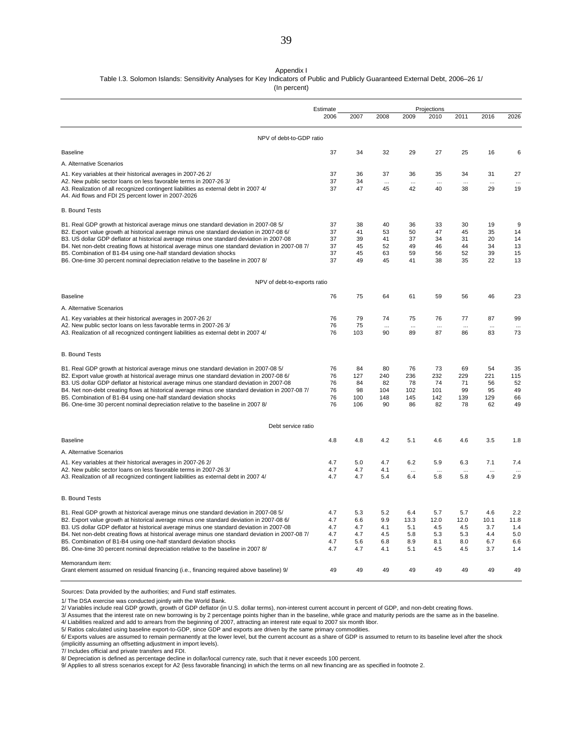#### Appendix I

Table I.3. Solomon Islands: Sensitivity Analyses for Key Indicators of Public and Publicly Guaranteed External Debt, 2006–26 1/

(In percent)

|                                                                                                                                             | Estimate |      |          |           | Projections |           |          |      |
|---------------------------------------------------------------------------------------------------------------------------------------------|----------|------|----------|-----------|-------------|-----------|----------|------|
|                                                                                                                                             | 2006     | 2007 | 2008     | 2009      | 2010        | 2011      | 2016     | 2026 |
| NPV of debt-to-GDP ratio                                                                                                                    |          |      |          |           |             |           |          |      |
| <b>Baseline</b>                                                                                                                             | 37       | 34   | 32       | 29        | 27          | 25        | 16       | 6    |
| A. Alternative Scenarios                                                                                                                    |          |      |          |           |             |           |          |      |
| A1. Key variables at their historical averages in 2007-26 2/                                                                                | 37       | 36   | 37       | 36        | 35          | 34        | 31       | 27   |
| A2. New public sector loans on less favorable terms in 2007-26 3/                                                                           | 37       | 34   | $\cdots$ |           |             | $\ddotsc$ |          |      |
| A3. Realization of all recognized contingent liabilities as external debt in 2007 4/<br>A4. Aid flows and FDI 25 percent lower in 2007-2026 | 37       | 47   | 45       | 42        | 40          | 38        | 29       | 19   |
| <b>B. Bound Tests</b>                                                                                                                       |          |      |          |           |             |           |          |      |
| B1. Real GDP growth at historical average minus one standard deviation in 2007-08 5/                                                        | 37       | 38   | 40       | 36        | 33          | 30        | 19       | 9    |
| B2. Export value growth at historical average minus one standard deviation in 2007-08 6/                                                    | 37       | 41   | 53       | 50        | 47          | 45        | 35       | 14   |
| B3. US dollar GDP deflator at historical average minus one standard deviation in 2007-08                                                    | 37       | 39   | 41       | 37        | 34          | 31        | 20       | 14   |
| B4. Net non-debt creating flows at historical average minus one standard deviation in 2007-08 7/                                            | 37       | 45   | 52       | 49        | 46          | 44        | 34       | 13   |
| B5. Combination of B1-B4 using one-half standard deviation shocks                                                                           | 37       | 45   | 63       | 59        | 56          | 52        | 39       | 15   |
| B6. One-time 30 percent nominal depreciation relative to the baseline in 2007 8/                                                            | 37       | 49   | 45       | 41        | 38          | 35        | 22       | 13   |
| NPV of debt-to-exports ratio                                                                                                                |          |      |          |           |             |           |          |      |
| <b>Baseline</b>                                                                                                                             | 76       | 75   | 64       | 61        | 59          | 56        | 46       | 23   |
| A. Alternative Scenarios                                                                                                                    |          |      |          |           |             |           |          |      |
| A1. Key variables at their historical averages in 2007-26 2/                                                                                | 76       | 79   | 74       | 75        | 76          | 77        | 87       | 99   |
| A2. New public sector loans on less favorable terms in 2007-26 3/                                                                           | 76       | 75   |          | $\ddotsc$ | $\cdots$    | $\ddotsc$ | $\cdots$ |      |
| A3. Realization of all recognized contingent liabilities as external debt in 2007 4/                                                        | 76       | 103  | 90       | 89        | 87          | 86        | 83       | 73   |
| <b>B. Bound Tests</b>                                                                                                                       |          |      |          |           |             |           |          |      |
| B1. Real GDP growth at historical average minus one standard deviation in 2007-08 5/                                                        | 76       | 84   | 80       | 76        | 73          | 69        | 54       | 35   |
| B2. Export value growth at historical average minus one standard deviation in 2007-08 6/                                                    | 76       | 127  | 240      | 236       | 232         | 229       | 221      | 115  |
| B3. US dollar GDP deflator at historical average minus one standard deviation in 2007-08                                                    | 76       | 84   | 82       | 78        | 74          | 71        | 56       | 52   |
| B4. Net non-debt creating flows at historical average minus one standard deviation in 2007-08 7/                                            | 76       | 98   | 104      | 102       | 101         | 99        | 95       | 49   |
| B5. Combination of B1-B4 using one-half standard deviation shocks                                                                           | 76       | 100  | 148      | 145       | 142         | 139       | 129      | 66   |
| B6. One-time 30 percent nominal depreciation relative to the baseline in 2007 8/                                                            | 76       | 106  | 90       | 86        | 82          | 78        | 62       | 49   |
| Debt service ratio                                                                                                                          |          |      |          |           |             |           |          |      |
| <b>Baseline</b>                                                                                                                             | 4.8      | 4.8  | 4.2      | 5.1       | 4.6         | 4.6       | 3.5      | 1.8  |
| A. Alternative Scenarios                                                                                                                    |          |      |          |           |             |           |          |      |
| A1. Key variables at their historical averages in 2007-26 2/                                                                                | 4.7      | 5.0  | 4.7      | 6.2       | 5.9         | 6.3       | 7.1      | 7.4  |
| A2. New public sector loans on less favorable terms in 2007-26 3/                                                                           | 4.7      | 4.7  | 4.1      | $\ddotsc$ |             | $\ddotsc$ |          |      |
| A3. Realization of all recognized contingent liabilities as external debt in 2007 4/                                                        | 4.7      | 4.7  | 5.4      | 6.4       | 5.8         | 5.8       | 4.9      | 2.9  |
| <b>B. Bound Tests</b>                                                                                                                       |          |      |          |           |             |           |          |      |
| B1. Real GDP growth at historical average minus one standard deviation in 2007-08 5/                                                        | 4.7      | 5.3  | 5.2      | 6.4       | 5.7         | 5.7       | 4.6      | 2.2  |
| B2. Export value growth at historical average minus one standard deviation in 2007-08 6/                                                    | 4.7      | 6.6  | 9.9      | 13.3      | 12.0        | 12.0      | 10.1     | 11.8 |
| B3. US dollar GDP deflator at historical average minus one standard deviation in 2007-08                                                    | 4.7      | 4.7  | 4.1      | 5.1       | 4.5         | 4.5       | 3.7      | 1.4  |
| B4. Net non-debt creating flows at historical average minus one standard deviation in 2007-08 7/                                            | 4.7      | 4.7  | 4.5      | 5.8       | 5.3         | 5.3       | 4.4      | 5.0  |
| B5. Combination of B1-B4 using one-half standard deviation shocks                                                                           | 4.7      | 5.6  | 6.8      | 8.9       | 8.1         | 8.0       | 6.7      | 6.6  |
| B6. One-time 30 percent nominal depreciation relative to the baseline in 2007 8/                                                            | 4.7      | 4.7  | 4.1      | 5.1       | 4.5         | 4.5       | 3.7      | 1.4  |
| Memorandum item:                                                                                                                            |          |      |          |           |             |           |          |      |
| Grant element assumed on residual financing (i.e., financing required above baseline) 9/                                                    | 49       | 49   | 49       | 49        | 49          | 49        | 49       | 49   |

Sources: Data provided by the authorities; and Fund staff estimates.

1/ The DSA exercise was conducted jointly with the World Bank.<br>2/ Variables include real GDP growth, growth of GDP deflator (in U.S. dollar terms), non-interest current account in percent of GDP, and non-debt creating flow

(implicitly assuming an offsetting adjustment in import levels).

7/ Includes official and private transfers and FDI.

8/ Depreciation is defined as percentage decline in dollar/local currency rate, such that it never exceeds 100 percent.

9/ Applies to all stress scenarios except for A2 (less favorable financing) in which the terms on all new financing are as specified in footnote 2.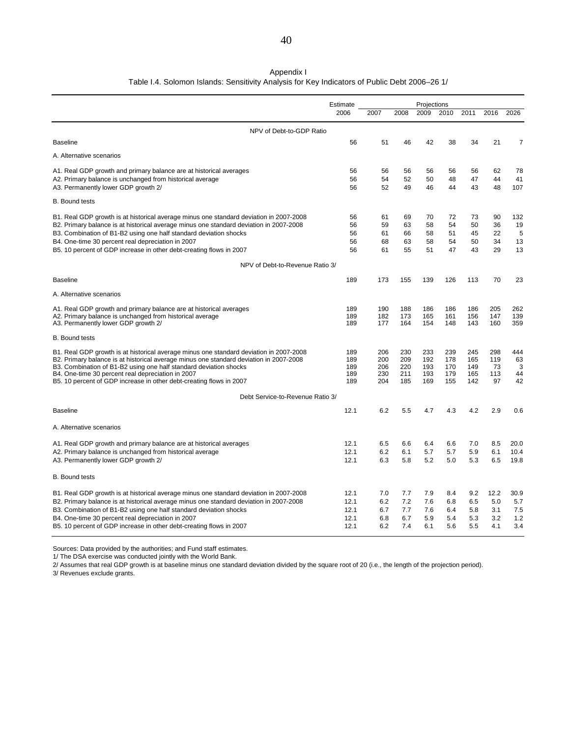#### Table I.4. Solomon Islands: Sensitivity Analysis for Key Indicators of Public Debt 2006–26 1/ Appendix I

|                                                                                                                          | Estimate   |            |            | Projections |            |            |           |                |
|--------------------------------------------------------------------------------------------------------------------------|------------|------------|------------|-------------|------------|------------|-----------|----------------|
|                                                                                                                          | 2006       | 2007       | 2008       | 2009        | 2010       | 2011       | 2016      | 2026           |
| NPV of Debt-to-GDP Ratio                                                                                                 |            |            |            |             |            |            |           |                |
| <b>Baseline</b>                                                                                                          | 56         | 51         | 46         | 42          | 38         | 34         | 21        | $\overline{7}$ |
| A. Alternative scenarios                                                                                                 |            |            |            |             |            |            |           |                |
| A1. Real GDP growth and primary balance are at historical averages                                                       | 56         | 56         | 56         | 56          | 56         | 56         | 62        | 78             |
| A2. Primary balance is unchanged from historical average                                                                 | 56         | 54         | 52         | 50          | 48         | 47         | 44        | 41             |
| A3. Permanently lower GDP growth 2/                                                                                      | 56         | 52         | 49         | 46          | 44         | 43         | 48        | 107            |
| <b>B.</b> Bound tests                                                                                                    |            |            |            |             |            |            |           |                |
| B1. Real GDP growth is at historical average minus one standard deviation in 2007-2008                                   | 56         | 61         | 69         | 70          | 72         | 73         | 90        | 132            |
| B2. Primary balance is at historical average minus one standard deviation in 2007-2008                                   | 56         | 59         | 63         | 58          | 54         | 50         | 36        | 19             |
| B3. Combination of B1-B2 using one half standard deviation shocks                                                        | 56         | 61         | 66         | 58          | 51         | 45         | 22        | 5              |
| B4. One-time 30 percent real depreciation in 2007                                                                        | 56         | 68         | 63         | 58          | 54         | 50         | 34        | 13             |
| B5. 10 percent of GDP increase in other debt-creating flows in 2007                                                      | 56         | 61         | 55         | 51          | 47         | 43         | 29        | 13             |
| NPV of Debt-to-Revenue Ratio 3/                                                                                          |            |            |            |             |            |            |           |                |
| <b>Baseline</b>                                                                                                          | 189        | 173        | 155        | 139         | 126        | 113        | 70        | 23             |
| A. Alternative scenarios                                                                                                 |            |            |            |             |            |            |           |                |
| A1. Real GDP growth and primary balance are at historical averages                                                       | 189        | 190        | 188        | 186         | 186        | 186        | 205       | 262            |
| A2. Primary balance is unchanged from historical average                                                                 | 189        | 182        | 173        | 165         | 161        | 156        | 147       | 139            |
| A3. Permanently lower GDP growth 2/                                                                                      | 189        | 177        | 164        | 154         | 148        | 143        | 160       | 359            |
| <b>B.</b> Bound tests                                                                                                    |            |            |            |             |            |            |           |                |
| B1. Real GDP growth is at historical average minus one standard deviation in 2007-2008                                   | 189        | 206        | 230        | 233         | 239        | 245        | 298       | 444            |
| B2. Primary balance is at historical average minus one standard deviation in 2007-2008                                   | 189        | 200        | 209        | 192         | 178        | 165        | 119       | 63             |
| B3. Combination of B1-B2 using one half standard deviation shocks                                                        | 189        | 206        | 220<br>211 | 193         | 170<br>179 | 149        | 73<br>113 | 3              |
| B4. One-time 30 percent real depreciation in 2007<br>B5. 10 percent of GDP increase in other debt-creating flows in 2007 | 189<br>189 | 230<br>204 | 185        | 193<br>169  | 155        | 165<br>142 | 97        | 44<br>42       |
| Debt Service-to-Revenue Ratio 3/                                                                                         |            |            |            |             |            |            |           |                |
| <b>Baseline</b>                                                                                                          | 12.1       | 6.2        | 5.5        | 4.7         | 4.3        | 4.2        | 2.9       | 0.6            |
|                                                                                                                          |            |            |            |             |            |            |           |                |
| A. Alternative scenarios                                                                                                 |            |            |            |             |            |            |           |                |
| A1. Real GDP growth and primary balance are at historical averages                                                       | 12.1       | 6.5        | 6.6        | 6.4         | 6.6        | 7.0        | 8.5       | 20.0           |
| A2. Primary balance is unchanged from historical average                                                                 | 12.1       | 6.2        | 6.1        | 5.7         | 5.7        | 5.9        | 6.1       | 10.4           |
| A3. Permanently lower GDP growth 2/                                                                                      | 12.1       | 6.3        | 5.8        | 5.2         | 5.0        | 5.3        | 6.5       | 19.8           |
| <b>B.</b> Bound tests                                                                                                    |            |            |            |             |            |            |           |                |
| B1. Real GDP growth is at historical average minus one standard deviation in 2007-2008                                   | 12.1       | 7.0        | 7.7        | 7.9         | 8.4        | 9.2        | 12.2      | 30.9           |
| B2. Primary balance is at historical average minus one standard deviation in 2007-2008                                   | 12.1       | 6.2        | 7.2        | 7.6         | 6.8        | 6.5        | 5.0       | 5.7            |
| B3. Combination of B1-B2 using one half standard deviation shocks                                                        | 12.1       | 6.7        | 7.7        | 7.6         | 6.4        | 5.8        | 3.1       | 7.5            |
| B4. One-time 30 percent real depreciation in 2007                                                                        | 12.1       | 6.8        | 6.7        | 5.9         | 5.4        | 5.3        | 3.2       | 1.2            |
| B5. 10 percent of GDP increase in other debt-creating flows in 2007                                                      | 12.1       | 6.2        | 7.4        | 6.1         | 5.6        | 5.5        | 4.1       | 3.4            |

Sources: Data provided by the authorities; and Fund staff estimates.

1/ The DSA exercise was conducted jointly with the World Bank.

2/ Assumes that real GDP growth is at baseline minus one standard deviation divided by the square root of 20 (i.e., the length of the projection period).

3/ Revenues exclude grants.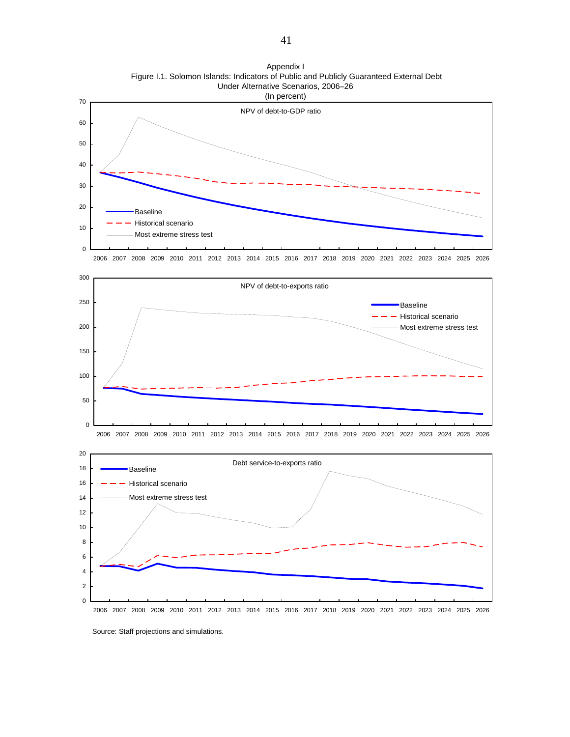

Appendix I Figure I.1. Solomon Islands: Indicators of Public and Publicly Guaranteed External Debt Under Alternative Scenarios, 2006–26

Source: Staff projections and simulations.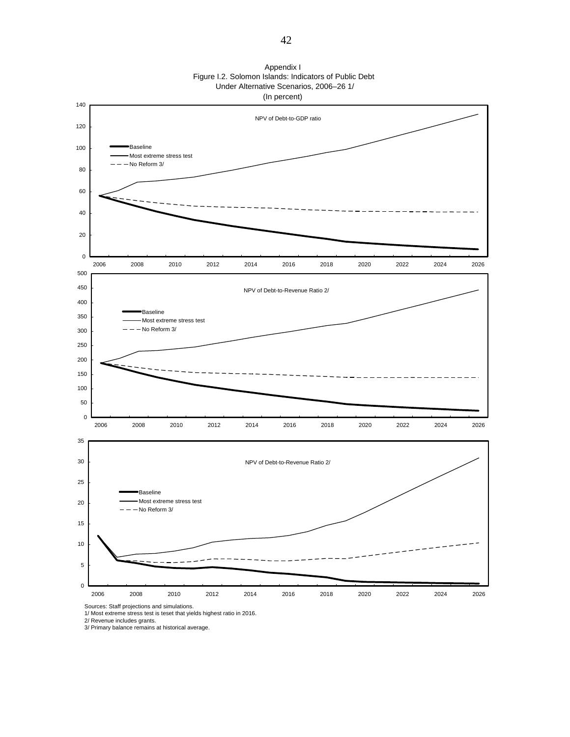

1/ Most extreme stress test is teset that yields highest ratio in 2016.

2/ Revenue includes grants. 3/ Primary balance remains at historical average.

Appendix I Figure I.2. Solomon Islands: Indicators of Public Debt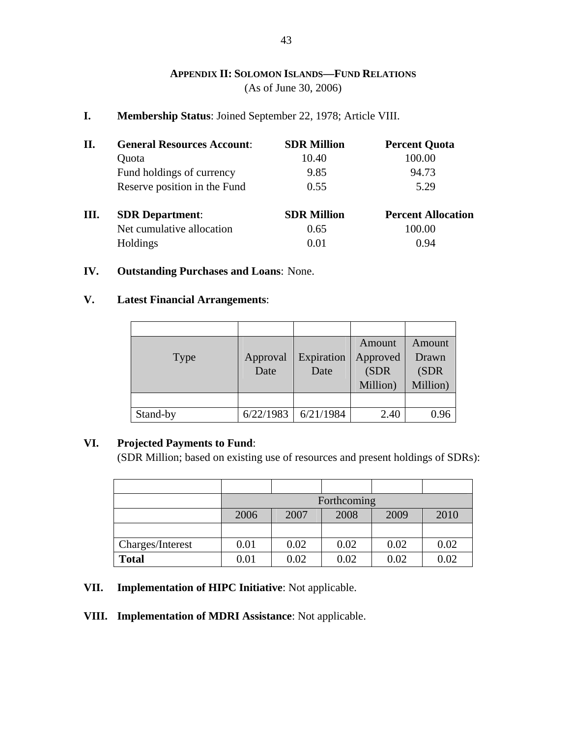### **APPENDIX II: SOLOMON ISLANDS—FUND RELATIONS** (As of June 30, 2006)

**I. Membership Status**: Joined September 22, 1978; Article VIII.

| II. | <b>General Resources Account:</b> | <b>SDR Million</b> | <b>Percent Quota</b>      |
|-----|-----------------------------------|--------------------|---------------------------|
|     | Quota                             | 10.40              | 100.00                    |
|     | Fund holdings of currency         | 9.85               | 94.73                     |
|     | Reserve position in the Fund      | 0.55               | 5.29                      |
| Ш.  | <b>SDR</b> Department:            | <b>SDR Million</b> | <b>Percent Allocation</b> |
|     | Net cumulative allocation         | 0.65               | 100.00                    |
|     | Holdings                          | 0.01               | 0.94                      |

#### **IV. Outstanding Purchases and Loans**: None.

### **V. Latest Financial Arrangements**:

| <b>Type</b> | Approval<br>Date | Expiration<br>Date | <b>Amount</b><br>Approved<br>(SDR)<br>Million) | Amount<br>Drawn<br>(SDR<br>Million) |
|-------------|------------------|--------------------|------------------------------------------------|-------------------------------------|
|             |                  |                    |                                                |                                     |
| Stand-by    | 6/22/1983        | 6/21/1984          | 2.40                                           | 0.96                                |

### **VI. Projected Payments to Fund**:

(SDR Million; based on existing use of resources and present holdings of SDRs):

|                  | Forthcoming |      |      |      |      |  |  |  |
|------------------|-------------|------|------|------|------|--|--|--|
|                  | 2006        | 2007 | 2008 | 2009 | 2010 |  |  |  |
|                  |             |      |      |      |      |  |  |  |
| Charges/Interest | 0.01        | 0.02 | 0.02 | 0.02 | 0.02 |  |  |  |
| <b>Total</b>     | 0.01        | 0.02 | 0.02 | 0.02 | 0.02 |  |  |  |

### **VII. Implementation of HIPC Initiative**: Not applicable.

### **VIII. Implementation of MDRI Assistance**: Not applicable.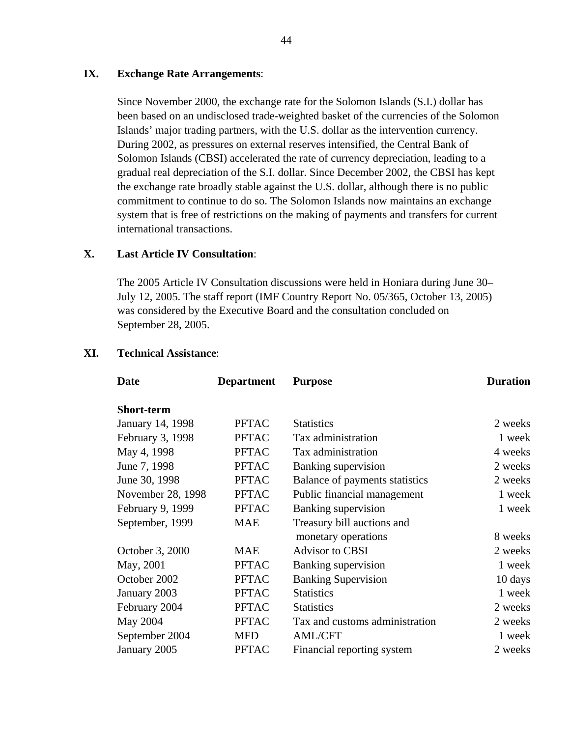#### **IX. Exchange Rate Arrangements**:

Since November 2000, the exchange rate for the Solomon Islands (S.I.) dollar has been based on an undisclosed trade-weighted basket of the currencies of the Solomon Islands' major trading partners, with the U.S. dollar as the intervention currency. During 2002, as pressures on external reserves intensified, the Central Bank of Solomon Islands (CBSI) accelerated the rate of currency depreciation, leading to a gradual real depreciation of the S.I. dollar. Since December 2002, the CBSI has kept the exchange rate broadly stable against the U.S. dollar, although there is no public commitment to continue to do so. The Solomon Islands now maintains an exchange system that is free of restrictions on the making of payments and transfers for current international transactions.

#### **X. Last Article IV Consultation**:

The 2005 Article IV Consultation discussions were held in Honiara during June 30– July 12, 2005. The staff report (IMF Country Report No. 05/365, October 13, 2005) was considered by the Executive Board and the consultation concluded on September 28, 2005.

| Date              | <b>Department</b><br><b>Purpose</b> |                                | <b>Duration</b> |
|-------------------|-------------------------------------|--------------------------------|-----------------|
| <b>Short-term</b> |                                     |                                |                 |
| January 14, 1998  | <b>PFTAC</b>                        | <b>Statistics</b>              | 2 weeks         |
| February 3, 1998  | <b>PFTAC</b>                        | Tax administration             | 1 week          |
| May 4, 1998       | <b>PFTAC</b>                        | Tax administration             | 4 weeks         |
| June 7, 1998      | <b>PFTAC</b>                        | <b>Banking supervision</b>     | 2 weeks         |
| June 30, 1998     | <b>PFTAC</b>                        | Balance of payments statistics | 2 weeks         |
| November 28, 1998 | <b>PFTAC</b>                        | Public financial management    | 1 week          |
| February 9, 1999  | <b>PFTAC</b>                        | <b>Banking supervision</b>     | 1 week          |
| September, 1999   | <b>MAE</b>                          | Treasury bill auctions and     |                 |
|                   |                                     | monetary operations            | 8 weeks         |
| October 3, 2000   | <b>MAE</b>                          | <b>Advisor to CBSI</b>         | 2 weeks         |
| May, 2001         | <b>PFTAC</b>                        | Banking supervision            | 1 week          |
| October 2002      | <b>PFTAC</b>                        | <b>Banking Supervision</b>     | 10 days         |
| January 2003      | <b>PFTAC</b>                        | <b>Statistics</b>              | 1 week          |
| February 2004     | <b>PFTAC</b>                        | <b>Statistics</b>              | 2 weeks         |
| May 2004          | <b>PFTAC</b>                        | Tax and customs administration | 2 weeks         |
| September 2004    | <b>MFD</b>                          | <b>AML/CFT</b>                 | 1 week          |
| January 2005      | <b>PFTAC</b>                        | Financial reporting system     | 2 weeks         |

#### **XI. Technical Assistance**: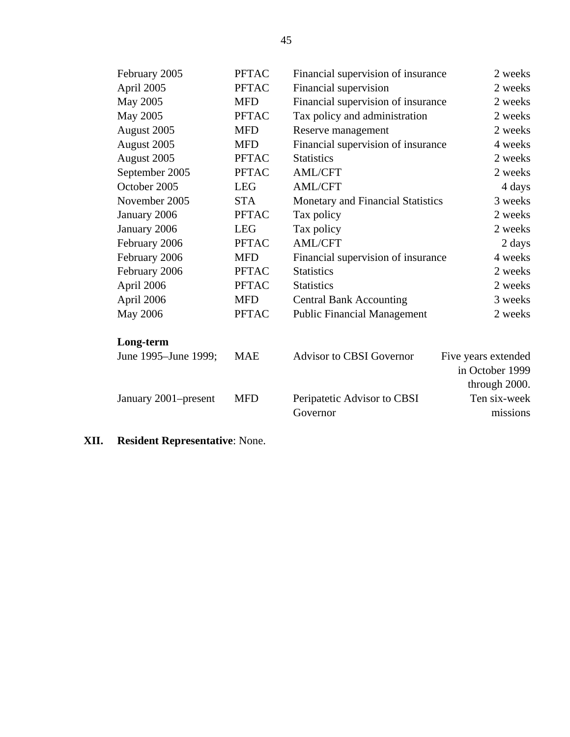| February 2005        | <b>PFTAC</b> | Financial supervision of insurance | 2 weeks             |
|----------------------|--------------|------------------------------------|---------------------|
| April 2005           | <b>PFTAC</b> | Financial supervision              | 2 weeks             |
| May 2005             | <b>MFD</b>   | Financial supervision of insurance | 2 weeks             |
| May 2005             | <b>PFTAC</b> | Tax policy and administration      | 2 weeks             |
| August 2005          | <b>MFD</b>   | Reserve management                 | 2 weeks             |
| August 2005          | <b>MFD</b>   | Financial supervision of insurance | 4 weeks             |
| August 2005          | <b>PFTAC</b> | <b>Statistics</b>                  | 2 weeks             |
| September 2005       | <b>PFTAC</b> | <b>AML/CFT</b>                     | 2 weeks             |
| October 2005         | <b>LEG</b>   | <b>AML/CFT</b>                     | 4 days              |
| November 2005        | <b>STA</b>   | Monetary and Financial Statistics  | 3 weeks             |
| January 2006         | <b>PFTAC</b> | Tax policy                         | 2 weeks             |
| January 2006         | <b>LEG</b>   | Tax policy                         | 2 weeks             |
| February 2006        | <b>PFTAC</b> | <b>AML/CFT</b>                     | 2 days              |
| February 2006        | <b>MFD</b>   | Financial supervision of insurance | 4 weeks             |
| February 2006        | <b>PFTAC</b> | <b>Statistics</b>                  | 2 weeks             |
| April 2006           | <b>PFTAC</b> | <b>Statistics</b>                  | 2 weeks             |
| April 2006           | <b>MFD</b>   | <b>Central Bank Accounting</b>     | 3 weeks             |
| <b>May 2006</b>      | <b>PFTAC</b> | <b>Public Financial Management</b> | 2 weeks             |
| Long-term            |              |                                    |                     |
| June 1995–June 1999; | <b>MAE</b>   | <b>Advisor to CBSI Governor</b>    | Five years extended |
|                      |              |                                    | in October 1999     |
|                      |              |                                    | through 2000.       |
| January 2001–present | <b>MFD</b>   | Peripatetic Advisor to CBSI        | Ten six-week        |
|                      |              | Governor                           | missions            |
|                      |              |                                    |                     |

**XII. Resident Representative**: None.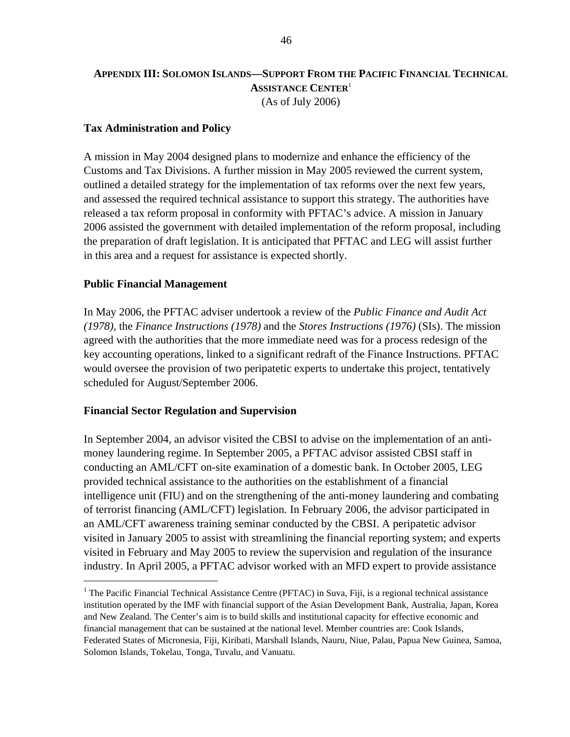### **APPENDIX III: SOLOMON ISLANDS—SUPPORT FROM THE PACIFIC FINANCIAL TECHNICAL ASSISTANCE CENTER**<sup>1</sup> (As of July 2006)

#### **Tax Administration and Policy**

A mission in May 2004 designed plans to modernize and enhance the efficiency of the Customs and Tax Divisions. A further mission in May 2005 reviewed the current system, outlined a detailed strategy for the implementation of tax reforms over the next few years, and assessed the required technical assistance to support this strategy. The authorities have released a tax reform proposal in conformity with PFTAC's advice. A mission in January 2006 assisted the government with detailed implementation of the reform proposal, including the preparation of draft legislation. It is anticipated that PFTAC and LEG will assist further in this area and a request for assistance is expected shortly.

#### **Public Financial Management**

 $\overline{a}$ 

In May 2006, the PFTAC adviser undertook a review of the *Public Finance and Audit Act (1978),* the *Finance Instructions (1978)* and the *Stores Instructions (1976)* (SIs). The mission agreed with the authorities that the more immediate need was for a process redesign of the key accounting operations, linked to a significant redraft of the Finance Instructions. PFTAC would oversee the provision of two peripatetic experts to undertake this project, tentatively scheduled for August/September 2006.

#### **Financial Sector Regulation and Supervision**

In September 2004, an advisor visited the CBSI to advise on the implementation of an antimoney laundering regime. In September 2005, a PFTAC advisor assisted CBSI staff in conducting an AML/CFT on-site examination of a domestic bank. In October 2005, LEG provided technical assistance to the authorities on the establishment of a financial intelligence unit (FIU) and on the strengthening of the anti-money laundering and combating of terrorist financing (AML/CFT) legislation. In February 2006, the advisor participated in an AML/CFT awareness training seminar conducted by the CBSI. A peripatetic advisor visited in January 2005 to assist with streamlining the financial reporting system; and experts visited in February and May 2005 to review the supervision and regulation of the insurance industry. In April 2005, a PFTAC advisor worked with an MFD expert to provide assistance

<sup>&</sup>lt;sup>1</sup> The Pacific Financial Technical Assistance Centre (PFTAC) in Suva, Fiji, is a regional technical assistance institution operated by the IMF with financial support of the Asian Development Bank, Australia, Japan, Korea and New Zealand. The Center's aim is to build skills and institutional capacity for effective economic and financial management that can be sustained at the national level. Member countries are: Cook Islands, Federated States of Micronesia, Fiji, Kiribati, Marshall Islands, Nauru, Niue, Palau, Papua New Guinea, Samoa, Solomon Islands, Tokelau, Tonga, Tuvalu, and Vanuatu.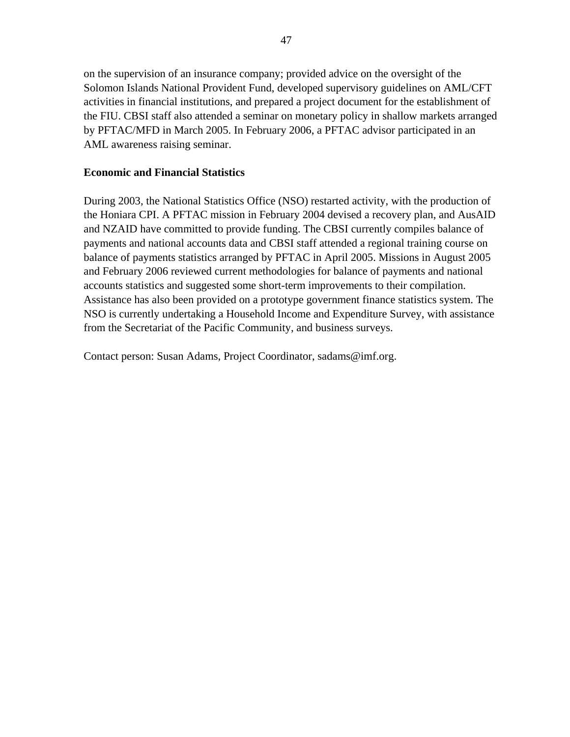on the supervision of an insurance company; provided advice on the oversight of the Solomon Islands National Provident Fund, developed supervisory guidelines on AML/CFT activities in financial institutions, and prepared a project document for the establishment of the FIU. CBSI staff also attended a seminar on monetary policy in shallow markets arranged by PFTAC/MFD in March 2005. In February 2006, a PFTAC advisor participated in an AML awareness raising seminar.

#### **Economic and Financial Statistics**

During 2003, the National Statistics Office (NSO) restarted activity, with the production of the Honiara CPI. A PFTAC mission in February 2004 devised a recovery plan, and AusAID and NZAID have committed to provide funding. The CBSI currently compiles balance of payments and national accounts data and CBSI staff attended a regional training course on balance of payments statistics arranged by PFTAC in April 2005. Missions in August 2005 and February 2006 reviewed current methodologies for balance of payments and national accounts statistics and suggested some short-term improvements to their compilation. Assistance has also been provided on a prototype government finance statistics system. The NSO is currently undertaking a Household Income and Expenditure Survey, with assistance from the Secretariat of the Pacific Community, and business surveys.

Contact person: Susan Adams, Project Coordinator, sadams@imf.org.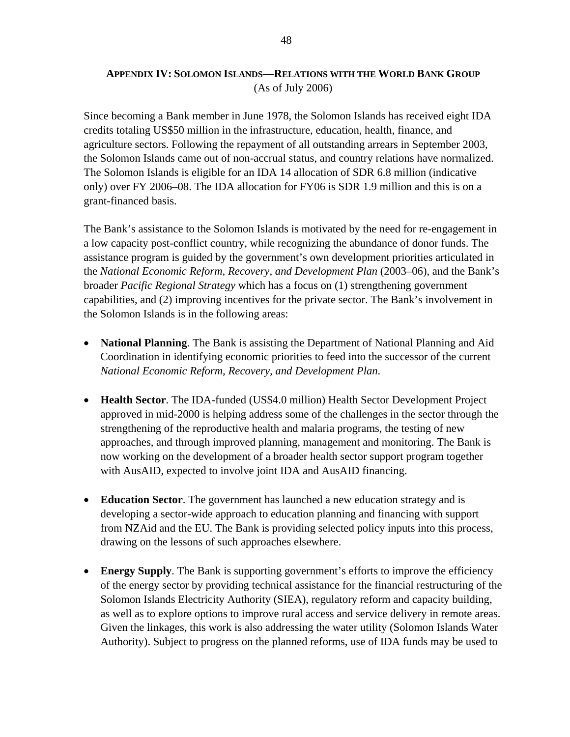### **APPENDIX IV: SOLOMON ISLANDS—RELATIONS WITH THE WORLD BANK GROUP** (As of July 2006)

Since becoming a Bank member in June 1978, the Solomon Islands has received eight IDA credits totaling US\$50 million in the infrastructure, education, health, finance, and agriculture sectors. Following the repayment of all outstanding arrears in September 2003, the Solomon Islands came out of non-accrual status, and country relations have normalized. The Solomon Islands is eligible for an IDA 14 allocation of SDR 6.8 million (indicative only) over FY 2006–08. The IDA allocation for FY06 is SDR 1.9 million and this is on a grant-financed basis.

The Bank's assistance to the Solomon Islands is motivated by the need for re-engagement in a low capacity post-conflict country, while recognizing the abundance of donor funds. The assistance program is guided by the government's own development priorities articulated in the *National Economic Reform, Recovery, and Development Plan* (2003–06), and the Bank's broader *Pacific Regional Strategy* which has a focus on (1) strengthening government capabilities, and (2) improving incentives for the private sector. The Bank's involvement in the Solomon Islands is in the following areas:

- **National Planning**. The Bank is assisting the Department of National Planning and Aid Coordination in identifying economic priorities to feed into the successor of the current *National Economic Reform, Recovery, and Development Plan*.
- **Health Sector**. The IDA-funded (US\$4.0 million) Health Sector Development Project approved in mid-2000 is helping address some of the challenges in the sector through the strengthening of the reproductive health and malaria programs, the testing of new approaches, and through improved planning, management and monitoring. The Bank is now working on the development of a broader health sector support program together with AusAID, expected to involve joint IDA and AusAID financing.
- **Education Sector**. The government has launched a new education strategy and is developing a sector-wide approach to education planning and financing with support from NZAid and the EU. The Bank is providing selected policy inputs into this process, drawing on the lessons of such approaches elsewhere.
- **Energy Supply**. The Bank is supporting government's efforts to improve the efficiency of the energy sector by providing technical assistance for the financial restructuring of the Solomon Islands Electricity Authority (SIEA), regulatory reform and capacity building, as well as to explore options to improve rural access and service delivery in remote areas. Given the linkages, this work is also addressing the water utility (Solomon Islands Water Authority). Subject to progress on the planned reforms, use of IDA funds may be used to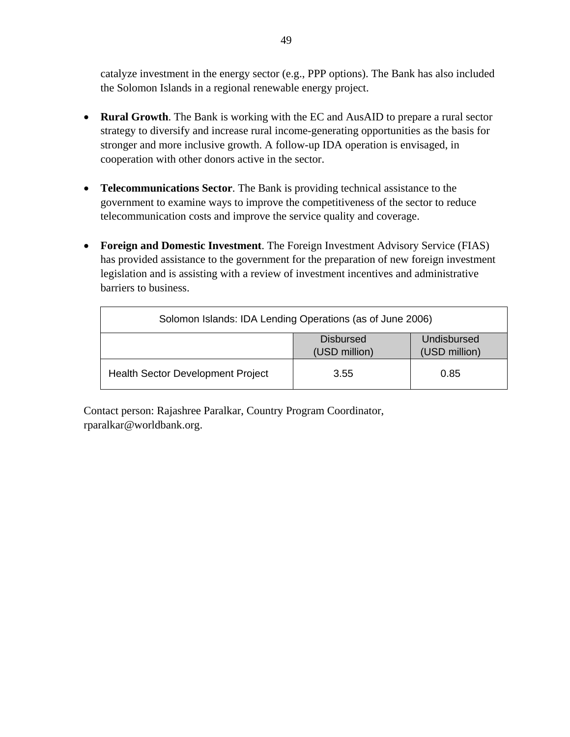catalyze investment in the energy sector (e.g., PPP options). The Bank has also included the Solomon Islands in a regional renewable energy project.

- **Rural Growth**. The Bank is working with the EC and AusAID to prepare a rural sector strategy to diversify and increase rural income-generating opportunities as the basis for stronger and more inclusive growth. A follow-up IDA operation is envisaged, in cooperation with other donors active in the sector.
- **Telecommunications Sector**. The Bank is providing technical assistance to the government to examine ways to improve the competitiveness of the sector to reduce telecommunication costs and improve the service quality and coverage.
- **Foreign and Domestic Investment**. The Foreign Investment Advisory Service (FIAS) has provided assistance to the government for the preparation of new foreign investment legislation and is assisting with a review of investment incentives and administrative barriers to business.

| Solomon Islands: IDA Lending Operations (as of June 2006) |                                                                   |      |  |  |  |
|-----------------------------------------------------------|-------------------------------------------------------------------|------|--|--|--|
|                                                           | Undisbursed<br><b>Disbursed</b><br>(USD million)<br>(USD million) |      |  |  |  |
| <b>Health Sector Development Project</b>                  | 3.55                                                              | 0.85 |  |  |  |

Contact person: Rajashree Paralkar, Country Program Coordinator, rparalkar@worldbank.org.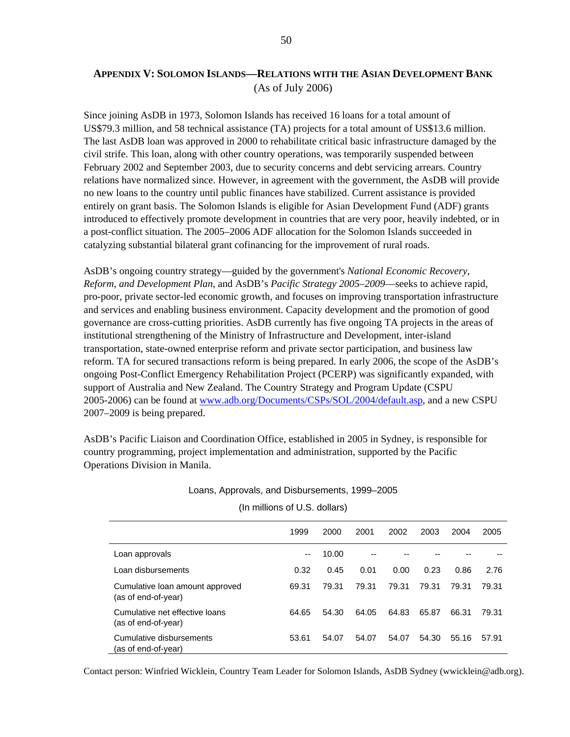### **APPENDIX V: SOLOMON ISLANDS—RELATIONS WITH THE ASIAN DEVELOPMENT BANK** (As of July 2006)

Since joining AsDB in 1973, Solomon Islands has received 16 loans for a total amount of US\$79.3 million, and 58 technical assistance (TA) projects for a total amount of US\$13.6 million. The last AsDB loan was approved in 2000 to rehabilitate critical basic infrastructure damaged by the civil strife. This loan, along with other country operations, was temporarily suspended between February 2002 and September 2003, due to security concerns and debt servicing arrears. Country relations have normalized since. However, in agreement with the government, the AsDB will provide no new loans to the country until public finances have stabilized. Current assistance is provided entirely on grant basis. The Solomon Islands is eligible for Asian Development Fund (ADF) grants introduced to effectively promote development in countries that are very poor, heavily indebted, or in a post-conflict situation. The 2005–2006 ADF allocation for the Solomon Islands succeeded in catalyzing substantial bilateral grant cofinancing for the improvement of rural roads.

AsDB's ongoing country strategy—guided by the government's *National Economic Recovery, Reform, and Development Plan*, and AsDB's *Pacific Strategy 2005–2009*—seeks to achieve rapid, pro-poor, private sector-led economic growth, and focuses on improving transportation infrastructure and services and enabling business environment. Capacity development and the promotion of good governance are cross-cutting priorities. AsDB currently has five ongoing TA projects in the areas of institutional strengthening of the Ministry of Infrastructure and Development, inter-island transportation, state-owned enterprise reform and private sector participation, and business law reform. TA for secured transactions reform is being prepared. In early 2006, the scope of the AsDB's ongoing Post-Conflict Emergency Rehabilitation Project (PCERP) was significantly expanded, with support of Australia and New Zealand. The Country Strategy and Program Update (CSPU 2005-2006) can be found at www.adb.org/Documents/CSPs/SOL/2004/default.asp, and a new CSPU 2007–2009 is being prepared.

AsDB's Pacific Liaison and Coordination Office, established in 2005 in Sydney, is responsible for country programming, project implementation and administration, supported by the Pacific Operations Division in Manila.

#### 1999 2000 2001 2002 2003 2004 2005 Loan approvals -- 10.00 -- -- -- -- -- Loan disbursements 0.32 0.45 0.01 0.00 0.23 0.86 2.76 Cumulative loan amount approved (as of end-of-year) 69.31 79.31 79.31 79.31 79.31 79.31 79.31 Cumulative net effective loans (as of end-of-year) 64.65 54.30 64.05 64.83 65.87 66.31 79.31 Cumulative disbursements (as of end-of-year) 53.61 54.07 54.07 54.07 54.30 55.16 57.91

Loans, Approvals, and Disbursements, 1999–2005

#### (In millions of U.S. dollars)

Contact person: Winfried Wicklein, Country Team Leader for Solomon Islands, AsDB Sydney (wwicklein@adb.org).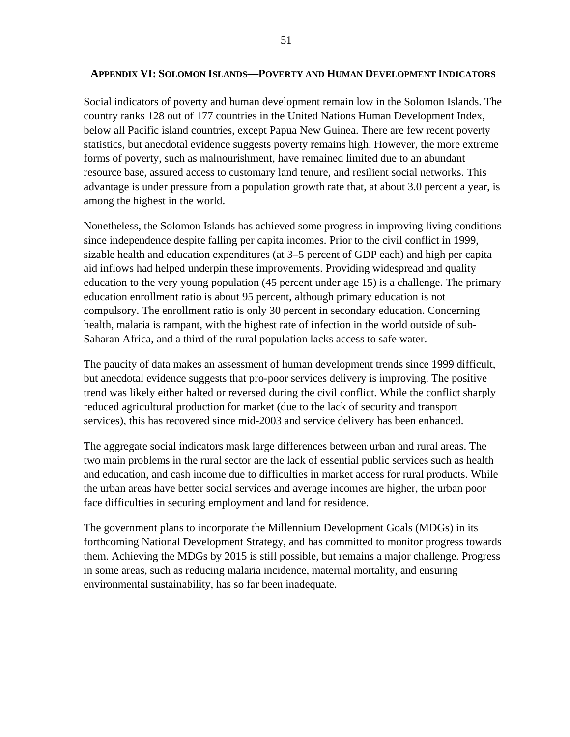#### **APPENDIX VI: SOLOMON ISLANDS—POVERTY AND HUMAN DEVELOPMENT INDICATORS**

Social indicators of poverty and human development remain low in the Solomon Islands. The country ranks 128 out of 177 countries in the United Nations Human Development Index, below all Pacific island countries, except Papua New Guinea. There are few recent poverty statistics, but anecdotal evidence suggests poverty remains high. However, the more extreme forms of poverty, such as malnourishment, have remained limited due to an abundant resource base, assured access to customary land tenure, and resilient social networks. This advantage is under pressure from a population growth rate that, at about 3.0 percent a year, is among the highest in the world.

Nonetheless, the Solomon Islands has achieved some progress in improving living conditions since independence despite falling per capita incomes. Prior to the civil conflict in 1999, sizable health and education expenditures (at 3–5 percent of GDP each) and high per capita aid inflows had helped underpin these improvements. Providing widespread and quality education to the very young population (45 percent under age 15) is a challenge. The primary education enrollment ratio is about 95 percent, although primary education is not compulsory. The enrollment ratio is only 30 percent in secondary education. Concerning health, malaria is rampant, with the highest rate of infection in the world outside of sub-Saharan Africa, and a third of the rural population lacks access to safe water.

The paucity of data makes an assessment of human development trends since 1999 difficult, but anecdotal evidence suggests that pro-poor services delivery is improving. The positive trend was likely either halted or reversed during the civil conflict. While the conflict sharply reduced agricultural production for market (due to the lack of security and transport services), this has recovered since mid-2003 and service delivery has been enhanced.

The aggregate social indicators mask large differences between urban and rural areas. The two main problems in the rural sector are the lack of essential public services such as health and education, and cash income due to difficulties in market access for rural products. While the urban areas have better social services and average incomes are higher, the urban poor face difficulties in securing employment and land for residence.

The government plans to incorporate the Millennium Development Goals (MDGs) in its forthcoming National Development Strategy, and has committed to monitor progress towards them. Achieving the MDGs by 2015 is still possible, but remains a major challenge. Progress in some areas, such as reducing malaria incidence, maternal mortality, and ensuring environmental sustainability, has so far been inadequate.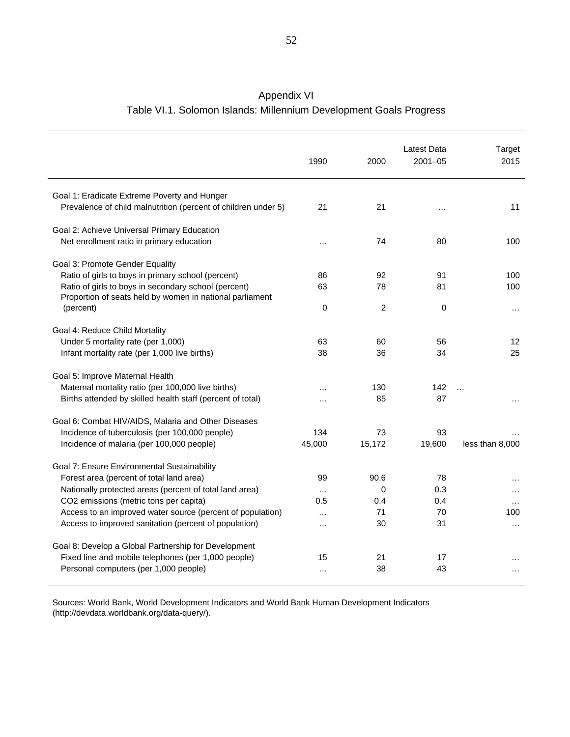| Appendix VI                                                        |
|--------------------------------------------------------------------|
| Table VI.1. Solomon Islands: Millennium Development Goals Progress |

|                                                                                                                  | 1990     | 2000     | Latest Data<br>$2001 - 05$ | Target<br>2015  |
|------------------------------------------------------------------------------------------------------------------|----------|----------|----------------------------|-----------------|
| Goal 1: Eradicate Extreme Poverty and Hunger<br>Prevalence of child malnutrition (percent of children under 5)   | 21       | 21       | .                          | 11              |
| Goal 2: Achieve Universal Primary Education                                                                      |          |          |                            |                 |
| Net enrollment ratio in primary education                                                                        | $\cdots$ | 74       | 80                         | 100             |
| Goal 3: Promote Gender Equality                                                                                  |          |          |                            |                 |
| Ratio of girls to boys in primary school (percent)                                                               | 86       | 92       | 91                         | 100             |
| Ratio of girls to boys in secondary school (percent)<br>Proportion of seats held by women in national parliament | 63       | 78       | 81                         | 100             |
| (percent)                                                                                                        | 0        | 2        | 0                          | $\cdots$        |
| Goal 4: Reduce Child Mortality                                                                                   |          |          |                            |                 |
| Under 5 mortality rate (per 1,000)                                                                               | 63       | 60       | 56                         | 12              |
| Infant mortality rate (per 1,000 live births)                                                                    | 38       | 36       | 34                         | 25              |
|                                                                                                                  |          |          |                            |                 |
| Goal 5: Improve Maternal Health                                                                                  |          |          |                            |                 |
| Maternal mortality ratio (per 100,000 live births)                                                               | .        | 130      | 142                        | $\ddotsc$       |
| Births attended by skilled health staff (percent of total)                                                       | $\cdots$ | 85       | 87                         | $\cdots$        |
| Goal 6: Combat HIV/AIDS, Malaria and Other Diseases                                                              |          |          |                            |                 |
| Incidence of tuberculosis (per 100,000 people)                                                                   | 134      | 73       | 93                         |                 |
| Incidence of malaria (per 100,000 people)                                                                        | 45,000   | 15,172   | 19,600                     | less than 8,000 |
| Goal 7: Ensure Environmental Sustainability                                                                      |          |          |                            |                 |
| Forest area (percent of total land area)                                                                         | 99       | 90.6     | 78                         |                 |
| Nationally protected areas (percent of total land area)                                                          | $\cdots$ | $\Omega$ | 0.3                        | $\cdots$        |
| CO2 emissions (metric tons per capita)                                                                           | 0.5      | 0.4      | 0.4                        | $\cdots$        |
| Access to an improved water source (percent of population)                                                       | $\cdots$ | 71       | 70                         | 100             |
| Access to improved sanitation (percent of population)                                                            | $\cdots$ | 30       | 31                         | $\cdots$        |
| Goal 8: Develop a Global Partnership for Development                                                             |          |          |                            |                 |
| Fixed line and mobile telephones (per 1,000 people)                                                              | 15       | 21       | 17                         |                 |
| Personal computers (per 1,000 people)                                                                            |          | 38       | 43                         |                 |
|                                                                                                                  | $\cdots$ |          |                            | $\cdots$        |

Sources: World Bank, World Development Indicators and World Bank Human Development Indicators (http://devdata.worldbank.org/data-query/).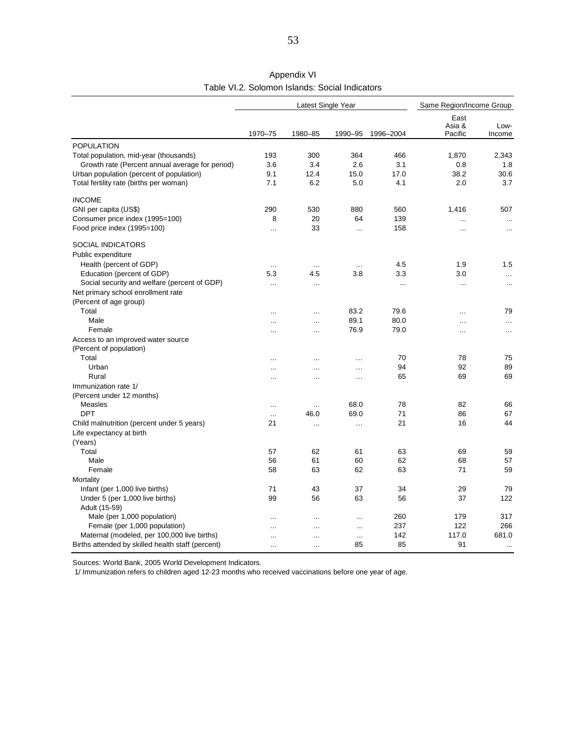|                                                   |               | Latest Single Year |          |            | Same Region/Income Group  |                |  |
|---------------------------------------------------|---------------|--------------------|----------|------------|---------------------------|----------------|--|
|                                                   | 1970-75       | 1980-85            | 1990-95  | 1996-2004  | East<br>Asia &<br>Pacific | Low-<br>Income |  |
|                                                   |               |                    |          |            |                           |                |  |
| <b>POPULATION</b>                                 |               |                    |          |            |                           |                |  |
| Total population, mid-year (thousands)            | 193           | 300                | 364      | 466<br>3.1 | 1.870<br>0.8              | 2.343          |  |
| Growth rate (Percent annual average for period)   | 3.6           | 3.4                | 2.6      |            |                           | 1.8            |  |
| Urban population (percent of population)          | 9.1           | 12.4               | 15.0     | 17.0       | 38.2                      | 30.6           |  |
| Total fertility rate (births per woman)           | 7.1           | 6.2                | 5.0      | 4.1        | 2.0                       | 3.7            |  |
| <b>INCOME</b>                                     |               |                    |          |            |                           |                |  |
| GNI per capita (US\$)                             | 290           | 530                | 880      | 560        | 1,416                     | 507            |  |
| Consumer price index (1995=100)                   | 8             | 20                 | 64       | 139        |                           |                |  |
| Food price index (1995=100)                       | $\ddotsc$     | 33                 | $\cdots$ | 158        | $\cdots$                  | $\ddotsc$      |  |
| <b>SOCIAL INDICATORS</b>                          |               |                    |          |            |                           |                |  |
| Public expenditure                                |               |                    |          |            |                           |                |  |
| Health (percent of GDP)                           | $\cdots$      | $\cdots$           | $\cdots$ | 4.5        | 1.9                       | 1.5            |  |
| Education (percent of GDP)                        | 5.3           | 4.5                | 3.8      | 3.3        | 3.0                       | $\cdots$       |  |
| Social security and welfare (percent of GDP)      | $\ddotsc$     | $\cdots$           |          | $\ddotsc$  | $\cdots$                  | $\ddotsc$      |  |
| Net primary school enrollment rate                |               |                    |          |            |                           |                |  |
| (Percent of age group)                            |               |                    |          |            |                           |                |  |
| Total                                             |               |                    | 83.2     | 79.6       | .                         | 79             |  |
| Male                                              |               |                    | 89.1     | 80.0       | .                         | $\cdots$       |  |
| Female                                            | $\cdots$      | $\cdots$           | 76.9     | 79.0       | $\cdot$                   | $\cdots$       |  |
| Access to an improved water source                |               |                    |          |            |                           |                |  |
| (Percent of population)                           |               |                    |          |            |                           |                |  |
| Total                                             | $\ddotsc$     | $\cdots$           | $\cdots$ | 70         | 78                        | 75             |  |
| Urban                                             | $\ddotsc$     | $\cdots$           | $\cdots$ | 94         | 92                        | 89             |  |
| Rural                                             | $\cdots$      | $\cdots$           | $\cdots$ | 65         | 69                        | 69             |  |
| Immunization rate 1/                              |               |                    |          |            |                           |                |  |
| (Percent under 12 months)                         |               |                    |          |            |                           |                |  |
| Measles                                           | $\cdots$      | $\cdots$           | 68.0     | 78         | 82                        | 66             |  |
| <b>DPT</b>                                        | $\cdot \cdot$ | 46.0               | 69.0     | 71         | 86                        | 67             |  |
| Child malnutrition (percent under 5 years)        | 21            | $\cdots$           | $\cdots$ | 21         | 16                        | 44             |  |
| Life expectancy at birth                          |               |                    |          |            |                           |                |  |
| (Years)                                           |               |                    |          |            |                           |                |  |
| Total                                             | 57            | 62                 | 61       | 63         | 69                        | 59             |  |
| Male                                              | 56            | 61                 | 60       | 62         | 68                        | 57             |  |
| Female                                            | 58            | 63                 | 62       | 63         | 71                        | 59             |  |
| Mortality                                         |               |                    |          |            |                           |                |  |
| Infant (per 1,000 live births)                    | 71            | 43                 | 37       | 34         | 29                        | 79             |  |
| Under 5 (per 1,000 live births)                   | 99            | 56                 | 63       | 56         | 37                        | 122            |  |
| Adult (15-59)                                     |               |                    |          |            |                           |                |  |
| Male (per 1,000 population)                       | $\ddotsc$     | $\cdots$           | $\cdots$ | 260        | 179                       | 317            |  |
| Female (per 1,000 population)                     | $\ddotsc$     |                    | $\cdots$ | 237        | 122                       | 266            |  |
| Maternal (modeled, per 100,000 live births)       | $\ddotsc$     | $\ddotsc$          | $\sim$   | 142        | 117.0                     | 681.0          |  |
| Births attended by skilled health staff (percent) | $\ddotsc$     | $\ddotsc$          | 85       | 85         | 91                        | $\ldots$       |  |

Table VI.2. Solomon Islands: Social Indicators Appendix VI

Sources: World Bank, 2005 World Development Indicators.

1/ Immunization refers to children aged 12-23 months who received vaccinations before one year of age.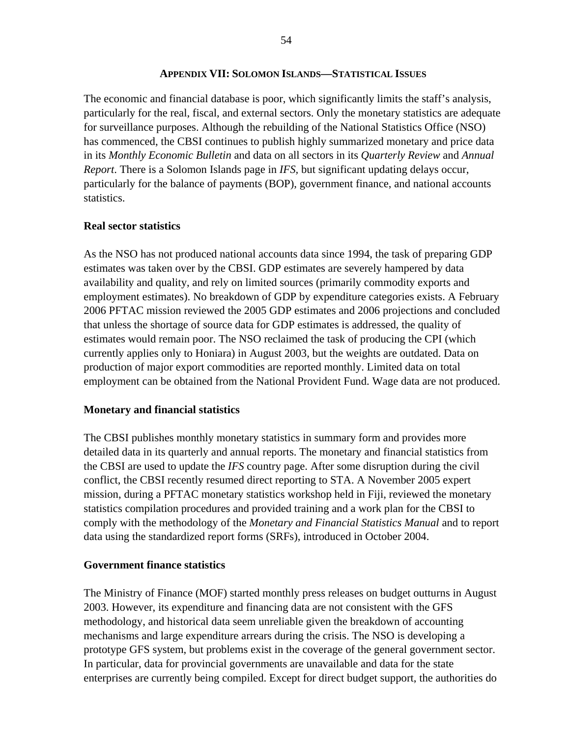#### **APPENDIX VII: SOLOMON ISLANDS—STATISTICAL ISSUES**

The economic and financial database is poor, which significantly limits the staff's analysis, particularly for the real, fiscal, and external sectors. Only the monetary statistics are adequate for surveillance purposes. Although the rebuilding of the National Statistics Office (NSO) has commenced, the CBSI continues to publish highly summarized monetary and price data in its *Monthly Economic Bulletin* and data on all sectors in its *Quarterly Review* and *Annual Report*. There is a Solomon Islands page in *IFS,* but significant updating delays occur, particularly for the balance of payments (BOP), government finance, and national accounts statistics.

#### **Real sector statistics**

As the NSO has not produced national accounts data since 1994, the task of preparing GDP estimates was taken over by the CBSI. GDP estimates are severely hampered by data availability and quality, and rely on limited sources (primarily commodity exports and employment estimates). No breakdown of GDP by expenditure categories exists. A February 2006 PFTAC mission reviewed the 2005 GDP estimates and 2006 projections and concluded that unless the shortage of source data for GDP estimates is addressed, the quality of estimates would remain poor. The NSO reclaimed the task of producing the CPI (which currently applies only to Honiara) in August 2003, but the weights are outdated. Data on production of major export commodities are reported monthly. Limited data on total employment can be obtained from the National Provident Fund. Wage data are not produced.

#### **Monetary and financial statistics**

The CBSI publishes monthly monetary statistics in summary form and provides more detailed data in its quarterly and annual reports. The monetary and financial statistics from the CBSI are used to update the *IFS* country page. After some disruption during the civil conflict, the CBSI recently resumed direct reporting to STA. A November 2005 expert mission, during a PFTAC monetary statistics workshop held in Fiji, reviewed the monetary statistics compilation procedures and provided training and a work plan for the CBSI to comply with the methodology of the *Monetary and Financial Statistics Manual* and to report data using the standardized report forms (SRFs), introduced in October 2004.

#### **Government finance statistics**

The Ministry of Finance (MOF) started monthly press releases on budget outturns in August 2003. However, its expenditure and financing data are not consistent with the GFS methodology, and historical data seem unreliable given the breakdown of accounting mechanisms and large expenditure arrears during the crisis. The NSO is developing a prototype GFS system, but problems exist in the coverage of the general government sector. In particular, data for provincial governments are unavailable and data for the state enterprises are currently being compiled. Except for direct budget support, the authorities do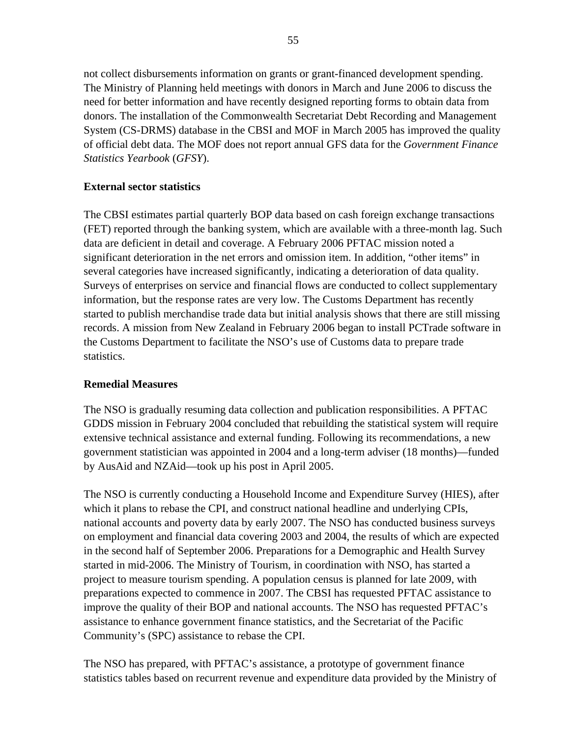not collect disbursements information on grants or grant-financed development spending. The Ministry of Planning held meetings with donors in March and June 2006 to discuss the need for better information and have recently designed reporting forms to obtain data from donors. The installation of the Commonwealth Secretariat Debt Recording and Management System (CS-DRMS) database in the CBSI and MOF in March 2005 has improved the quality of official debt data. The MOF does not report annual GFS data for the *Government Finance Statistics Yearbook* (*GFSY*).

### **External sector statistics**

The CBSI estimates partial quarterly BOP data based on cash foreign exchange transactions (FET) reported through the banking system, which are available with a three-month lag. Such data are deficient in detail and coverage. A February 2006 PFTAC mission noted a significant deterioration in the net errors and omission item. In addition, "other items" in several categories have increased significantly, indicating a deterioration of data quality. Surveys of enterprises on service and financial flows are conducted to collect supplementary information, but the response rates are very low. The Customs Department has recently started to publish merchandise trade data but initial analysis shows that there are still missing records. A mission from New Zealand in February 2006 began to install PCTrade software in the Customs Department to facilitate the NSO's use of Customs data to prepare trade statistics.

### **Remedial Measures**

The NSO is gradually resuming data collection and publication responsibilities. A PFTAC GDDS mission in February 2004 concluded that rebuilding the statistical system will require extensive technical assistance and external funding. Following its recommendations, a new government statistician was appointed in 2004 and a long-term adviser (18 months)—funded by AusAid and NZAid—took up his post in April 2005.

The NSO is currently conducting a Household Income and Expenditure Survey (HIES), after which it plans to rebase the CPI, and construct national headline and underlying CPIs, national accounts and poverty data by early 2007. The NSO has conducted business surveys on employment and financial data covering 2003 and 2004, the results of which are expected in the second half of September 2006. Preparations for a Demographic and Health Survey started in mid-2006. The Ministry of Tourism, in coordination with NSO, has started a project to measure tourism spending. A population census is planned for late 2009, with preparations expected to commence in 2007. The CBSI has requested PFTAC assistance to improve the quality of their BOP and national accounts. The NSO has requested PFTAC's assistance to enhance government finance statistics, and the Secretariat of the Pacific Community's (SPC) assistance to rebase the CPI.

The NSO has prepared, with PFTAC's assistance, a prototype of government finance statistics tables based on recurrent revenue and expenditure data provided by the Ministry of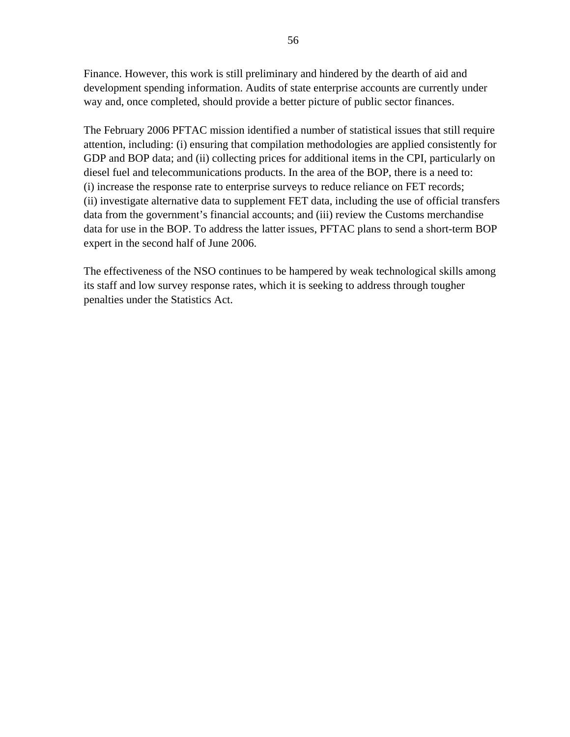Finance. However, this work is still preliminary and hindered by the dearth of aid and development spending information. Audits of state enterprise accounts are currently under way and, once completed, should provide a better picture of public sector finances.

The February 2006 PFTAC mission identified a number of statistical issues that still require attention, including: (i) ensuring that compilation methodologies are applied consistently for GDP and BOP data; and (ii) collecting prices for additional items in the CPI, particularly on diesel fuel and telecommunications products. In the area of the BOP, there is a need to: (i) increase the response rate to enterprise surveys to reduce reliance on FET records; (ii) investigate alternative data to supplement FET data, including the use of official transfers data from the government's financial accounts; and (iii) review the Customs merchandise data for use in the BOP. To address the latter issues, PFTAC plans to send a short-term BOP expert in the second half of June 2006.

The effectiveness of the NSO continues to be hampered by weak technological skills among its staff and low survey response rates, which it is seeking to address through tougher penalties under the Statistics Act.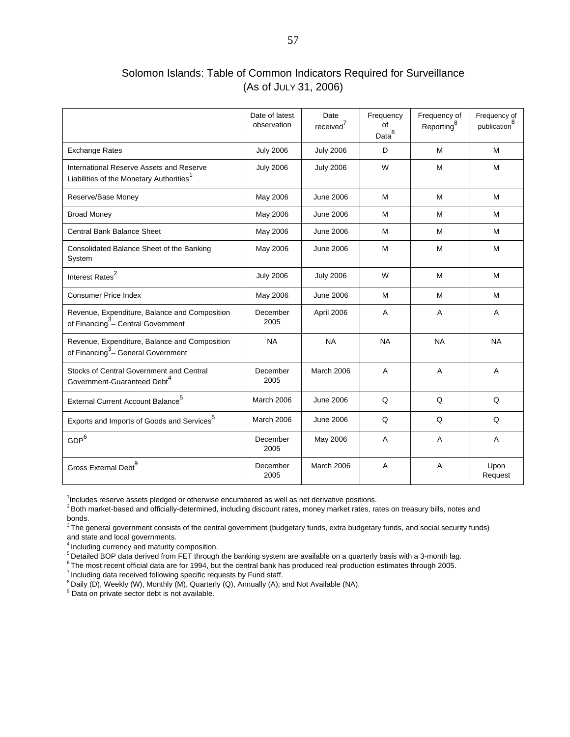### Solomon Islands: Table of Common Indicators Required for Surveillance (As of JULY 31, 2006)

|                                                                                                  | Date of latest<br>observation | Date<br>received <sup>'</sup> | Frequency<br>οf<br>Data <sup>8</sup> | Frequency of<br>Reporting <sup>8</sup> | Frequency of<br>publication |
|--------------------------------------------------------------------------------------------------|-------------------------------|-------------------------------|--------------------------------------|----------------------------------------|-----------------------------|
| <b>Exchange Rates</b>                                                                            | <b>July 2006</b>              | <b>July 2006</b>              | D                                    | M                                      | M                           |
| International Reserve Assets and Reserve<br>Liabilities of the Monetary Authorities <sup>1</sup> | <b>July 2006</b>              | <b>July 2006</b>              | W                                    | M                                      | M                           |
| Reserve/Base Money                                                                               | May 2006                      | <b>June 2006</b>              | M                                    | M                                      | M                           |
| <b>Broad Money</b>                                                                               | May 2006                      | June 2006                     | м                                    | м                                      | м                           |
| Central Bank Balance Sheet                                                                       | May 2006                      | June 2006                     | м                                    | M                                      | м                           |
| Consolidated Balance Sheet of the Banking<br>System                                              | May 2006                      | <b>June 2006</b>              | M                                    | M                                      | M                           |
| Interest Rates <sup>2</sup>                                                                      | <b>July 2006</b>              | <b>July 2006</b>              | W                                    | М                                      | М                           |
| <b>Consumer Price Index</b>                                                                      | May 2006                      | <b>June 2006</b>              | M                                    | М                                      | M                           |
| Revenue, Expenditure, Balance and Composition<br>of Financing <sup>3</sup> - Central Government  | December<br>2005              | April 2006                    | A                                    | A                                      | A                           |
| Revenue, Expenditure, Balance and Composition<br>of Financing <sup>3</sup> – General Government  | <b>NA</b>                     | <b>NA</b>                     | <b>NA</b>                            | <b>NA</b>                              | <b>NA</b>                   |
| Stocks of Central Government and Central<br>Government-Guaranteed Debt <sup>4</sup>              | December<br>2005              | March 2006                    | A                                    | A                                      | A                           |
| External Current Account Balance <sup>5</sup>                                                    | March 2006                    | <b>June 2006</b>              | Q                                    | Q                                      | Q                           |
| Exports and Imports of Goods and Services <sup>5</sup>                                           | March 2006                    | <b>June 2006</b>              | Q                                    | Q                                      | Q                           |
| GDP <sup>6</sup>                                                                                 | December<br>2005              | May 2006                      | A                                    | A                                      | A                           |
| Gross External Debt <sup>9</sup>                                                                 | December<br>2005              | <b>March 2006</b>             | A                                    | A                                      | Upon<br>Request             |

<sup>1</sup>Includes reserve assets pledged or otherwise encumbered as well as net derivative positions.

2 Both market-based and officially-determined, including discount rates, money market rates, rates on treasury bills, notes and bonds.

<sup>3</sup> The general government consists of the central government (budgetary funds, extra budgetary funds, and social security funds) and state and local governments.

4 Including currency and maturity composition.

<sup>5</sup> Detailed BOP data derived from FET through the banking system are available on a quarterly basis with a 3-month lag.

 $6$  The most recent official data are for 1994, but the central bank has produced real production estimates through 2005.

Fire most recent embar data are for 1994, but the central bank has produced real product<br>
<sup>7</sup> Including data received following specific requests by Fund staff.<br>
<sup>8</sup> Daily (D), Weekly (W), Monthly (M), Quarterly (Q), Annua

 $9$  Data on private sector debt is not available.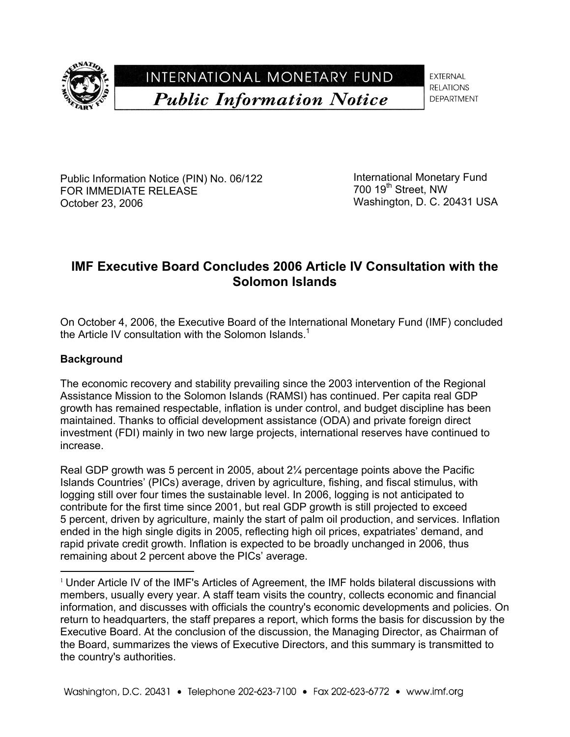

# INTERNATIONAL MONETARY FUND **Public Information Notice**

**EXTERNAL RELATIONS** DEPARTMENT

Public Information Notice (PIN) No. 06/122 FOR IMMEDIATE RELEASE October 23, 2006

International Monetary Fund 700 19<sup>th</sup> Street, NW Washington, D. C. 20431 USA

# **IMF Executive Board Concludes 2006 Article IV Consultation with the Solomon Islands**

On October 4, 2006, the Executive Board of the International Monetary Fund (IMF) concluded the Article IV consultation with the Solomon Islands.<sup>1</sup>

### **Background**

 $\overline{a}$ 

The economic recovery and stability prevailing since the 2003 intervention of the Regional Assistance Mission to the Solomon Islands (RAMSI) has continued. Per capita real GDP growth has remained respectable, inflation is under control, and budget discipline has been maintained. Thanks to official development assistance (ODA) and private foreign direct investment (FDI) mainly in two new large projects, international reserves have continued to increase.

Real GDP growth was 5 percent in 2005, about 2¼ percentage points above the Pacific Islands Countries' (PICs) average, driven by agriculture, fishing, and fiscal stimulus, with logging still over four times the sustainable level. In 2006, logging is not anticipated to contribute for the first time since 2001, but real GDP growth is still projected to exceed 5 percent, driven by agriculture, mainly the start of palm oil production, and services. Inflation ended in the high single digits in 2005, reflecting high oil prices, expatriates' demand, and rapid private credit growth. Inflation is expected to be broadly unchanged in 2006, thus remaining about 2 percent above the PICs' average.

 $1$  Under Article IV of the IMF's Articles of Agreement, the IMF holds bilateral discussions with members, usually every year. A staff team visits the country, collects economic and financial information, and discusses with officials the country's economic developments and policies. On return to headquarters, the staff prepares a report, which forms the basis for discussion by the Executive Board. At the conclusion of the discussion, the Managing Director, as Chairman of the Board, summarizes the views of Executive Directors, and this summary is transmitted to the country's authorities.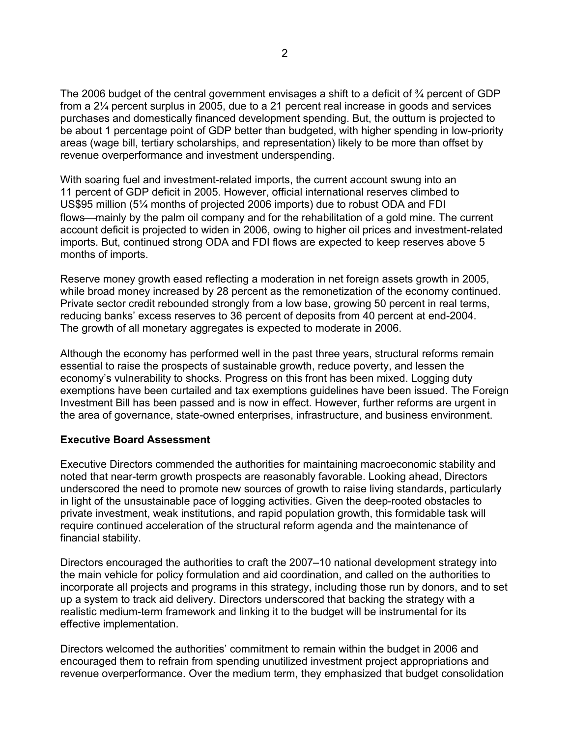The 2006 budget of the central government envisages a shift to a deficit of <sup>3</sup>/4 percent of GDP from a 2¼ percent surplus in 2005, due to a 21 percent real increase in goods and services purchases and domestically financed development spending. But, the outturn is projected to be about 1 percentage point of GDP better than budgeted, with higher spending in low-priority areas (wage bill, tertiary scholarships, and representation) likely to be more than offset by revenue overperformance and investment underspending.

With soaring fuel and investment-related imports, the current account swung into an 11 percent of GDP deficit in 2005. However, official international reserves climbed to US\$95 million (5¼ months of projected 2006 imports) due to robust ODA and FDI flows—mainly by the palm oil company and for the rehabilitation of a gold mine. The current account deficit is projected to widen in 2006, owing to higher oil prices and investment-related imports. But, continued strong ODA and FDI flows are expected to keep reserves above 5 months of imports.

Reserve money growth eased reflecting a moderation in net foreign assets growth in 2005, while broad money increased by 28 percent as the remonetization of the economy continued. Private sector credit rebounded strongly from a low base, growing 50 percent in real terms, reducing banks' excess reserves to 36 percent of deposits from 40 percent at end-2004. The growth of all monetary aggregates is expected to moderate in 2006.

Although the economy has performed well in the past three years, structural reforms remain essential to raise the prospects of sustainable growth, reduce poverty, and lessen the economy's vulnerability to shocks. Progress on this front has been mixed. Logging duty exemptions have been curtailed and tax exemptions guidelines have been issued. The Foreign Investment Bill has been passed and is now in effect. However, further reforms are urgent in the area of governance, state-owned enterprises, infrastructure, and business environment.

#### **Executive Board Assessment**

Executive Directors commended the authorities for maintaining macroeconomic stability and noted that near-term growth prospects are reasonably favorable. Looking ahead, Directors underscored the need to promote new sources of growth to raise living standards, particularly in light of the unsustainable pace of logging activities. Given the deep-rooted obstacles to private investment, weak institutions, and rapid population growth, this formidable task will require continued acceleration of the structural reform agenda and the maintenance of financial stability.

Directors encouraged the authorities to craft the 2007–10 national development strategy into the main vehicle for policy formulation and aid coordination, and called on the authorities to incorporate all projects and programs in this strategy, including those run by donors, and to set up a system to track aid delivery. Directors underscored that backing the strategy with a realistic medium-term framework and linking it to the budget will be instrumental for its effective implementation.

Directors welcomed the authorities' commitment to remain within the budget in 2006 and encouraged them to refrain from spending unutilized investment project appropriations and revenue overperformance. Over the medium term, they emphasized that budget consolidation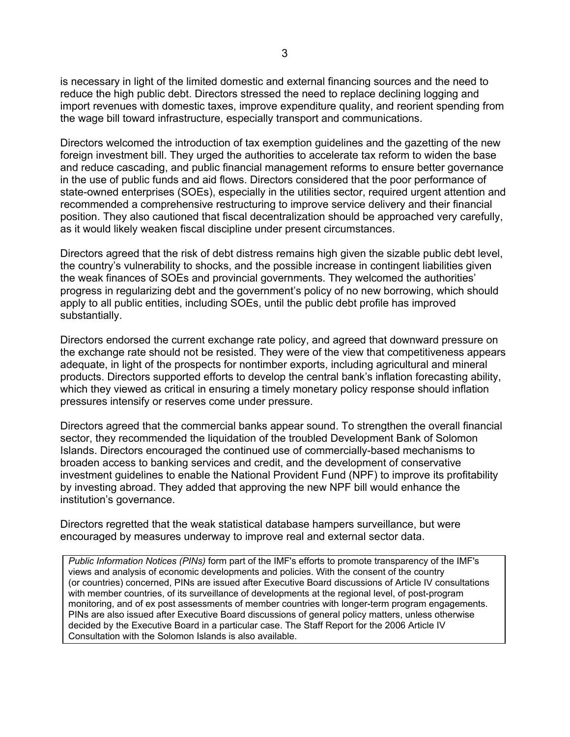is necessary in light of the limited domestic and external financing sources and the need to reduce the high public debt. Directors stressed the need to replace declining logging and import revenues with domestic taxes, improve expenditure quality, and reorient spending from the wage bill toward infrastructure, especially transport and communications.

Directors welcomed the introduction of tax exemption guidelines and the gazetting of the new foreign investment bill. They urged the authorities to accelerate tax reform to widen the base and reduce cascading, and public financial management reforms to ensure better governance in the use of public funds and aid flows. Directors considered that the poor performance of state-owned enterprises (SOEs), especially in the utilities sector, required urgent attention and recommended a comprehensive restructuring to improve service delivery and their financial position. They also cautioned that fiscal decentralization should be approached very carefully, as it would likely weaken fiscal discipline under present circumstances.

Directors agreed that the risk of debt distress remains high given the sizable public debt level, the country's vulnerability to shocks, and the possible increase in contingent liabilities given the weak finances of SOEs and provincial governments. They welcomed the authorities' progress in regularizing debt and the government's policy of no new borrowing, which should apply to all public entities, including SOEs, until the public debt profile has improved substantially.

Directors endorsed the current exchange rate policy, and agreed that downward pressure on the exchange rate should not be resisted. They were of the view that competitiveness appears adequate, in light of the prospects for nontimber exports, including agricultural and mineral products. Directors supported efforts to develop the central bank's inflation forecasting ability, which they viewed as critical in ensuring a timely monetary policy response should inflation pressures intensify or reserves come under pressure.

Directors agreed that the commercial banks appear sound. To strengthen the overall financial sector, they recommended the liquidation of the troubled Development Bank of Solomon Islands. Directors encouraged the continued use of commercially-based mechanisms to broaden access to banking services and credit, and the development of conservative investment guidelines to enable the National Provident Fund (NPF) to improve its profitability by investing abroad. They added that approving the new NPF bill would enhance the institution's governance.

Directors regretted that the weak statistical database hampers surveillance, but were encouraged by measures underway to improve real and external sector data.

*Public Information Notices (PINs)* form part of the IMF's efforts to promote transparency of the IMF's views and analysis of economic developments and policies. With the consent of the country (or countries) concerned, PINs are issued after Executive Board discussions of Article IV consultations with member countries, of its surveillance of developments at the regional level, of post-program monitoring, and of ex post assessments of member countries with longer-term program engagements. PINs are also issued after Executive Board discussions of general policy matters, unless otherwise decided by the Executive Board in a particular case. The Staff Report for the 2006 Article IV Consultation with the Solomon Islands is also available.